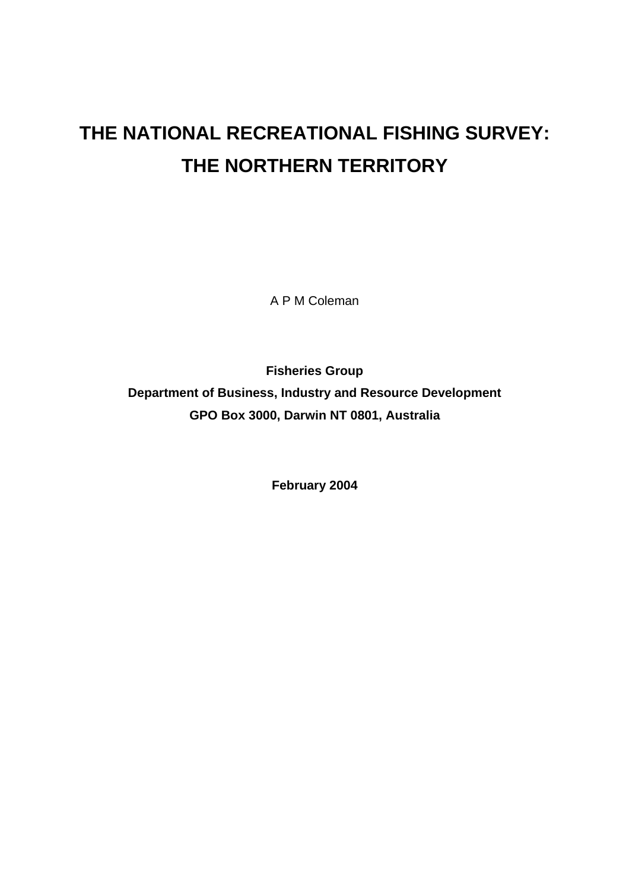# **THE NATIONAL RECREATIONAL FISHING SURVEY: THE NORTHERN TERRITORY**

A P M Coleman

**Fisheries Group Department of Business, Industry and Resource Development GPO Box 3000, Darwin NT 0801, Australia**

**February 2004**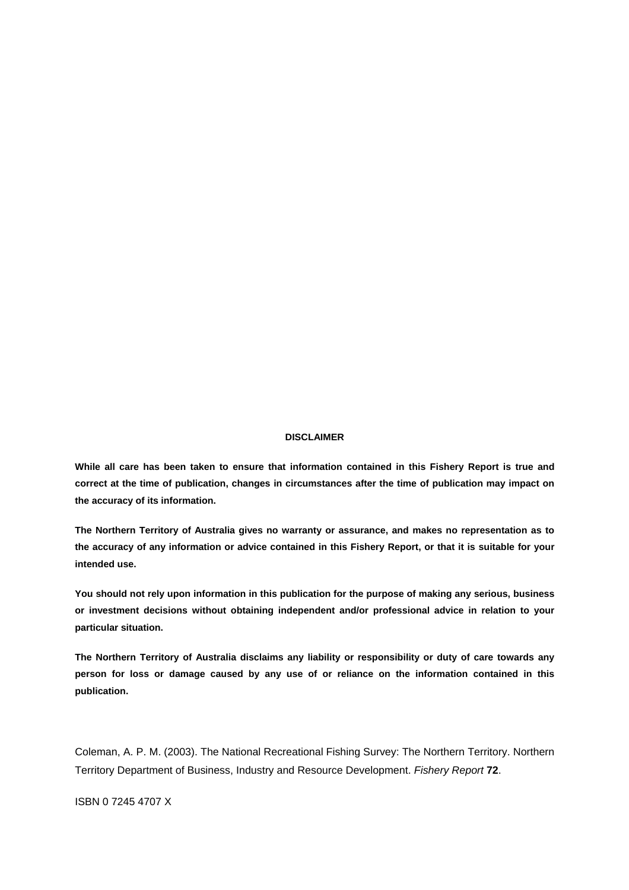#### **DISCLAIMER**

**While all care has been taken to ensure that information contained in this Fishery Report is true and correct at the time of publication, changes in circumstances after the time of publication may impact on the accuracy of its information.** 

 **The Northern Territory of Australia gives no warranty or assurance, and makes no representation as to the accuracy of any information or advice contained in this Fishery Report, or that it is suitable for your intended use.** 

**You should not rely upon information in this publication for the purpose of making any serious, business or investment decisions without obtaining independent and/or professional advice in relation to your particular situation.** 

 **The Northern Territory of Australia disclaims any liability or responsibility or duty of care towards any person for loss or damage caused by any use of or reliance on the information contained in this publication.** 

Coleman, A. P. M. (2003). The National Recreational Fishing Survey: The Northern Territory. Northern Territory Department of Business, Industry and Resource Development. *Fishery Report* **72**.

ISBN 0 7245 4707 X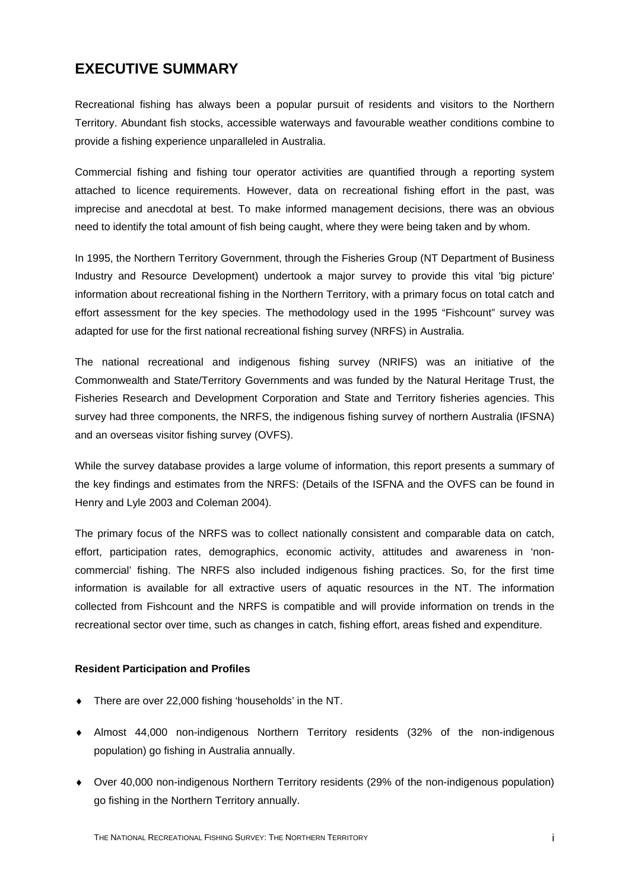## <span id="page-2-0"></span>**EXECUTIVE SUMMARY**

Recreational fishing has always been a popular pursuit of residents and visitors to the Northern Territory. Abundant fish stocks, accessible waterways and favourable weather conditions combine to provide a fishing experience unparalleled in Australia.

Commercial fishing and fishing tour operator activities are quantified through a reporting system attached to licence requirements. However, data on recreational fishing effort in the past, was imprecise and anecdotal at best. To make informed management decisions, there was an obvious need to identify the total amount of fish being caught, where they were being taken and by whom.

In 1995, the Northern Territory Government, through the Fisheries Group (NT Department of Business Industry and Resource Development) undertook a major survey to provide this vital 'big picture' information about recreational fishing in the Northern Territory, with a primary focus on total catch and effort assessment for the key species. The methodology used in the 1995 "Fishcount" survey was adapted for use for the first national recreational fishing survey (NRFS) in Australia.

The national recreational and indigenous fishing survey (NRIFS) was an initiative of the Commonwealth and State/Territory Governments and was funded by the Natural Heritage Trust, the Fisheries Research and Development Corporation and State and Territory fisheries agencies. This survey had three components, the NRFS, the indigenous fishing survey of northern Australia (IFSNA) and an overseas visitor fishing survey (OVFS).

While the survey database provides a large volume of information, this report presents a summary of the key findings and estimates from the NRFS: (Details of the ISFNA and the OVFS can be found in Henry and Lyle 2003 and Coleman 2004).

The primary focus of the NRFS was to collect nationally consistent and comparable data on catch, effort, participation rates, demographics, economic activity, attitudes and awareness in 'noncommercial' fishing. The NRFS also included indigenous fishing practices. So, for the first time information is available for all extractive users of aquatic resources in the NT. The information collected from Fishcount and the NRFS is compatible and will provide information on trends in the recreational sector over time, such as changes in catch, fishing effort, areas fished and expenditure.

#### <span id="page-2-1"></span>**Resident Participation and Profiles**

- ♦ There are over 22,000 fishing 'households' in the NT.
- ♦ Almost 44,000 non-indigenous Northern Territory residents (32% of the non-indigenous population) go fishing in Australia annually.
- ♦ Over 40,000 non-indigenous Northern Territory residents (29% of the non-indigenous population) go fishing in the Northern Territory annually.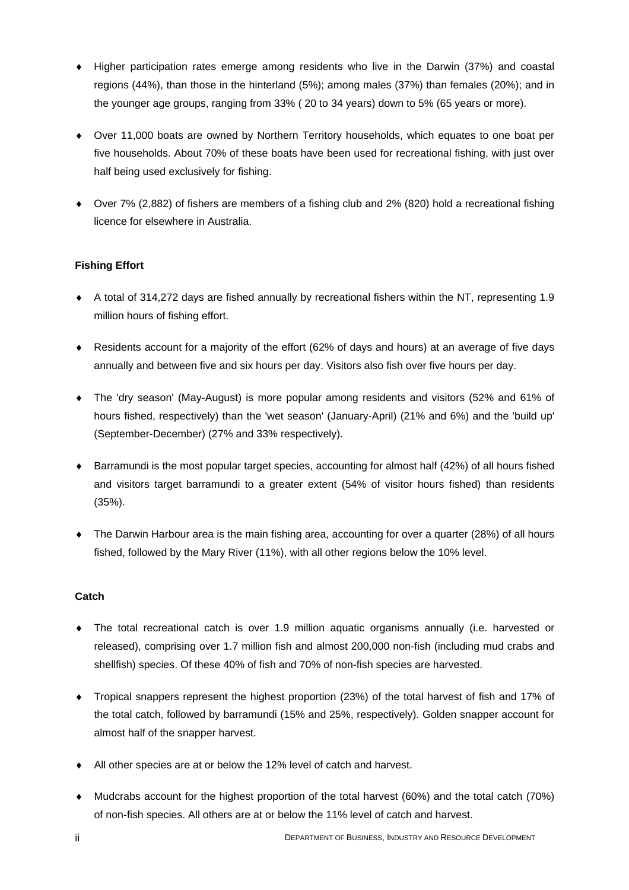- ♦ Higher participation rates emerge among residents who live in the Darwin (37%) and coastal regions (44%), than those in the hinterland (5%); among males (37%) than females (20%); and in the younger age groups, ranging from 33% ( 20 to 34 years) down to 5% (65 years or more).
- ♦ Over 11,000 boats are owned by Northern Territory households, which equates to one boat per five households. About 70% of these boats have been used for recreational fishing, with just over half being used exclusively for fishing.
- ♦ Over 7% (2,882) of fishers are members of a fishing club and 2% (820) hold a recreational fishing licence for elsewhere in Australia.

### <span id="page-3-0"></span>**Fishing Effort**

- ♦ A total of 314,272 days are fished annually by recreational fishers within the NT, representing 1.9 million hours of fishing effort.
- ♦ Residents account for a majority of the effort (62% of days and hours) at an average of five days annually and between five and six hours per day. Visitors also fish over five hours per day.
- ♦ The 'dry season' (May-August) is more popular among residents and visitors (52% and 61% of hours fished, respectively) than the 'wet season' (January-April) (21% and 6%) and the 'build up' (September-December) (27% and 33% respectively).
- ◆ Barramundi is the most popular target species, accounting for almost half (42%) of all hours fished and visitors target barramundi to a greater extent (54% of visitor hours fished) than residents (35%).
- The Darwin Harbour area is the main fishing area, accounting for over a quarter (28%) of all hours fished, followed by the Mary River (11%), with all other regions below the 10% level.

#### <span id="page-3-1"></span>**Catch**

- The total recreational catch is over 1.9 million aquatic organisms annually (i.e. harvested or released), comprising over 1.7 million fish and almost 200,000 non-fish (including mud crabs and shellfish) species. Of these 40% of fish and 70% of non-fish species are harvested.
- ♦ Tropical snappers represent the highest proportion (23%) of the total harvest of fish and 17% of the total catch, followed by barramundi (15% and 25%, respectively). Golden snapper account for almost half of the snapper harvest.
- ♦ All other species are at or below the 12% level of catch and harvest.
- ♦ Mudcrabs account for the highest proportion of the total harvest (60%) and the total catch (70%) of non-fish species. All others are at or below the 11% level of catch and harvest.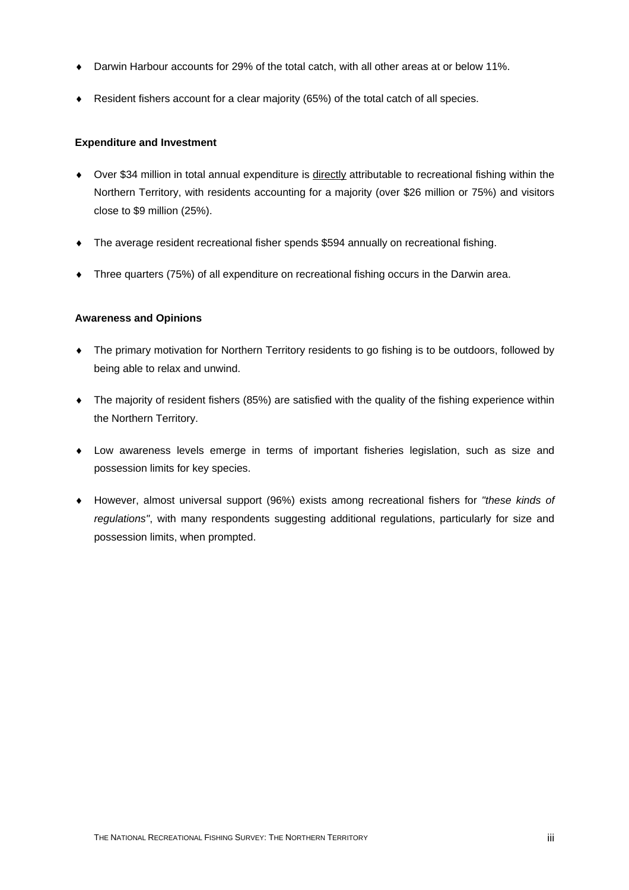- ♦ Darwin Harbour accounts for 29% of the total catch, with all other areas at or below 11%.
- ♦ Resident fishers account for a clear majority (65%) of the total catch of all species.

#### <span id="page-4-0"></span>**Expenditure and Investment**

- ♦ Over \$34 million in total annual expenditure is directly attributable to recreational fishing within the Northern Territory, with residents accounting for a majority (over \$26 million or 75%) and visitors close to \$9 million (25%).
- The average resident recreational fisher spends \$594 annually on recreational fishing.
- ♦ Three quarters (75%) of all expenditure on recreational fishing occurs in the Darwin area.

#### <span id="page-4-1"></span>**Awareness and Opinions**

- The primary motivation for Northern Territory residents to go fishing is to be outdoors, followed by being able to relax and unwind.
- The majority of resident fishers (85%) are satisfied with the quality of the fishing experience within the Northern Territory.
- ♦ Low awareness levels emerge in terms of important fisheries legislation, such as size and possession limits for key species.
- ♦ However, almost universal support (96%) exists among recreational fishers for *"these kinds of regulations"*, with many respondents suggesting additional regulations, particularly for size and possession limits, when prompted.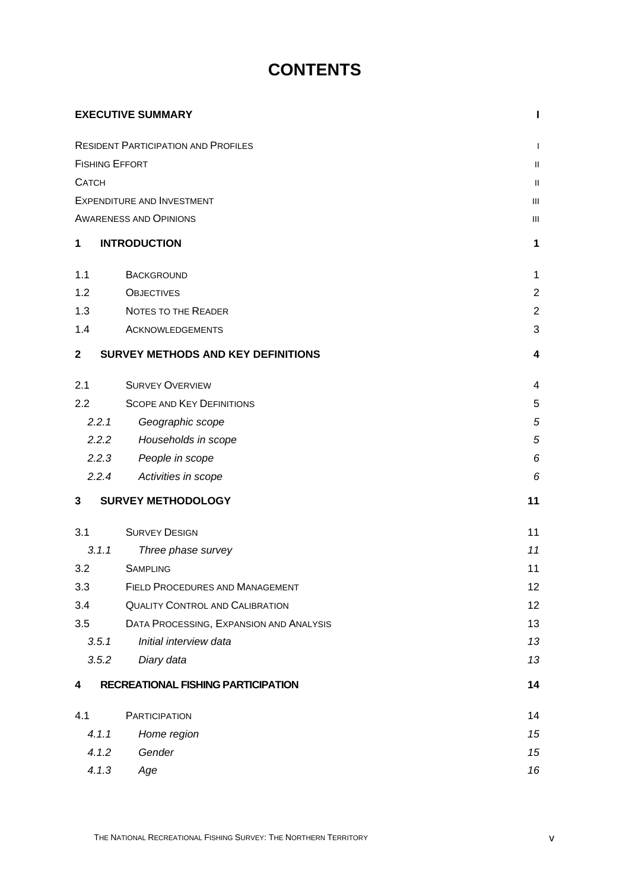## **CONTENTS**

|                       | <b>EXECUTIVE SUMMARY</b>                   | ı              |
|-----------------------|--------------------------------------------|----------------|
|                       | <b>RESIDENT PARTICIPATION AND PROFILES</b> | $\mathbf{I}$   |
| <b>FISHING EFFORT</b> |                                            | $\mathbf{H}$   |
| <b>CATCH</b>          |                                            | $\mathbf{H}$   |
|                       | <b>EXPENDITURE AND INVESTMENT</b>          | Ш              |
|                       | <b>AWARENESS AND OPINIONS</b>              | $\mathbf{III}$ |
| 1                     | <b>INTRODUCTION</b>                        | 1              |
| 1.1                   | <b>BACKGROUND</b>                          | $\mathbf 1$    |
| 1.2                   | <b>OBJECTIVES</b>                          | $\overline{2}$ |
| 1.3                   | <b>NOTES TO THE READER</b>                 | $\overline{2}$ |
| 1.4                   | ACKNOWLEDGEMENTS                           | 3              |
| $\mathbf{2}$          | <b>SURVEY METHODS AND KEY DEFINITIONS</b>  | 4              |
| 2.1                   | <b>SURVEY OVERVIEW</b>                     | 4              |
| 2.2                   | <b>SCOPE AND KEY DEFINITIONS</b>           | 5              |
| 2.2.1                 | Geographic scope                           | 5              |
| 2.2.2                 | Households in scope                        | 5              |
| 2.2.3                 | People in scope                            | 6              |
| 2.2.4                 | Activities in scope                        | 6              |
| 3                     | <b>SURVEY METHODOLOGY</b>                  | 11             |
| 3.1                   | <b>SURVEY DESIGN</b>                       | 11             |
| 3.1.1                 | Three phase survey                         | 11             |
| 3.2                   | <b>SAMPLING</b>                            | 11             |
| 3.3                   | <b>FIELD PROCEDURES AND MANAGEMENT</b>     | 12             |
| 3.4                   | <b>QUALITY CONTROL AND CALIBRATION</b>     | 12             |
| 3.5                   | DATA PROCESSING, EXPANSION AND ANALYSIS    | 13             |
| 3.5.1                 | Initial interview data                     | 13             |
| 3.5.2                 | Diary data                                 | 13             |
| 4                     | <b>RECREATIONAL FISHING PARTICIPATION</b>  | 14             |
| 4.1                   | <b>PARTICIPATION</b>                       | 14             |
| 4.1.1                 | Home region                                | 15             |
| 4.1.2                 | Gender                                     | 15             |
| 4.1.3                 | Age                                        | 16             |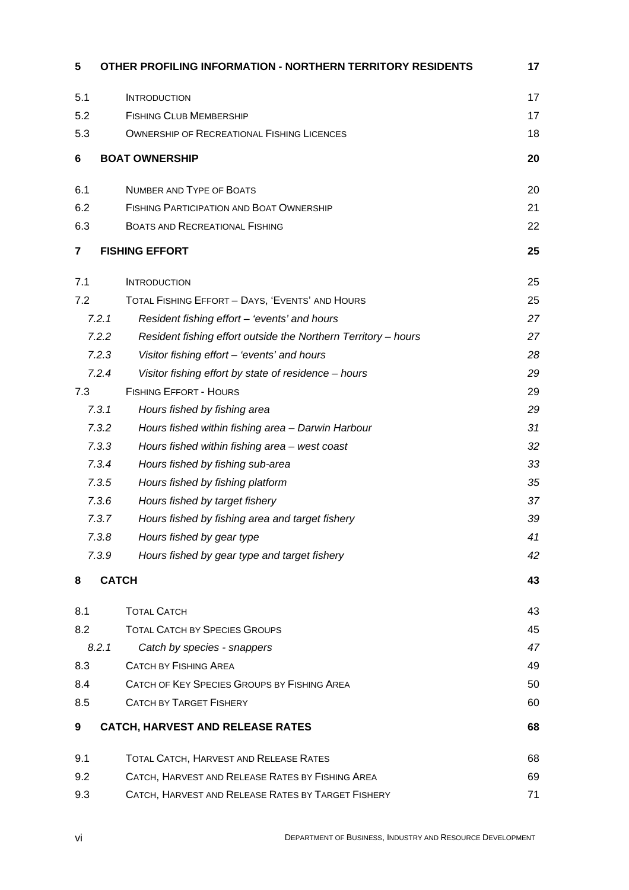| 5   | OTHER PROFILING INFORMATION - NORTHERN TERRITORY RESIDENTS              | 17 |
|-----|-------------------------------------------------------------------------|----|
| 5.1 | <b>INTRODUCTION</b>                                                     | 17 |
| 5.2 | <b>FISHING CLUB MEMBERSHIP</b>                                          | 17 |
| 5.3 | <b>OWNERSHIP OF RECREATIONAL FISHING LICENCES</b>                       | 18 |
| 6   | <b>BOAT OWNERSHIP</b>                                                   | 20 |
| 6.1 | <b>NUMBER AND TYPE OF BOATS</b>                                         | 20 |
| 6.2 | <b>FISHING PARTICIPATION AND BOAT OWNERSHIP</b>                         | 21 |
| 6.3 | <b>BOATS AND RECREATIONAL FISHING</b>                                   | 22 |
| 7   | <b>FISHING EFFORT</b>                                                   | 25 |
| 7.1 | <b>INTRODUCTION</b>                                                     | 25 |
| 7.2 | TOTAL FISHING EFFORT - DAYS, 'EVENTS' AND HOURS                         | 25 |
|     | 7.2.1<br>Resident fishing effort - 'events' and hours                   | 27 |
|     | 7.2.2<br>Resident fishing effort outside the Northern Territory - hours | 27 |
|     | 7.2.3<br>Visitor fishing effort - 'events' and hours                    | 28 |
|     | 7.2.4<br>Visitor fishing effort by state of residence - hours           | 29 |
| 7.3 | <b>FISHING EFFORT - HOURS</b>                                           | 29 |
|     | 7.3.1<br>Hours fished by fishing area                                   | 29 |
|     | 7.3.2<br>Hours fished within fishing area - Darwin Harbour              | 31 |
|     | 7.3.3<br>Hours fished within fishing area - west coast                  | 32 |
|     | 7.3.4<br>Hours fished by fishing sub-area                               | 33 |
|     | 7.3.5<br>Hours fished by fishing platform                               | 35 |
|     | 7.3.6<br>Hours fished by target fishery                                 | 37 |
|     | 7.3.7<br>Hours fished by fishing area and target fishery                | 39 |
|     | 7.3.8<br>Hours fished by gear type                                      | 41 |
|     | 7.3.9<br>Hours fished by gear type and target fishery                   | 42 |
| 8   | <b>CATCH</b>                                                            | 43 |
| 8.1 | <b>TOTAL CATCH</b>                                                      | 43 |
| 8.2 | <b>TOTAL CATCH BY SPECIES GROUPS</b>                                    | 45 |
|     | 8.2.1<br>Catch by species - snappers                                    | 47 |
| 8.3 | <b>CATCH BY FISHING AREA</b>                                            | 49 |
| 8.4 | CATCH OF KEY SPECIES GROUPS BY FISHING AREA                             | 50 |
| 8.5 | <b>CATCH BY TARGET FISHERY</b>                                          | 60 |
| 9   | <b>CATCH, HARVEST AND RELEASE RATES</b>                                 | 68 |
| 9.1 | TOTAL CATCH, HARVEST AND RELEASE RATES                                  | 68 |
| 9.2 | CATCH, HARVEST AND RELEASE RATES BY FISHING AREA                        | 69 |
| 9.3 | CATCH, HARVEST AND RELEASE RATES BY TARGET FISHERY                      | 71 |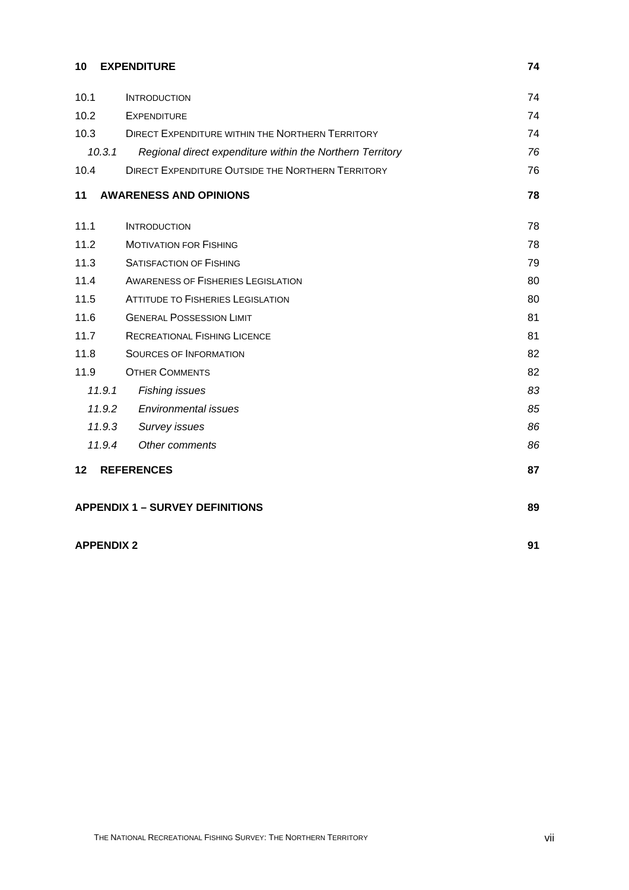## **[10 EXPENDITURE 74](#page-83-0)**

| 10.1    | <b>INTRODUCTION</b>                                       | 74 |
|---------|-----------------------------------------------------------|----|
| 10.2    | <b>EXPENDITURE</b>                                        | 74 |
| 10.3    | <b>DIRECT EXPENDITURE WITHIN THE NORTHERN TERRITORY</b>   | 74 |
| 10.3.1  | Regional direct expenditure within the Northern Territory | 76 |
| 10.4    | <b>DIRECT EXPENDITURE OUTSIDE THE NORTHERN TERRITORY</b>  | 76 |
| 11      | <b>AWARENESS AND OPINIONS</b>                             | 78 |
| 11.1    | <b>INTRODUCTION</b>                                       | 78 |
| 11.2    | <b>MOTIVATION FOR FISHING</b>                             | 78 |
| 11.3    | <b>SATISFACTION OF FISHING</b>                            | 79 |
| 11.4    | <b>AWARENESS OF FISHERIES LEGISLATION</b>                 | 80 |
| 11.5    | <b>ATTITUDE TO FISHERIES LEGISLATION</b>                  | 80 |
| 11.6    | <b>GENERAL POSSESSION LIMIT</b>                           | 81 |
| 11.7    | <b>RECREATIONAL FISHING LICENCE</b>                       | 81 |
| 11.8    | <b>SOURCES OF INFORMATION</b>                             | 82 |
| 11.9    | <b>OTHER COMMENTS</b>                                     | 82 |
| 11.9.1  | <b>Fishing issues</b>                                     | 83 |
| 11.9.2  | <b>Environmental issues</b>                               | 85 |
| 11.9.3  | Survey issues                                             | 86 |
| 11.9.4  | Other comments                                            | 86 |
| $12 \,$ | <b>REFERENCES</b>                                         | 87 |
|         | <b>APPENDIX 1 - SURVEY DEFINITIONS</b>                    | 89 |

## **APPENDIX 2** 91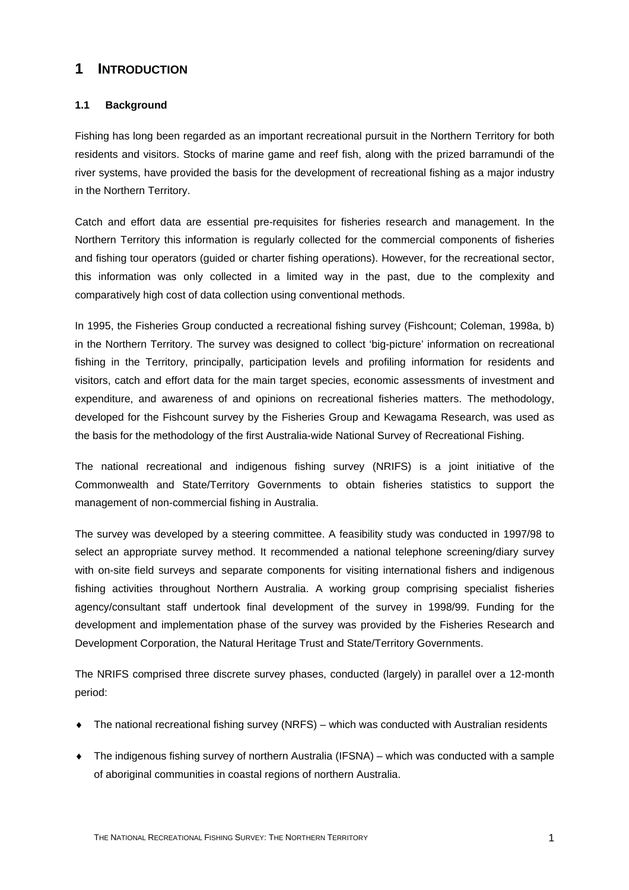## <span id="page-10-0"></span>**1 INTRODUCTION**

#### <span id="page-10-1"></span>**1.1 Background**

Fishing has long been regarded as an important recreational pursuit in the Northern Territory for both residents and visitors. Stocks of marine game and reef fish, along with the prized barramundi of the river systems, have provided the basis for the development of recreational fishing as a major industry in the Northern Territory.

Catch and effort data are essential pre-requisites for fisheries research and management. In the Northern Territory this information is regularly collected for the commercial components of fisheries and fishing tour operators (guided or charter fishing operations). However, for the recreational sector, this information was only collected in a limited way in the past, due to the complexity and comparatively high cost of data collection using conventional methods.

In 1995, the Fisheries Group conducted a recreational fishing survey (Fishcount; Coleman, 1998a, b) in the Northern Territory. The survey was designed to collect 'big-picture' information on recreational fishing in the Territory, principally, participation levels and profiling information for residents and visitors, catch and effort data for the main target species, economic assessments of investment and expenditure, and awareness of and opinions on recreational fisheries matters. The methodology, developed for the Fishcount survey by the Fisheries Group and Kewagama Research, was used as the basis for the methodology of the first Australia-wide National Survey of Recreational Fishing.

The national recreational and indigenous fishing survey (NRIFS) is a joint initiative of the Commonwealth and State/Territory Governments to obtain fisheries statistics to support the management of non-commercial fishing in Australia.

The survey was developed by a steering committee. A feasibility study was conducted in 1997/98 to select an appropriate survey method. It recommended a national telephone screening/diary survey with on-site field surveys and separate components for visiting international fishers and indigenous fishing activities throughout Northern Australia. A working group comprising specialist fisheries agency/consultant staff undertook final development of the survey in 1998/99. Funding for the development and implementation phase of the survey was provided by the Fisheries Research and Development Corporation, the Natural Heritage Trust and State/Territory Governments.

The NRIFS comprised three discrete survey phases, conducted (largely) in parallel over a 12-month period:

- The national recreational fishing survey (NRFS) which was conducted with Australian residents
- The indigenous fishing survey of northern Australia (IFSNA) which was conducted with a sample of aboriginal communities in coastal regions of northern Australia.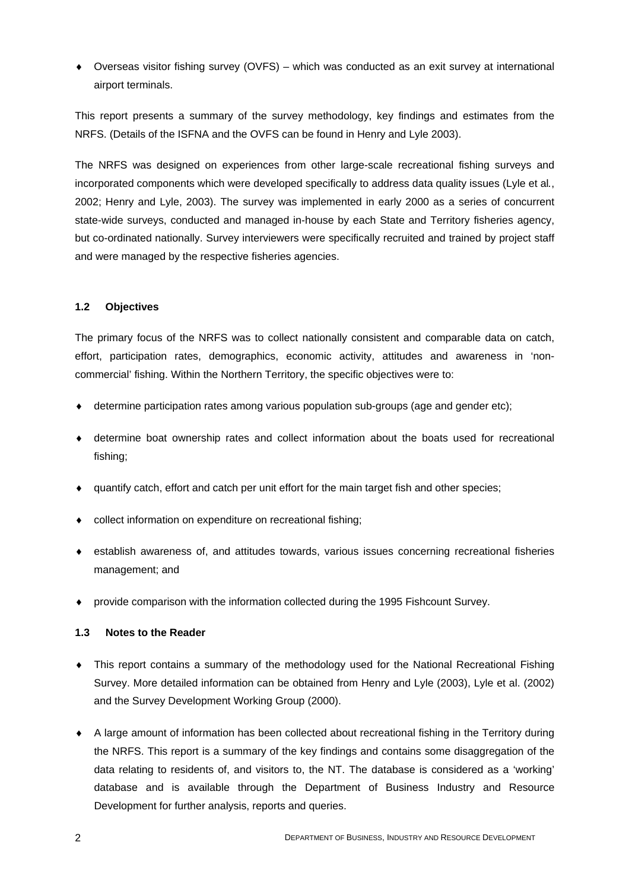$\bullet$  Overseas visitor fishing survey (OVFS) – which was conducted as an exit survey at international airport terminals.

This report presents a summary of the survey methodology, key findings and estimates from the NRFS. (Details of the ISFNA and the OVFS can be found in Henry and Lyle 2003).

The NRFS was designed on experiences from other large-scale recreational fishing surveys and incorporated components which were developed specifically to address data quality issues (Lyle et al*.*, 2002; Henry and Lyle, 2003). The survey was implemented in early 2000 as a series of concurrent state-wide surveys, conducted and managed in-house by each State and Territory fisheries agency, but co-ordinated nationally. Survey interviewers were specifically recruited and trained by project staff and were managed by the respective fisheries agencies.

#### <span id="page-11-0"></span>**1.2 Objectives**

The primary focus of the NRFS was to collect nationally consistent and comparable data on catch, effort, participation rates, demographics, economic activity, attitudes and awareness in 'noncommercial' fishing. Within the Northern Territory, the specific objectives were to:

- determine participation rates among various population sub-groups (age and gender etc);
- determine boat ownership rates and collect information about the boats used for recreational fishing;
- ♦ quantify catch, effort and catch per unit effort for the main target fish and other species;
- collect information on expenditure on recreational fishing:
- ♦ establish awareness of, and attitudes towards, various issues concerning recreational fisheries management; and
- ♦ provide comparison with the information collected during the 1995 Fishcount Survey.

#### <span id="page-11-1"></span>**1.3 Notes to the Reader**

- This report contains a summary of the methodology used for the National Recreational Fishing Survey. More detailed information can be obtained from Henry and Lyle (2003), Lyle et al. (2002) and the Survey Development Working Group (2000).
- ♦ A large amount of information has been collected about recreational fishing in the Territory during the NRFS. This report is a summary of the key findings and contains some disaggregation of the data relating to residents of, and visitors to, the NT. The database is considered as a 'working' database and is available through the Department of Business Industry and Resource Development for further analysis, reports and queries.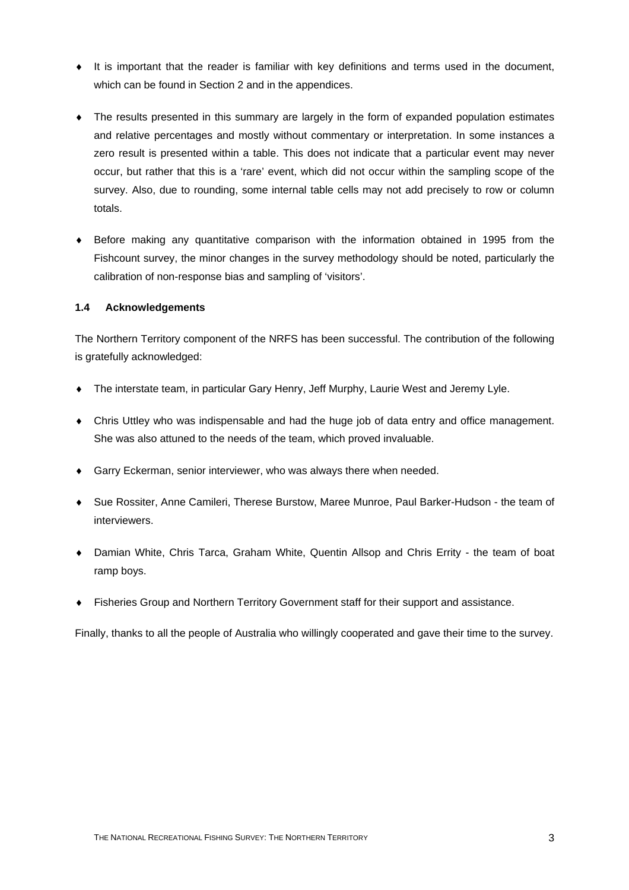- ♦ It is important that the reader is familiar with key definitions and terms used in the document, which can be found in Section 2 and in the appendices.
- The results presented in this summary are largely in the form of expanded population estimates and relative percentages and mostly without commentary or interpretation. In some instances a zero result is presented within a table. This does not indicate that a particular event may never occur, but rather that this is a 'rare' event, which did not occur within the sampling scope of the survey. Also, due to rounding, some internal table cells may not add precisely to row or column totals.
- ♦ Before making any quantitative comparison with the information obtained in 1995 from the Fishcount survey, the minor changes in the survey methodology should be noted, particularly the calibration of non-response bias and sampling of 'visitors'.

#### <span id="page-12-0"></span>**1.4 Acknowledgements**

The Northern Territory component of the NRFS has been successful. The contribution of the following is gratefully acknowledged:

- The interstate team, in particular Gary Henry, Jeff Murphy, Laurie West and Jeremy Lyle.
- ♦ Chris Uttley who was indispensable and had the huge job of data entry and office management. She was also attuned to the needs of the team, which proved invaluable.
- ◆ Garry Eckerman, senior interviewer, who was always there when needed.
- ♦ Sue Rossiter, Anne Camileri, Therese Burstow, Maree Munroe, Paul Barker-Hudson the team of interviewers.
- ♦ Damian White, Chris Tarca, Graham White, Quentin Allsop and Chris Errity the team of boat ramp boys.
- ♦ Fisheries Group and Northern Territory Government staff for their support and assistance.

Finally, thanks to all the people of Australia who willingly cooperated and gave their time to the survey.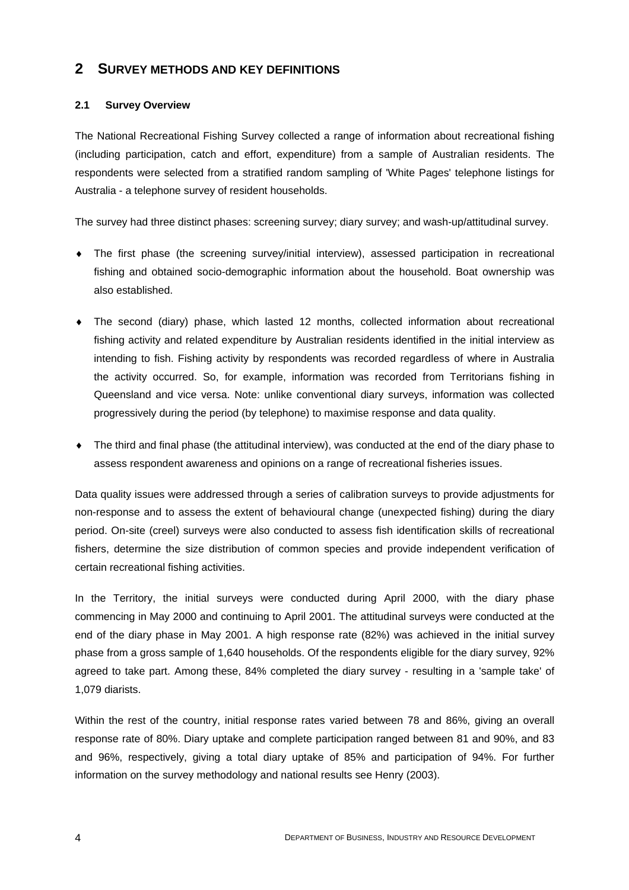## <span id="page-13-0"></span>**2 SURVEY METHODS AND KEY DEFINITIONS**

#### <span id="page-13-1"></span>**2.1 Survey Overview**

The National Recreational Fishing Survey collected a range of information about recreational fishing (including participation, catch and effort, expenditure) from a sample of Australian residents. The respondents were selected from a stratified random sampling of 'White Pages' telephone listings for Australia - a telephone survey of resident households.

The survey had three distinct phases: screening survey; diary survey; and wash-up/attitudinal survey.

- The first phase (the screening survey/initial interview), assessed participation in recreational fishing and obtained socio-demographic information about the household. Boat ownership was also established.
- The second (diary) phase, which lasted 12 months, collected information about recreational fishing activity and related expenditure by Australian residents identified in the initial interview as intending to fish. Fishing activity by respondents was recorded regardless of where in Australia the activity occurred. So, for example, information was recorded from Territorians fishing in Queensland and vice versa. Note: unlike conventional diary surveys, information was collected progressively during the period (by telephone) to maximise response and data quality.
- ♦ The third and final phase (the attitudinal interview), was conducted at the end of the diary phase to assess respondent awareness and opinions on a range of recreational fisheries issues.

Data quality issues were addressed through a series of calibration surveys to provide adjustments for non-response and to assess the extent of behavioural change (unexpected fishing) during the diary period. On-site (creel) surveys were also conducted to assess fish identification skills of recreational fishers, determine the size distribution of common species and provide independent verification of certain recreational fishing activities.

In the Territory, the initial surveys were conducted during April 2000, with the diary phase commencing in May 2000 and continuing to April 2001. The attitudinal surveys were conducted at the end of the diary phase in May 2001. A high response rate (82%) was achieved in the initial survey phase from a gross sample of 1,640 households. Of the respondents eligible for the diary survey, 92% agreed to take part. Among these, 84% completed the diary survey - resulting in a 'sample take' of 1,079 diarists.

Within the rest of the country, initial response rates varied between 78 and 86%, giving an overall response rate of 80%. Diary uptake and complete participation ranged between 81 and 90%, and 83 and 96%, respectively, giving a total diary uptake of 85% and participation of 94%. For further information on the survey methodology and national results see Henry (2003).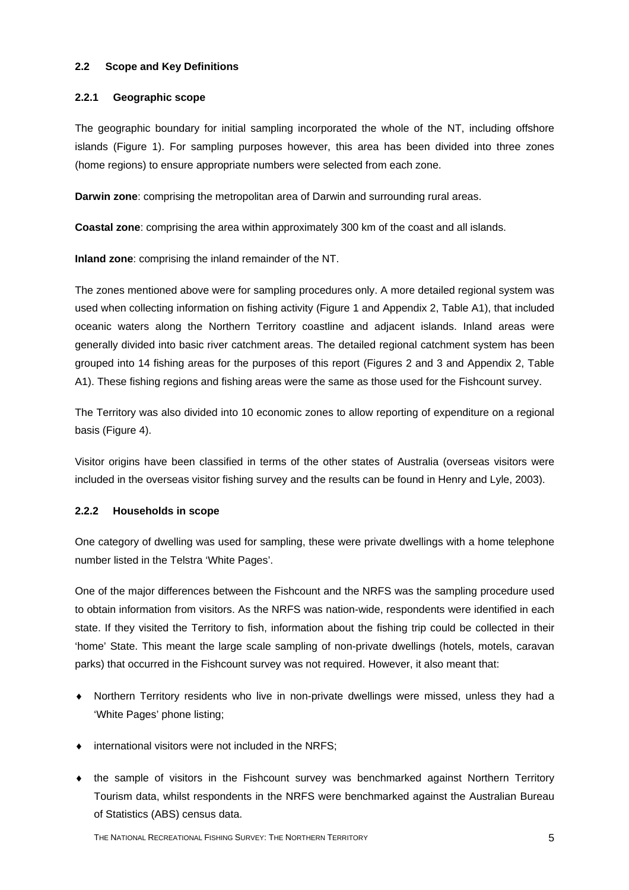#### <span id="page-14-0"></span>**2.2 Scope and Key Definitions**

#### <span id="page-14-1"></span>**2.2.1 Geographic scope**

The geographic boundary for initial sampling incorporated the whole of the NT, including offshore islands (Figure 1). For sampling purposes however, this area has been divided into three zones (home regions) to ensure appropriate numbers were selected from each zone.

**Darwin zone**: comprising the metropolitan area of Darwin and surrounding rural areas.

**Coastal zone**: comprising the area within approximately 300 km of the coast and all islands.

**Inland zone**: comprising the inland remainder of the NT.

The zones mentioned above were for sampling procedures only. A more detailed regional system was used when collecting information on fishing activity (Figure 1 and Appendix 2, Table A1), that included oceanic waters along the Northern Territory coastline and adjacent islands. Inland areas were generally divided into basic river catchment areas. The detailed regional catchment system has been grouped into 14 fishing areas for the purposes of this report (Figures 2 and 3 and Appendix 2, Table A1). These fishing regions and fishing areas were the same as those used for the Fishcount survey.

The Territory was also divided into 10 economic zones to allow reporting of expenditure on a regional basis (Figure 4).

Visitor origins have been classified in terms of the other states of Australia (overseas visitors were included in the overseas visitor fishing survey and the results can be found in Henry and Lyle, 2003).

#### <span id="page-14-2"></span>**2.2.2 Households in scope**

One category of dwelling was used for sampling, these were private dwellings with a home telephone number listed in the Telstra 'White Pages'.

One of the major differences between the Fishcount and the NRFS was the sampling procedure used to obtain information from visitors. As the NRFS was nation-wide, respondents were identified in each state. If they visited the Territory to fish, information about the fishing trip could be collected in their 'home' State. This meant the large scale sampling of non-private dwellings (hotels, motels, caravan parks) that occurred in the Fishcount survey was not required. However, it also meant that:

- Northern Territory residents who live in non-private dwellings were missed, unless they had a 'White Pages' phone listing;
- $\bullet$  international visitors were not included in the NRFS;
- ♦ the sample of visitors in the Fishcount survey was benchmarked against Northern Territory Tourism data, whilst respondents in the NRFS were benchmarked against the Australian Bureau of Statistics (ABS) census data.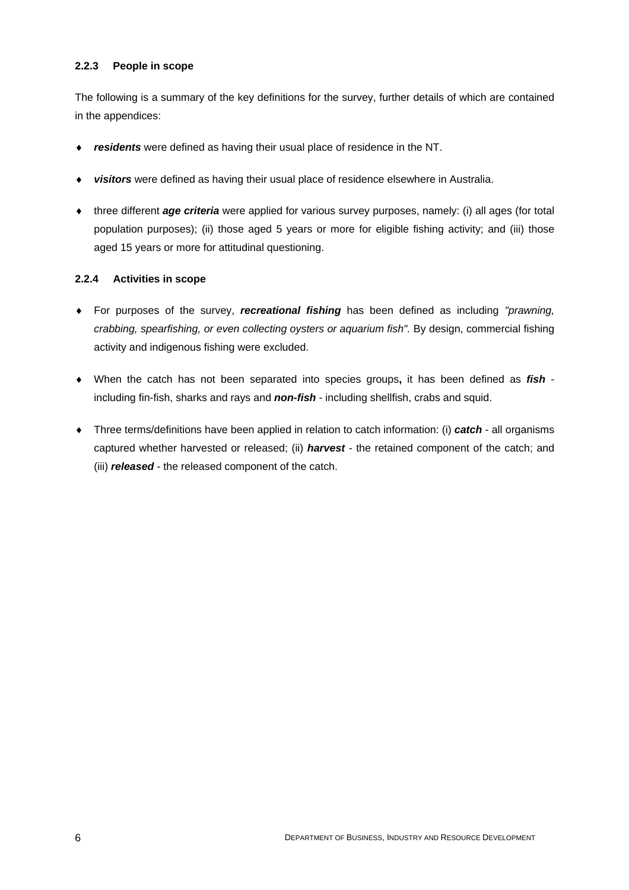#### <span id="page-15-0"></span>**2.2.3 People in scope**

The following is a summary of the key definitions for the survey, further details of which are contained in the appendices:

- ♦ *residents* were defined as having their usual place of residence in the NT.
- ♦ *visitors* were defined as having their usual place of residence elsewhere in Australia.
- ♦ three different *age criteria* were applied for various survey purposes, namely: (i) all ages (for total population purposes); (ii) those aged 5 years or more for eligible fishing activity; and (iii) those aged 15 years or more for attitudinal questioning.

#### <span id="page-15-1"></span>**2.2.4 Activities in scope**

- ♦ For purposes of the survey, *recreational fishing* has been defined as including *"prawning, crabbing, spearfishing, or even collecting oysters or aquarium fish".* By design, commercial fishing activity and indigenous fishing were excluded.
- ♦ When the catch has not been separated into species groups**,** it has been defined as *fish*   including fin-fish, sharks and rays and *non-fish* - including shellfish, crabs and squid.
- ♦ Three terms/definitions have been applied in relation to catch information: (i) *catch* all organisms captured whether harvested or released; (ii) *harvest* - the retained component of the catch; and (iii) *released* - the released component of the catch.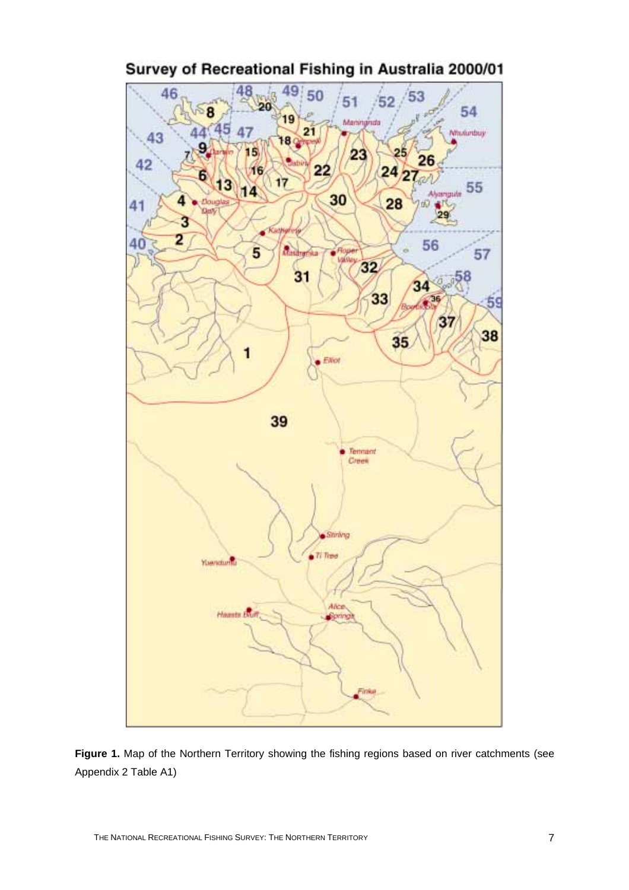

Survey of Recreational Fishing in Australia 2000/01

**Figure 1.** Map of the Northern Territory showing the fishing regions based on river catchments (see Appendix 2 Table A1)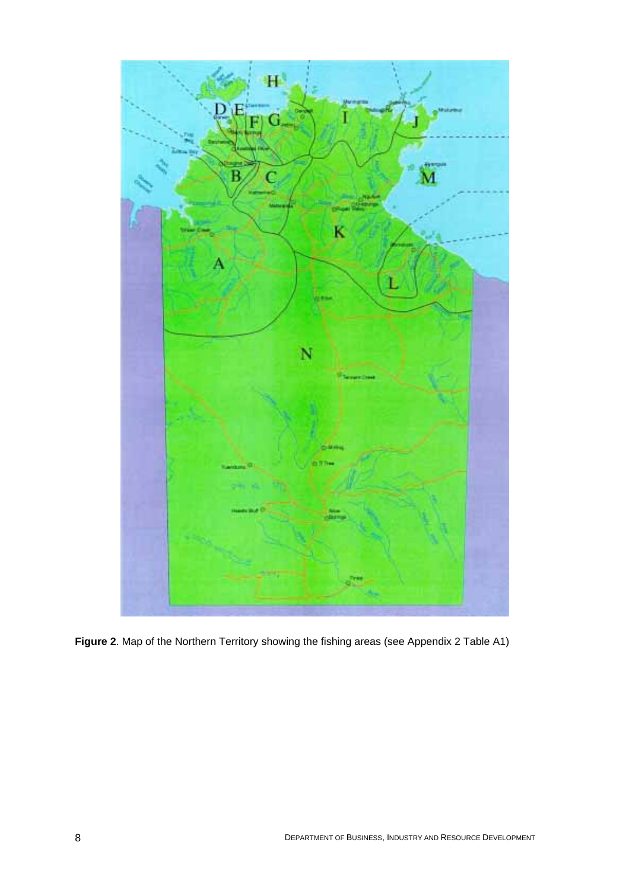

**Figure 2**. Map of the Northern Territory showing the fishing areas (see Appendix 2 Table A1)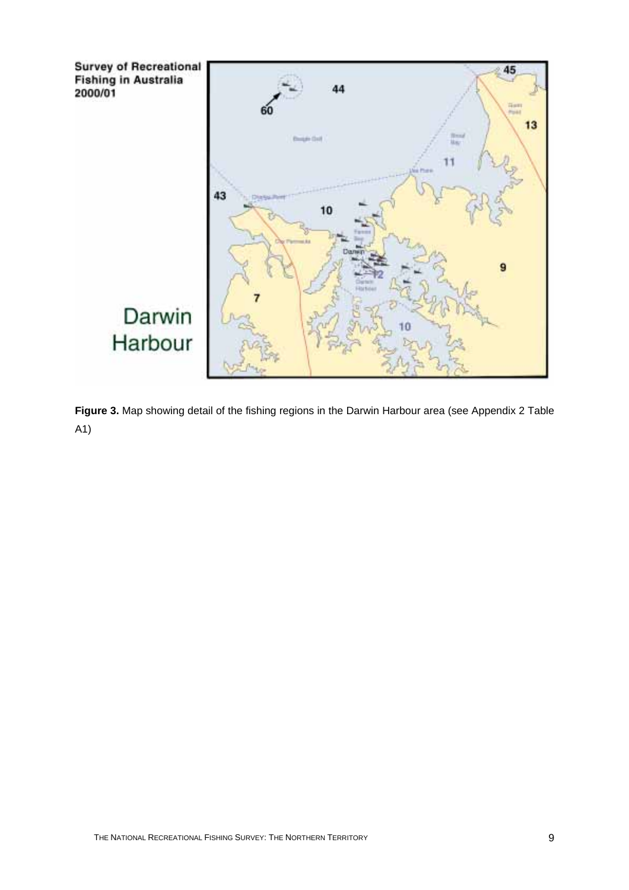

**Figure 3.** Map showing detail of the fishing regions in the Darwin Harbour area (see Appendix 2 Table A1)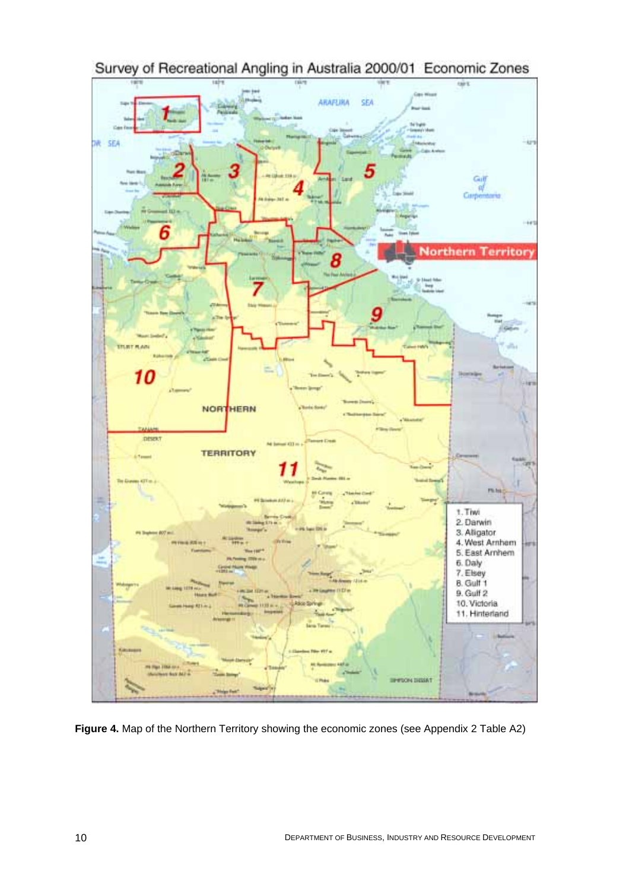

Survey of Recreational Angling in Australia 2000/01 Economic Zones

**Figure 4.** Map of the Northern Territory showing the economic zones (see Appendix 2 Table A2)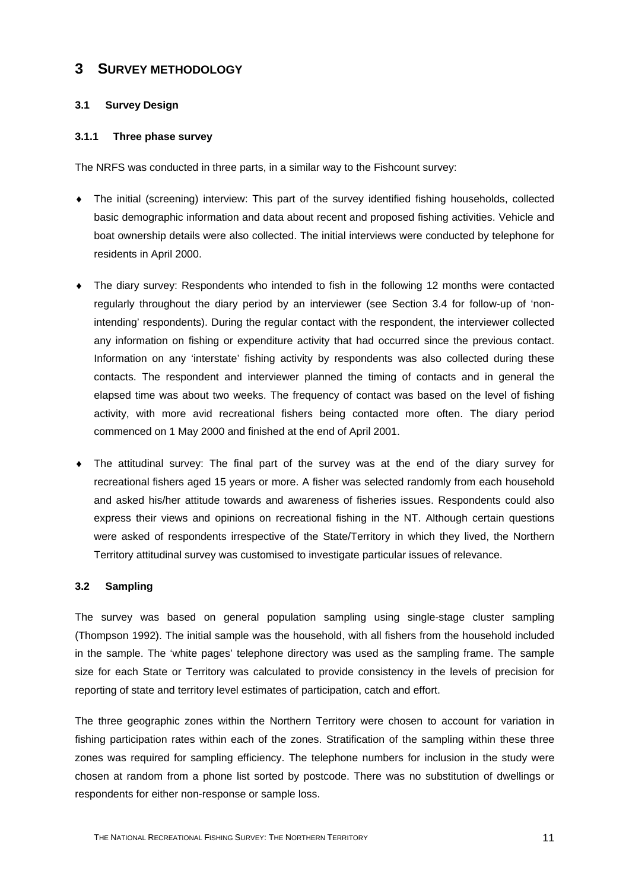## <span id="page-20-0"></span>**3 SURVEY METHODOLOGY**

#### <span id="page-20-1"></span>**3.1 Survey Design**

#### <span id="page-20-2"></span>**3.1.1 Three phase survey**

The NRFS was conducted in three parts, in a similar way to the Fishcount survey:

- ♦ The initial (screening) interview: This part of the survey identified fishing households, collected basic demographic information and data about recent and proposed fishing activities. Vehicle and boat ownership details were also collected. The initial interviews were conducted by telephone for residents in April 2000.
- The diary survey: Respondents who intended to fish in the following 12 months were contacted regularly throughout the diary period by an interviewer (see Section 3.4 for follow-up of 'nonintending' respondents). During the regular contact with the respondent, the interviewer collected any information on fishing or expenditure activity that had occurred since the previous contact. Information on any 'interstate' fishing activity by respondents was also collected during these contacts. The respondent and interviewer planned the timing of contacts and in general the elapsed time was about two weeks. The frequency of contact was based on the level of fishing activity, with more avid recreational fishers being contacted more often. The diary period commenced on 1 May 2000 and finished at the end of April 2001.
- The attitudinal survey: The final part of the survey was at the end of the diary survey for recreational fishers aged 15 years or more. A fisher was selected randomly from each household and asked his/her attitude towards and awareness of fisheries issues. Respondents could also express their views and opinions on recreational fishing in the NT. Although certain questions were asked of respondents irrespective of the State/Territory in which they lived, the Northern Territory attitudinal survey was customised to investigate particular issues of relevance.

#### <span id="page-20-3"></span>**3.2 Sampling**

The survey was based on general population sampling using single-stage cluster sampling (Thompson 1992). The initial sample was the household, with all fishers from the household included in the sample. The 'white pages' telephone directory was used as the sampling frame. The sample size for each State or Territory was calculated to provide consistency in the levels of precision for reporting of state and territory level estimates of participation, catch and effort.

The three geographic zones within the Northern Territory were chosen to account for variation in fishing participation rates within each of the zones. Stratification of the sampling within these three zones was required for sampling efficiency. The telephone numbers for inclusion in the study were chosen at random from a phone list sorted by postcode. There was no substitution of dwellings or respondents for either non-response or sample loss.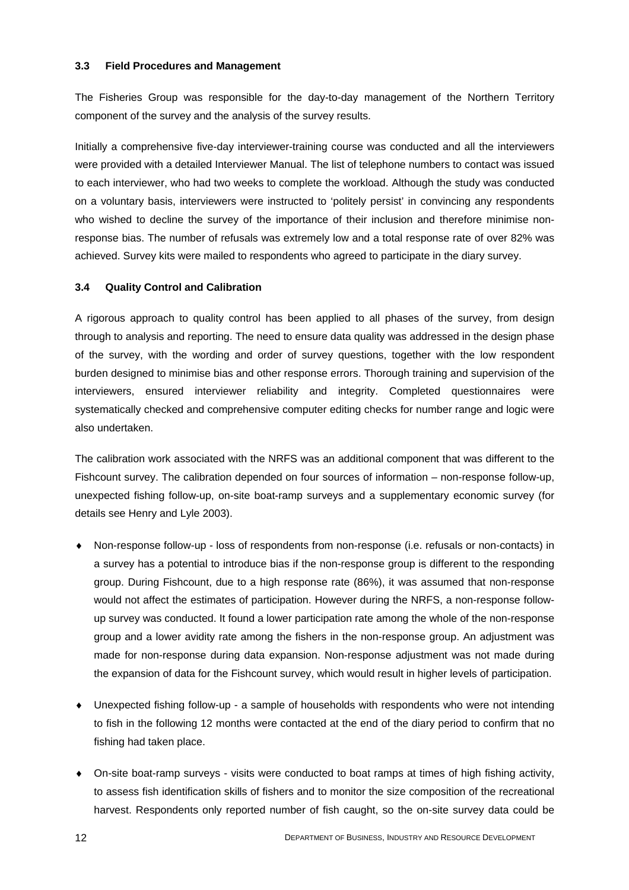#### <span id="page-21-0"></span>**3.3 Field Procedures and Management**

The Fisheries Group was responsible for the day-to-day management of the Northern Territory component of the survey and the analysis of the survey results.

Initially a comprehensive five-day interviewer-training course was conducted and all the interviewers were provided with a detailed Interviewer Manual. The list of telephone numbers to contact was issued to each interviewer, who had two weeks to complete the workload. Although the study was conducted on a voluntary basis, interviewers were instructed to 'politely persist' in convincing any respondents who wished to decline the survey of the importance of their inclusion and therefore minimise nonresponse bias. The number of refusals was extremely low and a total response rate of over 82% was achieved. Survey kits were mailed to respondents who agreed to participate in the diary survey.

#### <span id="page-21-1"></span>**3.4 Quality Control and Calibration**

A rigorous approach to quality control has been applied to all phases of the survey, from design through to analysis and reporting. The need to ensure data quality was addressed in the design phase of the survey, with the wording and order of survey questions, together with the low respondent burden designed to minimise bias and other response errors. Thorough training and supervision of the interviewers, ensured interviewer reliability and integrity. Completed questionnaires were systematically checked and comprehensive computer editing checks for number range and logic were also undertaken.

The calibration work associated with the NRFS was an additional component that was different to the Fishcount survey. The calibration depended on four sources of information – non-response follow-up, unexpected fishing follow-up, on-site boat-ramp surveys and a supplementary economic survey (for details see Henry and Lyle 2003).

- Non-response follow-up loss of respondents from non-response (i.e. refusals or non-contacts) in a survey has a potential to introduce bias if the non-response group is different to the responding group. During Fishcount, due to a high response rate (86%), it was assumed that non-response would not affect the estimates of participation. However during the NRFS, a non-response followup survey was conducted. It found a lower participation rate among the whole of the non-response group and a lower avidity rate among the fishers in the non-response group. An adjustment was made for non-response during data expansion. Non-response adjustment was not made during the expansion of data for the Fishcount survey, which would result in higher levels of participation.
- ♦ Unexpected fishing follow-up a sample of households with respondents who were not intending to fish in the following 12 months were contacted at the end of the diary period to confirm that no fishing had taken place.
- ♦ On-site boat-ramp surveys visits were conducted to boat ramps at times of high fishing activity, to assess fish identification skills of fishers and to monitor the size composition of the recreational harvest. Respondents only reported number of fish caught, so the on-site survey data could be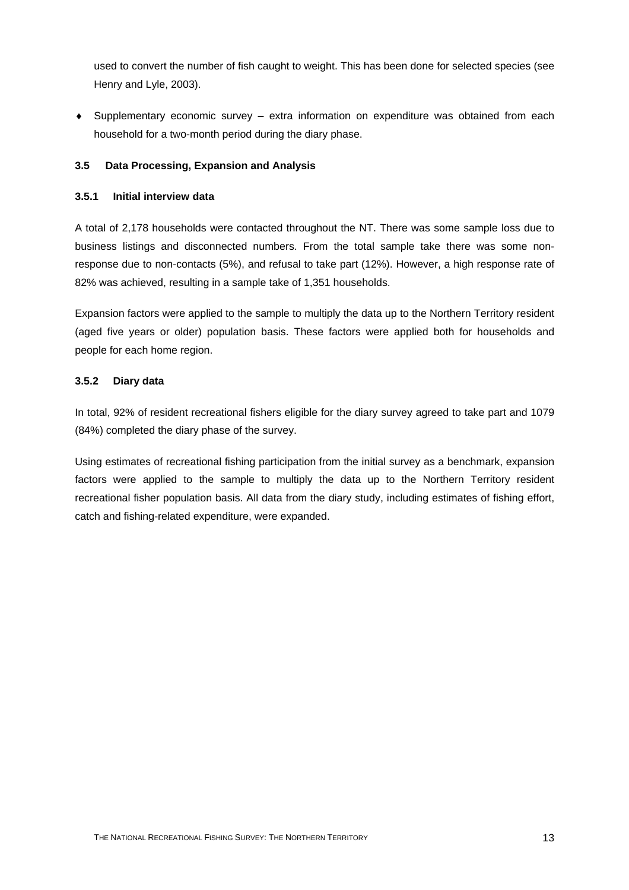used to convert the number of fish caught to weight. This has been done for selected species (see Henry and Lyle, 2003).

♦ Supplementary economic survey – extra information on expenditure was obtained from each household for a two-month period during the diary phase.

#### <span id="page-22-0"></span>**3.5 Data Processing, Expansion and Analysis**

#### <span id="page-22-1"></span>**3.5.1 Initial interview data**

A total of 2,178 households were contacted throughout the NT. There was some sample loss due to business listings and disconnected numbers. From the total sample take there was some nonresponse due to non-contacts (5%), and refusal to take part (12%). However, a high response rate of 82% was achieved, resulting in a sample take of 1,351 households.

Expansion factors were applied to the sample to multiply the data up to the Northern Territory resident (aged five years or older) population basis. These factors were applied both for households and people for each home region.

#### <span id="page-22-2"></span>**3.5.2 Diary data**

In total, 92% of resident recreational fishers eligible for the diary survey agreed to take part and 1079 (84%) completed the diary phase of the survey.

Using estimates of recreational fishing participation from the initial survey as a benchmark, expansion factors were applied to the sample to multiply the data up to the Northern Territory resident recreational fisher population basis. All data from the diary study, including estimates of fishing effort, catch and fishing-related expenditure, were expanded.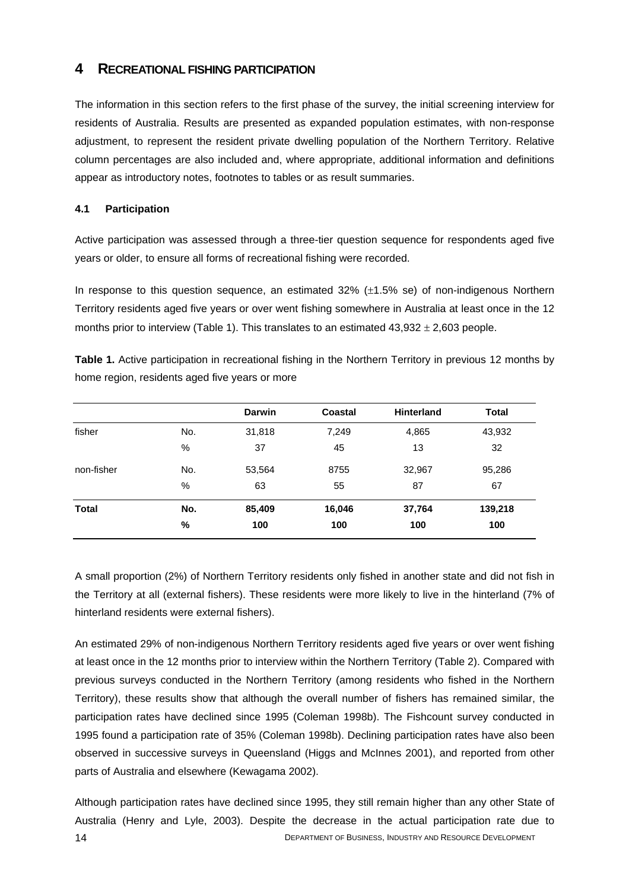## <span id="page-23-0"></span>**4 RECREATIONAL FISHING PARTICIPATION**

The information in this section refers to the first phase of the survey, the initial screening interview for residents of Australia. Results are presented as expanded population estimates, with non-response adjustment, to represent the resident private dwelling population of the Northern Territory. Relative column percentages are also included and, where appropriate, additional information and definitions appear as introductory notes, footnotes to tables or as result summaries.

#### <span id="page-23-1"></span>**4.1 Participation**

Active participation was assessed through a three-tier question sequence for respondents aged five years or older, to ensure all forms of recreational fishing were recorded.

In response to this question sequence, an estimated  $32\%$  ( $\pm 1.5\%$  se) of non-indigenous Northern Territory residents aged five years or over went fishing somewhere in Australia at least once in the 12 months prior to interview (Table 1). This translates to an estimated  $43,932 \pm 2,603$  people.

**Table 1.** Active participation in recreational fishing in the Northern Territory in previous 12 months by home region, residents aged five years or more

|              |      | <b>Darwin</b> | Coastal | <b>Hinterland</b> | <b>Total</b> |
|--------------|------|---------------|---------|-------------------|--------------|
| fisher       | No.  | 31,818        | 7,249   | 4,865             | 43,932       |
|              | %    | 37            | 45      | 13                | 32           |
| non-fisher   | No.  | 53,564        | 8755    | 32,967            | 95,286       |
|              | $\%$ | 63            | 55      | 87                | 67           |
| <b>Total</b> | No.  | 85,409        | 16,046  | 37,764            | 139,218      |
|              | $\%$ | 100           | 100     | 100               | 100          |

A small proportion (2%) of Northern Territory residents only fished in another state and did not fish in the Territory at all (external fishers). These residents were more likely to live in the hinterland (7% of hinterland residents were external fishers).

An estimated 29% of non-indigenous Northern Territory residents aged five years or over went fishing at least once in the 12 months prior to interview within the Northern Territory (Table 2). Compared with previous surveys conducted in the Northern Territory (among residents who fished in the Northern Territory), these results show that although the overall number of fishers has remained similar, the participation rates have declined since 1995 (Coleman 1998b). The Fishcount survey conducted in 1995 found a participation rate of 35% (Coleman 1998b). Declining participation rates have also been observed in successive surveys in Queensland (Higgs and McInnes 2001), and reported from other parts of Australia and elsewhere (Kewagama 2002).

Although participation rates have declined since 1995, they still remain higher than any other State of Australia (Henry and Lyle, 2003). Despite the decrease in the actual participation rate due to 14 DEPARTMENT OF BUSINESS, INDUSTRY AND RESOURCE DEVELOPMENT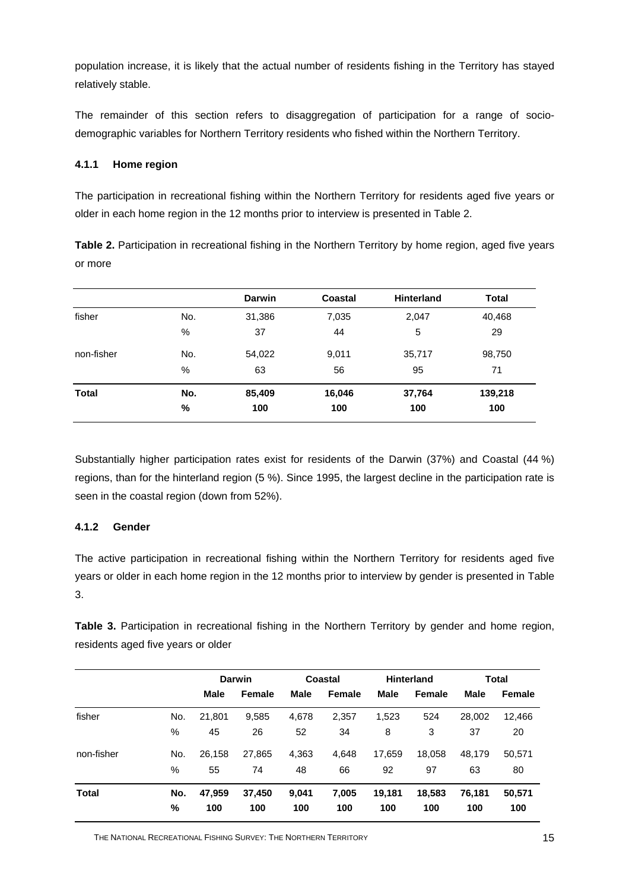population increase, it is likely that the actual number of residents fishing in the Territory has stayed relatively stable.

The remainder of this section refers to disaggregation of participation for a range of sociodemographic variables for Northern Territory residents who fished within the Northern Territory.

#### <span id="page-24-0"></span>**4.1.1 Home region**

The participation in recreational fishing within the Northern Territory for residents aged five years or older in each home region in the 12 months prior to interview is presented in Table 2.

**Table 2.** Participation in recreational fishing in the Northern Territory by home region, aged five years or more

|                      |     | <b>Darwin</b> | Coastal | <b>Hinterland</b> | <b>Total</b> |
|----------------------|-----|---------------|---------|-------------------|--------------|
| fisher<br>non-fisher | No. | 31,386        | 7,035   | 2,047             | 40,468       |
|                      | %   | 37            | 44      | 5                 | 29           |
|                      | No. | 54,022        | 9,011   | 35,717            | 98,750       |
|                      | %   | 63            | 56      | 95                | 71           |
| Total                | No. | 85,409        | 16,046  | 37,764            | 139,218      |
|                      | %   | 100           | 100     | 100               | 100          |

Substantially higher participation rates exist for residents of the Darwin (37%) and Coastal (44 %) regions, than for the hinterland region (5 %). Since 1995, the largest decline in the participation rate is seen in the coastal region (down from 52%).

#### <span id="page-24-1"></span>**4.1.2 Gender**

The active participation in recreational fishing within the Northern Territory for residents aged five years or older in each home region in the 12 months prior to interview by gender is presented in Table 3.

**Table 3.** Participation in recreational fishing in the Northern Territory by gender and home region, residents aged five years or older

|            |      |        | <b>Darwin</b> |             | Coastal       |        | <b>Hinterland</b> |             | Total  |
|------------|------|--------|---------------|-------------|---------------|--------|-------------------|-------------|--------|
|            |      | Male   | Female        | <b>Male</b> | <b>Female</b> | Male   | Female            | <b>Male</b> | Female |
| fisher     | No.  | 21,801 | 9,585         | 4,678       | 2,357         | 1,523  | 524               | 28,002      | 12,466 |
|            | %    | 45     | 26            | 52          | 34            | 8      | 3                 | 37          | 20     |
| non-fisher | No.  | 26,158 | 27,865        | 4,363       | 4,648         | 17,659 | 18,058            | 48.179      | 50,571 |
|            | %    | 55     | 74            | 48          | 66            | 92     | 97                | 63          | 80     |
| Total      | No.  | 47,959 | 37,450        | 9,041       | 7,005         | 19,181 | 18,583            | 76.181      | 50,571 |
|            | $\%$ | 100    | 100           | 100         | 100           | 100    | 100               | 100         | 100    |

THE NATIONAL RECREATIONAL FISHING SURVEY: THE NORTHERN TERRITORY 15 15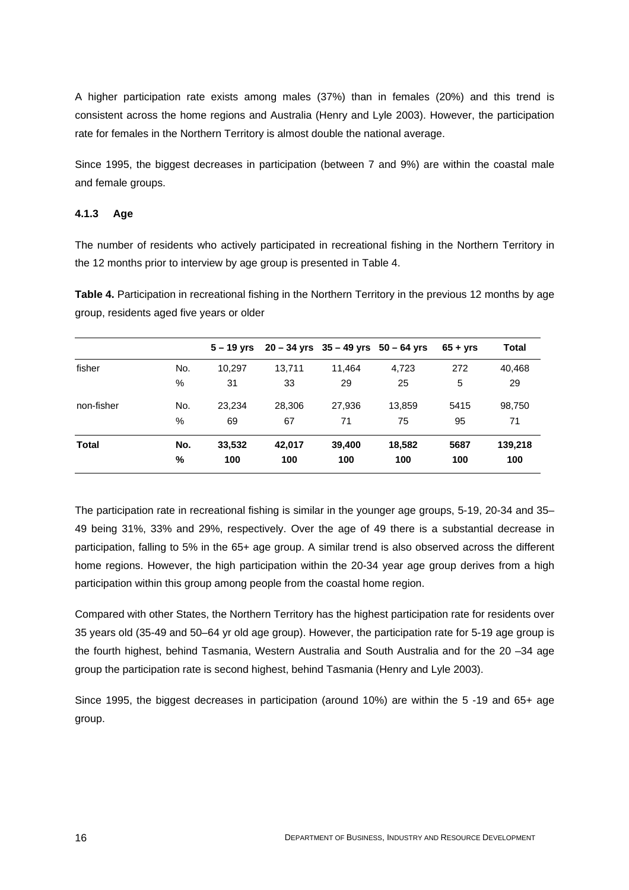A higher participation rate exists among males (37%) than in females (20%) and this trend is consistent across the home regions and Australia (Henry and Lyle 2003). However, the participation rate for females in the Northern Territory is almost double the national average.

Since 1995, the biggest decreases in participation (between 7 and 9%) are within the coastal male and female groups.

#### <span id="page-25-0"></span>**4.1.3 Age**

The number of residents who actively participated in recreational fishing in the Northern Territory in the 12 months prior to interview by age group is presented in Table 4.

Table 4. Participation in recreational fishing in the Northern Territory in the previous 12 months by age group, residents aged five years or older

|            |     |        | $5 - 19$ yrs $20 - 34$ yrs $35 - 49$ yrs $50 - 64$ yrs |        |        | $65 + vrs$ | <b>Total</b> |
|------------|-----|--------|--------------------------------------------------------|--------|--------|------------|--------------|
| fisher     | No. | 10,297 | 13,711                                                 | 11,464 | 4,723  | 272        | 40,468       |
|            | %   | 31     | 33                                                     | 29     | 25     | 5          | 29           |
| non-fisher | No. | 23.234 | 28,306                                                 | 27.936 | 13.859 | 5415       | 98,750       |
|            | %   | 69     | 67                                                     | 71     | 75     | 95         | 71           |
| Total      | No. | 33,532 | 42,017                                                 | 39,400 | 18,582 | 5687       | 139,218      |
|            | %   | 100    | 100                                                    | 100    | 100    | 100        | 100          |

The participation rate in recreational fishing is similar in the younger age groups, 5-19, 20-34 and 35– 49 being 31%, 33% and 29%, respectively. Over the age of 49 there is a substantial decrease in participation, falling to 5% in the 65+ age group. A similar trend is also observed across the different home regions. However, the high participation within the 20-34 year age group derives from a high participation within this group among people from the coastal home region.

Compared with other States, the Northern Territory has the highest participation rate for residents over 35 years old (35-49 and 50–64 yr old age group). However, the participation rate for 5-19 age group is the fourth highest, behind Tasmania, Western Australia and South Australia and for the 20 –34 age group the participation rate is second highest, behind Tasmania (Henry and Lyle 2003).

Since 1995, the biggest decreases in participation (around 10%) are within the 5 -19 and 65+ age group.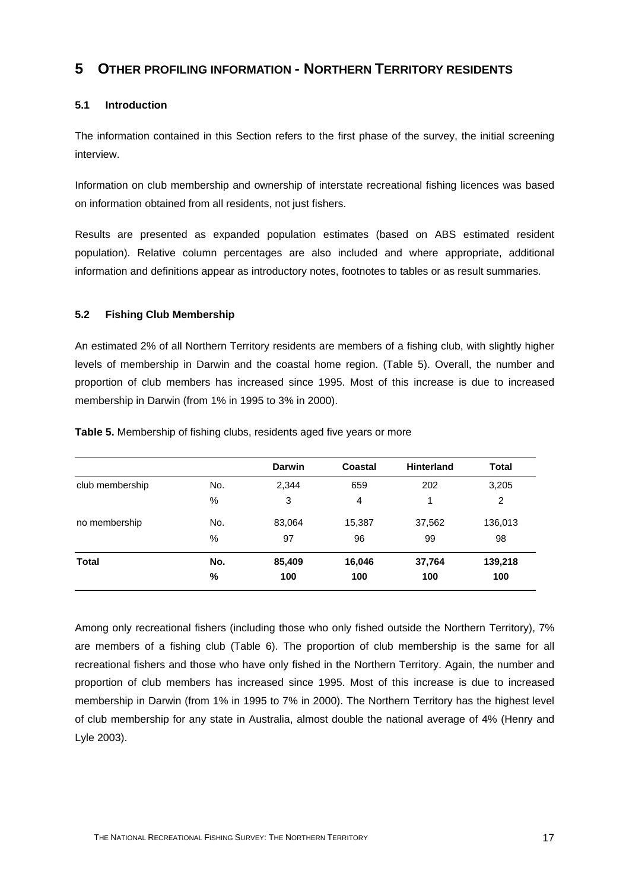## <span id="page-26-0"></span>**5 OTHER PROFILING INFORMATION - NORTHERN TERRITORY RESIDENTS**

#### <span id="page-26-1"></span>**5.1 Introduction**

The information contained in this Section refers to the first phase of the survey, the initial screening interview.

Information on club membership and ownership of interstate recreational fishing licences was based on information obtained from all residents, not just fishers.

Results are presented as expanded population estimates (based on ABS estimated resident population). Relative column percentages are also included and where appropriate, additional information and definitions appear as introductory notes, footnotes to tables or as result summaries.

#### <span id="page-26-2"></span>**5.2 Fishing Club Membership**

An estimated 2% of all Northern Territory residents are members of a fishing club, with slightly higher levels of membership in Darwin and the coastal home region. (Table 5). Overall, the number and proportion of club members has increased since 1995. Most of this increase is due to increased membership in Darwin (from 1% in 1995 to 3% in 2000).

|                 |      | <b>Darwin</b> | Coastal        | <b>Hinterland</b> | <b>Total</b> |
|-----------------|------|---------------|----------------|-------------------|--------------|
| club membership | No.  | 2,344         | 659            | 202               | 3,205        |
|                 | %    | 3             | $\overline{4}$ | 1                 | 2            |
| no membership   | No.  | 83,064        | 15,387         | 37,562            | 136,013      |
|                 | %    | 97            | 96             | 99                | 98           |
| <b>Total</b>    | No.  | 85,409        | 16,046         | 37,764            | 139,218      |
|                 | $\%$ | 100           | 100            | 100               | 100          |

**Table 5.** Membership of fishing clubs, residents aged five years or more

Among only recreational fishers (including those who only fished outside the Northern Territory), 7% are members of a fishing club (Table 6). The proportion of club membership is the same for all recreational fishers and those who have only fished in the Northern Territory. Again, the number and proportion of club members has increased since 1995. Most of this increase is due to increased membership in Darwin (from 1% in 1995 to 7% in 2000). The Northern Territory has the highest level of club membership for any state in Australia, almost double the national average of 4% (Henry and Lyle 2003).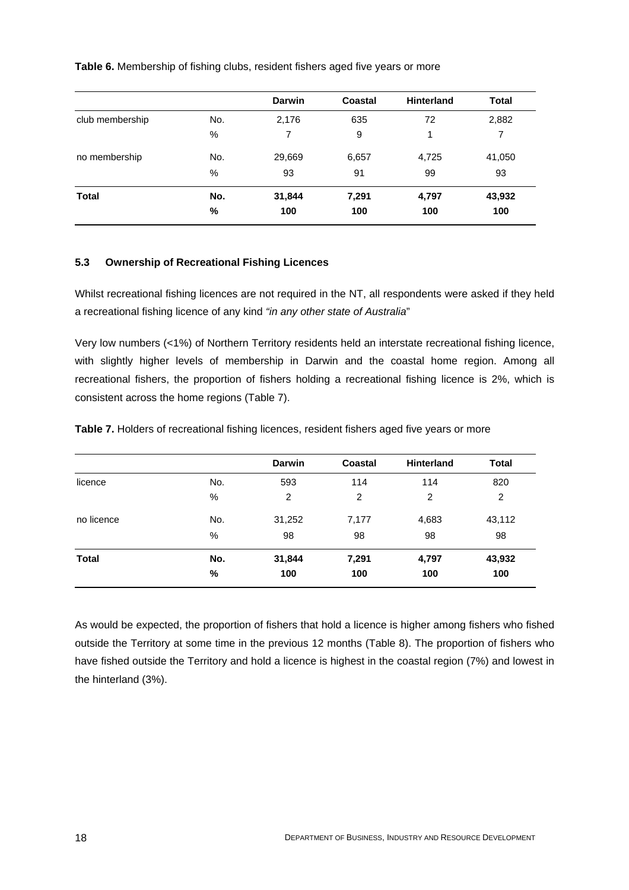**Table 6.** Membership of fishing clubs, resident fishers aged five years or more

|                 |     | <b>Darwin</b> | Coastal | <b>Hinterland</b> | <b>Total</b> |
|-----------------|-----|---------------|---------|-------------------|--------------|
| club membership | No. | 2,176         | 635     | 72                | 2,882        |
|                 | %   | 7             | 9       | 1                 | 7            |
| no membership   | No. | 29,669        | 6,657   | 4,725             | 41,050       |
|                 | %   | 93            | 91      | 99                | 93           |
| <b>Total</b>    | No. | 31,844        | 7,291   | 4,797             | 43,932       |
|                 | %   | 100           | 100     | 100               | 100          |

#### <span id="page-27-0"></span>**5.3 Ownership of Recreational Fishing Licences**

Whilst recreational fishing licences are not required in the NT, all respondents were asked if they held a recreational fishing licence of any kind *"in any other state of Australia*"

Very low numbers (<1%) of Northern Territory residents held an interstate recreational fishing licence, with slightly higher levels of membership in Darwin and the coastal home region. Among all recreational fishers, the proportion of fishers holding a recreational fishing licence is 2%, which is consistent across the home regions (Table 7).

**Table 7.** Holders of recreational fishing licences, resident fishers aged five years or more

|              |     | <b>Darwin</b> | Coastal | <b>Hinterland</b> | <b>Total</b> |
|--------------|-----|---------------|---------|-------------------|--------------|
| licence      | No. | 593           | 114     | 114               | 820          |
|              | %   | 2             | 2       | 2                 | 2            |
| no licence   | No. | 31,252        | 7,177   | 4,683             | 43,112       |
|              | %   | 98            | 98      | 98                | 98           |
| <b>Total</b> | No. | 31,844        | 7,291   | 4,797             | 43,932       |
|              | %   | 100           | 100     | 100               | 100          |

As would be expected, the proportion of fishers that hold a licence is higher among fishers who fished outside the Territory at some time in the previous 12 months (Table 8). The proportion of fishers who have fished outside the Territory and hold a licence is highest in the coastal region (7%) and lowest in the hinterland (3%).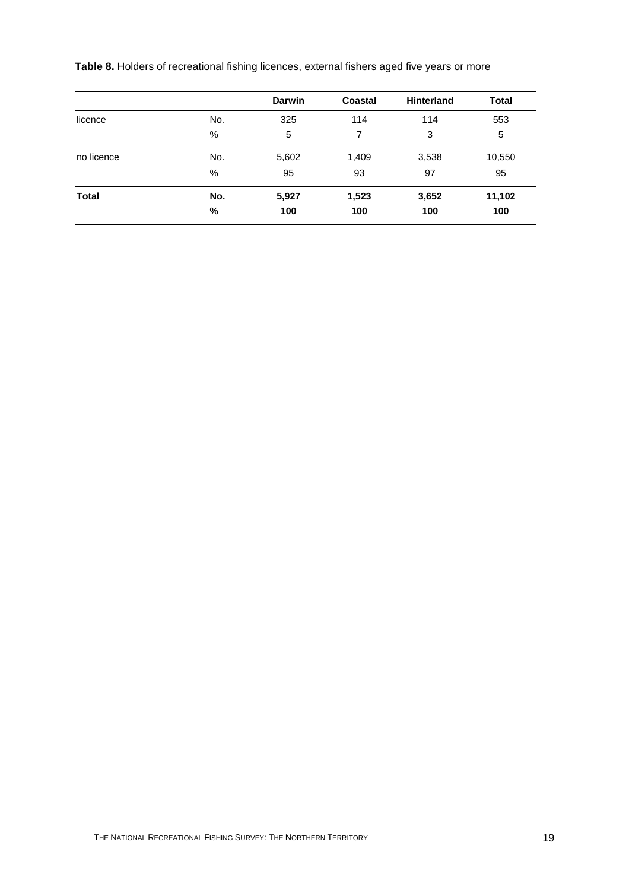**Table 8.** Holders of recreational fishing licences, external fishers aged five years or more

|              |      | <b>Darwin</b> | Coastal | <b>Hinterland</b> | <b>Total</b> |
|--------------|------|---------------|---------|-------------------|--------------|
| licence      | No.  | 325           | 114     | 114               | 553          |
|              | %    | 5             | 7       | 3                 | 5            |
| no licence   | No.  | 5,602         | 1,409   | 3,538             | 10,550       |
|              | $\%$ | 95            | 93      | 97                | 95           |
| <b>Total</b> | No.  | 5,927         | 1,523   | 3,652             | 11,102       |
|              | %    | 100           | 100     | 100               | 100          |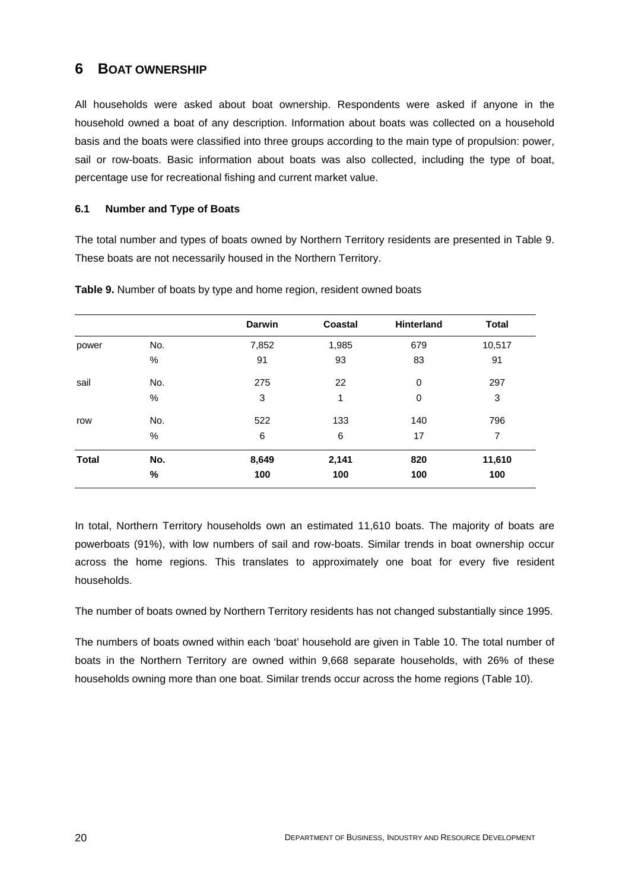## <span id="page-29-0"></span>**6 BOAT OWNERSHIP**

All households were asked about boat ownership. Respondents were asked if anyone in the household owned a boat of any description. Information about boats was collected on a household basis and the boats were classified into three groups according to the main type of propulsion: power, sail or row-boats. Basic information about boats was also collected, including the type of boat, percentage use for recreational fishing and current market value.

#### <span id="page-29-1"></span>**6.1 Number and Type of Boats**

The total number and types of boats owned by Northern Territory residents are presented in Table 9. These boats are not necessarily housed in the Northern Territory.

|              |      | Darwin | Coastal | Hinterland  | <b>Total</b> |
|--------------|------|--------|---------|-------------|--------------|
| power        | No.  | 7,852  | 1,985   | 679         | 10,517       |
|              | $\%$ | 91     | 93      | 83          | 91           |
| sail         | No.  | 275    | 22      | $\mathbf 0$ | 297          |
|              | %    | 3      | 1       | 0           | 3            |
| row          | No.  | 522    | 133     | 140         | 796          |
|              | %    | 6      | $\,6$   | 17          | 7            |
| <b>Total</b> | No.  | 8,649  | 2,141   | 820         | 11,610       |
|              | $\%$ | 100    | 100     | 100         | 100          |

**Table 9.** Number of boats by type and home region, resident owned boats

In total, Northern Territory households own an estimated 11,610 boats. The majority of boats are powerboats (91%), with low numbers of sail and row-boats. Similar trends in boat ownership occur across the home regions. This translates to approximately one boat for every five resident households.

The number of boats owned by Northern Territory residents has not changed substantially since 1995.

The numbers of boats owned within each 'boat' household are given in Table 10. The total number of boats in the Northern Territory are owned within 9,668 separate households, with 26% of these households owning more than one boat. Similar trends occur across the home regions (Table 10).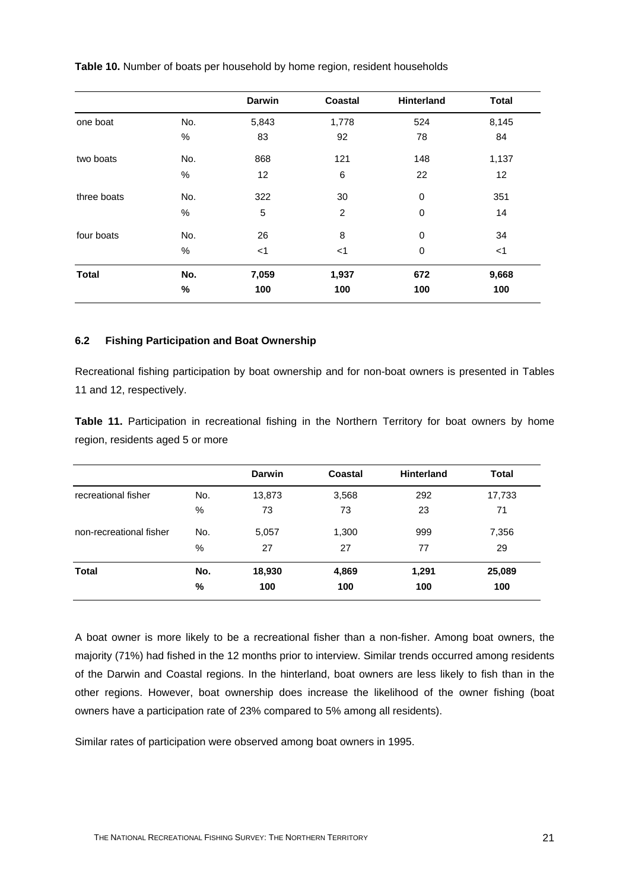|              |      | Darwin      | Coastal | Hinterland  | <b>Total</b> |
|--------------|------|-------------|---------|-------------|--------------|
| one boat     | No.  | 5,843       | 1,778   | 524         | 8,145        |
|              | $\%$ | 83          | 92      | 78          | 84           |
| two boats    | No.  | 868         | 121     | 148         | 1,137        |
|              | $\%$ | 12          | 6       | 22          | 12           |
| three boats  | No.  | 322         | 30      | $\mathbf 0$ | 351          |
|              | $\%$ | $\mathbf 5$ | 2       | $\mathbf 0$ | 14           |
| four boats   | No.  | 26          | 8       | $\mathbf 0$ | 34           |
|              | $\%$ | $<$ 1       | $<$ 1   | 0           | $<$ 1        |
| <b>Total</b> | No.  | 7,059       | 1,937   | 672         | 9,668        |
|              | %    | 100         | 100     | 100         | 100          |

**Table 10.** Number of boats per household by home region, resident households

#### <span id="page-30-0"></span>**6.2 Fishing Participation and Boat Ownership**

Recreational fishing participation by boat ownership and for non-boat owners is presented in Tables 11 and 12, respectively.

**Table 11.** Participation in recreational fishing in the Northern Territory for boat owners by home region, residents aged 5 or more

|                         |     | <b>Darwin</b> | Coastal | <b>Hinterland</b> | <b>Total</b> |
|-------------------------|-----|---------------|---------|-------------------|--------------|
| recreational fisher     | No. | 13,873        | 3,568   | 292               | 17,733       |
|                         | %   | 73            | 73      | 23                | 71           |
| non-recreational fisher | No. | 5,057         | 1,300   | 999               | 7,356        |
|                         | %   | 27            | 27      | 77                | 29           |
| <b>Total</b>            | No. | 18,930        | 4,869   | 1,291             | 25,089       |
|                         | %   | 100           | 100     | 100               | 100          |

A boat owner is more likely to be a recreational fisher than a non-fisher. Among boat owners, the majority (71%) had fished in the 12 months prior to interview. Similar trends occurred among residents of the Darwin and Coastal regions. In the hinterland, boat owners are less likely to fish than in the other regions. However, boat ownership does increase the likelihood of the owner fishing (boat owners have a participation rate of 23% compared to 5% among all residents).

Similar rates of participation were observed among boat owners in 1995.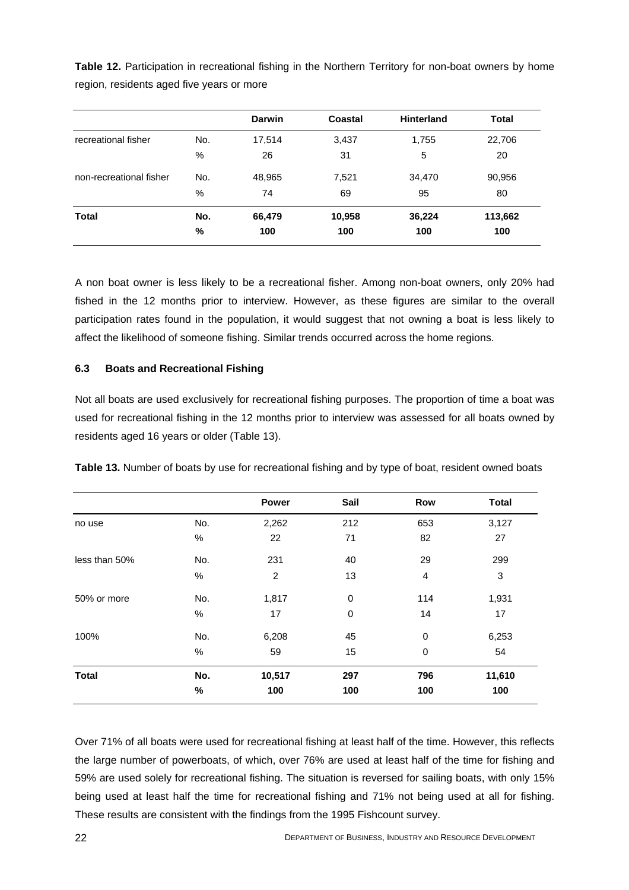**Table 12.** Participation in recreational fishing in the Northern Territory for non-boat owners by home region, residents aged five years or more

|                         |     | <b>Darwin</b> | <b>Coastal</b> | <b>Hinterland</b> | <b>Total</b> |
|-------------------------|-----|---------------|----------------|-------------------|--------------|
| recreational fisher     | No. | 17,514        | 3,437          | 1,755             | 22,706       |
|                         | %   | 26            | 31             | 5                 | 20           |
| non-recreational fisher | No. | 48,965        | 7,521          | 34,470            | 90,956       |
|                         | %   | 74            | 69             | 95                | 80           |
| Total                   | No. | 66,479        | 10,958         | 36,224            | 113,662      |
|                         | %   | 100           | 100            | 100               | 100          |

A non boat owner is less likely to be a recreational fisher. Among non-boat owners, only 20% had fished in the 12 months prior to interview. However, as these figures are similar to the overall participation rates found in the population, it would suggest that not owning a boat is less likely to affect the likelihood of someone fishing. Similar trends occurred across the home regions.

#### <span id="page-31-0"></span>**6.3 Boats and Recreational Fishing**

Not all boats are used exclusively for recreational fishing purposes. The proportion of time a boat was used for recreational fishing in the 12 months prior to interview was assessed for all boats owned by residents aged 16 years or older (Table 13).

|  |  |  |  | Table 13. Number of boats by use for recreational fishing and by type of boat, resident owned boats |
|--|--|--|--|-----------------------------------------------------------------------------------------------------|
|  |  |  |  |                                                                                                     |

|               |      | Power          | Sail        | Row              | <b>Total</b> |
|---------------|------|----------------|-------------|------------------|--------------|
| no use        | No.  | 2,262          | 212         | 653              | 3,127        |
|               | $\%$ | 22             | 71          | 82               | 27           |
| less than 50% | No.  | 231            | 40          | 29               | 299          |
|               | $\%$ | $\overline{c}$ | 13          | 4                | 3            |
| 50% or more   | No.  | 1,817          | $\mathbf 0$ | 114              | 1,931        |
|               | $\%$ | 17             | 0           | 14               | 17           |
| 100%          | No.  | 6,208          | 45          | $\mathbf 0$      | 6,253        |
|               | $\%$ | 59             | 15          | $\boldsymbol{0}$ | 54           |
| <b>Total</b>  | No.  | 10,517         | 297         | 796              | 11,610       |
|               | $\%$ | 100            | 100         | 100              | 100          |

Over 71% of all boats were used for recreational fishing at least half of the time. However, this reflects the large number of powerboats, of which, over 76% are used at least half of the time for fishing and 59% are used solely for recreational fishing. The situation is reversed for sailing boats, with only 15% being used at least half the time for recreational fishing and 71% not being used at all for fishing. These results are consistent with the findings from the 1995 Fishcount survey.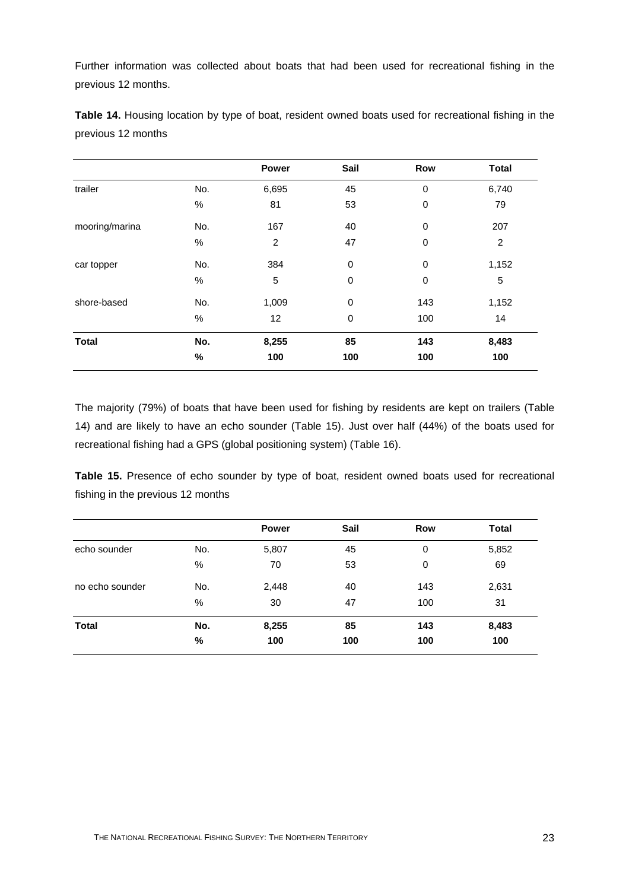Further information was collected about boats that had been used for recreational fishing in the previous 12 months.

|                |      | <b>Power</b>   | Sail        | Row         | <b>Total</b>   |
|----------------|------|----------------|-------------|-------------|----------------|
| trailer        | No.  | 6,695          | 45          | $\mathbf 0$ | 6,740          |
|                | $\%$ | 81             | 53          | 0           | 79             |
| mooring/marina | No.  | 167            | 40          | 0           | 207            |
|                | $\%$ | $\overline{c}$ | 47          | 0           | $\overline{c}$ |
| car topper     | No.  | 384            | 0           | 0           | 1,152          |
|                | $\%$ | 5              | $\mathbf 0$ | 0           | 5              |
| shore-based    | No.  | 1,009          | 0           | 143         | 1,152          |
|                | %    | 12             | $\mathbf 0$ | 100         | 14             |
| <b>Total</b>   | No.  | 8,255          | 85          | 143         | 8,483          |
|                | %    | 100            | 100         | 100         | 100            |

**Table 14.** Housing location by type of boat, resident owned boats used for recreational fishing in the previous 12 months

The majority (79%) of boats that have been used for fishing by residents are kept on trailers (Table 14) and are likely to have an echo sounder (Table 15). Just over half (44%) of the boats used for recreational fishing had a GPS (global positioning system) (Table 16).

**Table 15.** Presence of echo sounder by type of boat, resident owned boats used for recreational fishing in the previous 12 months

|                 |     | <b>Power</b> | Sail | Row | <b>Total</b> |
|-----------------|-----|--------------|------|-----|--------------|
| echo sounder    | No. | 5,807        | 45   | 0   | 5,852        |
|                 | %   | 70           | 53   | 0   | 69           |
| no echo sounder | No. | 2,448        | 40   | 143 | 2,631        |
|                 | %   | 30           | 47   | 100 | 31           |
| <b>Total</b>    | No. | 8,255        | 85   | 143 | 8,483        |
|                 | %   | 100          | 100  | 100 | 100          |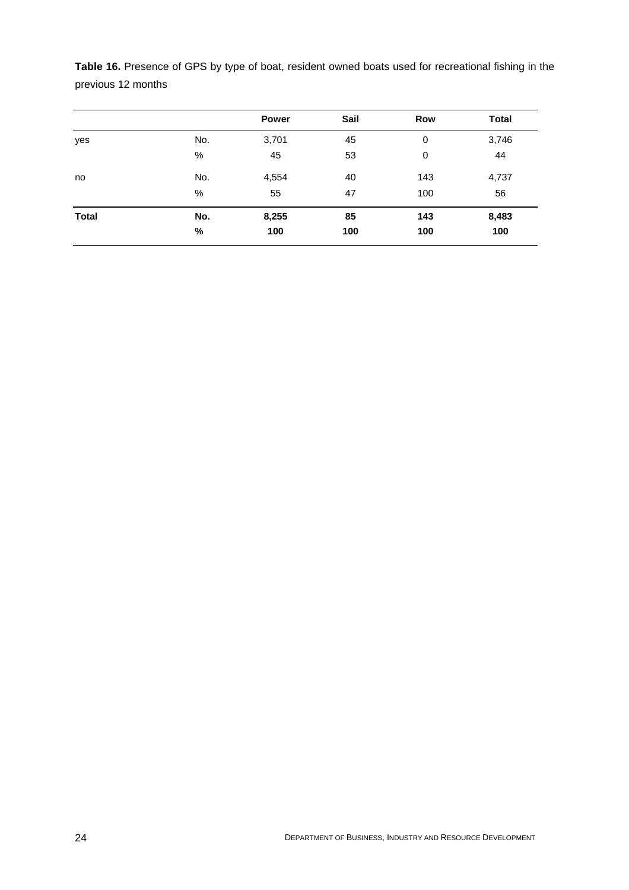**Table 16.** Presence of GPS by type of boat, resident owned boats used for recreational fishing in the previous 12 months

|              |      | <b>Power</b> | Sail | Row | <b>Total</b> |
|--------------|------|--------------|------|-----|--------------|
| yes          | No.  | 3,701        | 45   | 0   | 3,746        |
|              | %    | 45           | 53   | 0   | 44           |
| no           | No.  | 4,554        | 40   | 143 | 4,737        |
|              | %    | 55           | 47   | 100 | 56           |
| <b>Total</b> | No.  | 8,255        | 85   | 143 | 8,483        |
|              | $\%$ | 100          | 100  | 100 | 100          |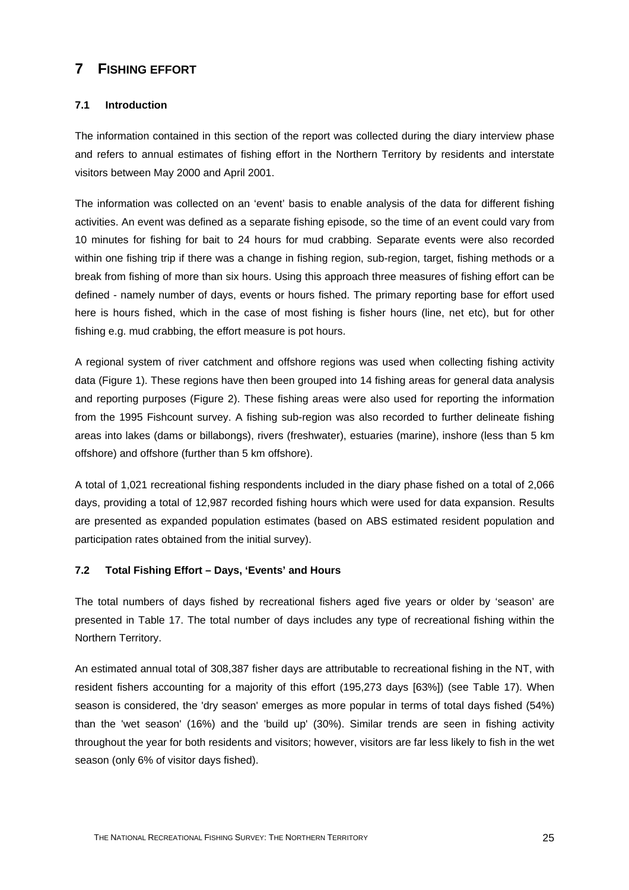## <span id="page-34-0"></span>**7 FISHING EFFORT**

#### <span id="page-34-1"></span>**7.1 Introduction**

The information contained in this section of the report was collected during the diary interview phase and refers to annual estimates of fishing effort in the Northern Territory by residents and interstate visitors between May 2000 and April 2001.

The information was collected on an 'event' basis to enable analysis of the data for different fishing activities. An event was defined as a separate fishing episode, so the time of an event could vary from 10 minutes for fishing for bait to 24 hours for mud crabbing. Separate events were also recorded within one fishing trip if there was a change in fishing region, sub-region, target, fishing methods or a break from fishing of more than six hours. Using this approach three measures of fishing effort can be defined - namely number of days, events or hours fished. The primary reporting base for effort used here is hours fished, which in the case of most fishing is fisher hours (line, net etc), but for other fishing e.g. mud crabbing, the effort measure is pot hours.

A regional system of river catchment and offshore regions was used when collecting fishing activity data (Figure 1). These regions have then been grouped into 14 fishing areas for general data analysis and reporting purposes (Figure 2). These fishing areas were also used for reporting the information from the 1995 Fishcount survey. A fishing sub-region was also recorded to further delineate fishing areas into lakes (dams or billabongs), rivers (freshwater), estuaries (marine), inshore (less than 5 km offshore) and offshore (further than 5 km offshore).

A total of 1,021 recreational fishing respondents included in the diary phase fished on a total of 2,066 days, providing a total of 12,987 recorded fishing hours which were used for data expansion. Results are presented as expanded population estimates (based on ABS estimated resident population and participation rates obtained from the initial survey).

#### <span id="page-34-2"></span>**7.2 Total Fishing Effort – Days, 'Events' and Hours**

The total numbers of days fished by recreational fishers aged five years or older by 'season' are presented in Table 17. The total number of days includes any type of recreational fishing within the Northern Territory.

An estimated annual total of 308,387 fisher days are attributable to recreational fishing in the NT, with resident fishers accounting for a majority of this effort (195,273 days [63%]) (see Table 17). When season is considered, the 'dry season' emerges as more popular in terms of total days fished (54%) than the 'wet season' (16%) and the 'build up' (30%). Similar trends are seen in fishing activity throughout the year for both residents and visitors; however, visitors are far less likely to fish in the wet season (only 6% of visitor days fished).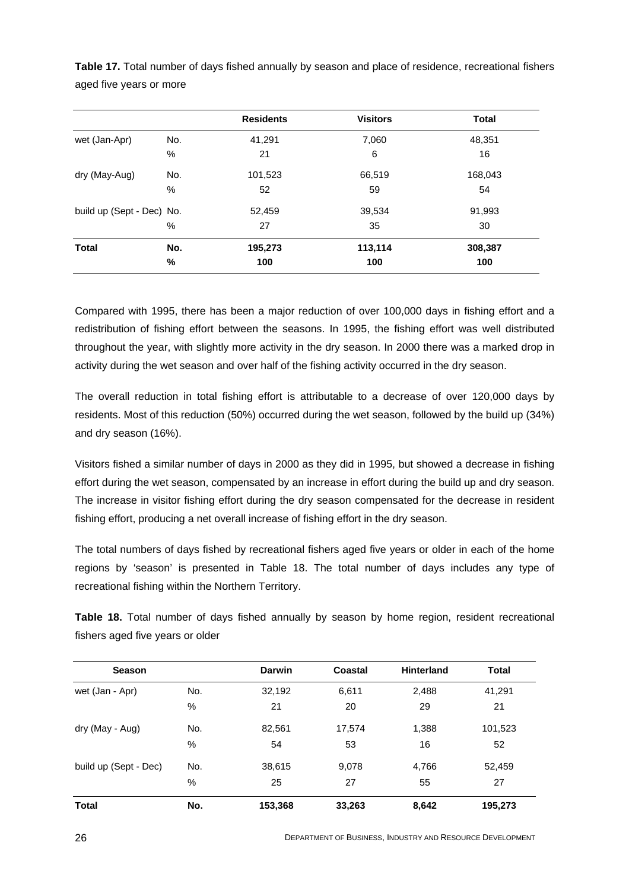|                           |      | <b>Residents</b> | <b>Visitors</b> | <b>Total</b> |
|---------------------------|------|------------------|-----------------|--------------|
| wet (Jan-Apr)             | No.  | 41,291           | 7,060           | 48,351       |
|                           | $\%$ | 21               | 6               | 16           |
| dry (May-Aug)             | No.  | 101,523          | 66,519          | 168,043      |
|                           | %    | 52               | 59              | 54           |
| build up (Sept - Dec) No. |      | 52,459           | 39,534          | 91,993       |
|                           | %    | 27               | 35              | 30           |
| <b>Total</b>              | No.  | 195,273          | 113,114         | 308,387      |
|                           | %    | 100              | 100             | 100          |

**Table 17.** Total number of days fished annually by season and place of residence, recreational fishers aged five years or more

Compared with 1995, there has been a major reduction of over 100,000 days in fishing effort and a redistribution of fishing effort between the seasons. In 1995, the fishing effort was well distributed throughout the year, with slightly more activity in the dry season. In 2000 there was a marked drop in activity during the wet season and over half of the fishing activity occurred in the dry season.

The overall reduction in total fishing effort is attributable to a decrease of over 120,000 days by residents. Most of this reduction (50%) occurred during the wet season, followed by the build up (34%) and dry season (16%).

Visitors fished a similar number of days in 2000 as they did in 1995, but showed a decrease in fishing effort during the wet season, compensated by an increase in effort during the build up and dry season. The increase in visitor fishing effort during the dry season compensated for the decrease in resident fishing effort, producing a net overall increase of fishing effort in the dry season.

The total numbers of days fished by recreational fishers aged five years or older in each of the home regions by 'season' is presented in Table 18. The total number of days includes any type of recreational fishing within the Northern Territory.

**Table 18.** Total number of days fished annually by season by home region, resident recreational fishers aged five years or older

| <b>Season</b>         |     | <b>Darwin</b> | Coastal | <b>Hinterland</b> | <b>Total</b> |
|-----------------------|-----|---------------|---------|-------------------|--------------|
| wet (Jan - Apr)       | No. | 32,192        | 6,611   | 2,488             | 41,291       |
|                       | %   | 21            | 20      | 29                | 21           |
| dry (May - Aug)       | No. | 82,561        | 17,574  | 1,388             | 101,523      |
|                       | %   | 54            | 53      | 16                | 52           |
| build up (Sept - Dec) | No. | 38,615        | 9,078   | 4,766             | 52,459       |
|                       | %   | 25            | 27      | 55                | 27           |
| <b>Total</b>          | No. | 153,368       | 33,263  | 8,642             | 195,273      |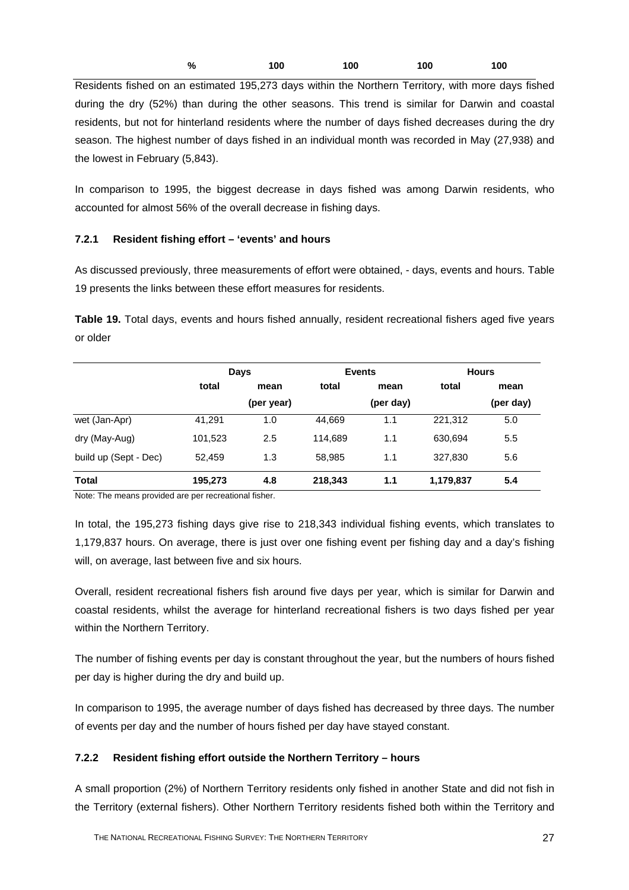| % | 100 | 100 | 100 | 100 |
|---|-----|-----|-----|-----|
|   |     |     |     |     |

Residents fished on an estimated 195,273 days within the Northern Territory, with more days fished during the dry (52%) than during the other seasons. This trend is similar for Darwin and coastal residents, but not for hinterland residents where the number of days fished decreases during the dry season. The highest number of days fished in an individual month was recorded in May (27,938) and the lowest in February (5,843).

In comparison to 1995, the biggest decrease in days fished was among Darwin residents, who accounted for almost 56% of the overall decrease in fishing days.

## **7.2.1 Resident fishing effort – 'events' and hours**

As discussed previously, three measurements of effort were obtained, - days, events and hours. Table 19 presents the links between these effort measures for residents.

**Table 19.** Total days, events and hours fished annually, resident recreational fishers aged five years or older

|                       | Days          |            |               | <b>Events</b> | <b>Hours</b> |           |
|-----------------------|---------------|------------|---------------|---------------|--------------|-----------|
|                       | total<br>mean |            | total<br>mean |               | total        | mean      |
|                       |               | (per year) |               | (per day)     |              | (per day) |
| wet (Jan-Apr)         | 41,291        | 1.0        | 44,669        | 1.1           | 221,312      | 5.0       |
| dry (May-Aug)         | 101,523       | 2.5        | 114.689       | 1.1           | 630,694      | 5.5       |
| build up (Sept - Dec) | 52.459        | 1.3        | 58,985        | 1.1           | 327,830      | 5.6       |
| <b>Total</b>          | 195,273       | 4.8        | 218,343       | 1.1           | 1,179,837    | 5.4       |

Note: The means provided are per recreational fisher.

In total, the 195,273 fishing days give rise to 218,343 individual fishing events, which translates to 1,179,837 hours. On average, there is just over one fishing event per fishing day and a day's fishing will, on average, last between five and six hours.

Overall, resident recreational fishers fish around five days per year, which is similar for Darwin and coastal residents, whilst the average for hinterland recreational fishers is two days fished per year within the Northern Territory.

The number of fishing events per day is constant throughout the year, but the numbers of hours fished per day is higher during the dry and build up.

In comparison to 1995, the average number of days fished has decreased by three days. The number of events per day and the number of hours fished per day have stayed constant.

## **7.2.2 Resident fishing effort outside the Northern Territory – hours**

A small proportion (2%) of Northern Territory residents only fished in another State and did not fish in the Territory (external fishers). Other Northern Territory residents fished both within the Territory and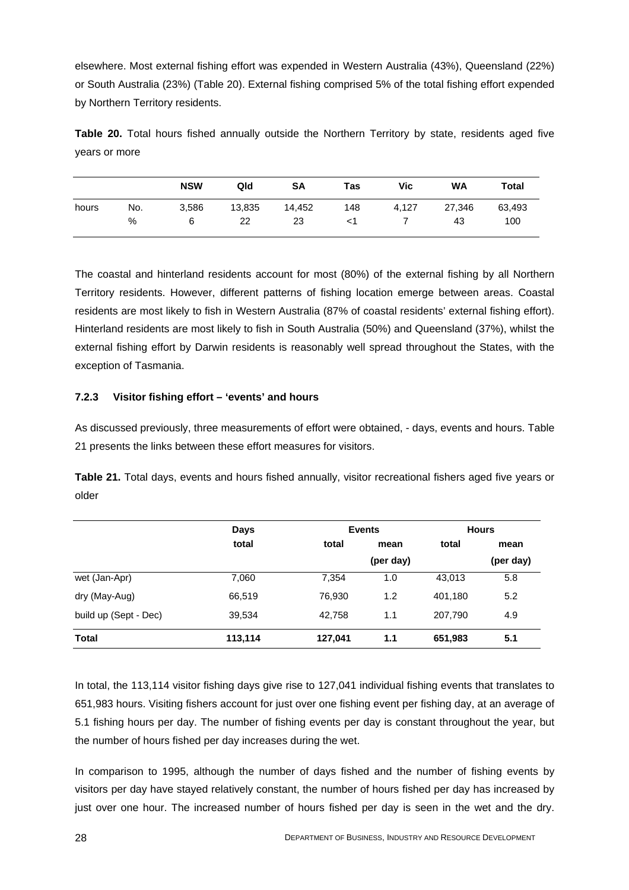elsewhere. Most external fishing effort was expended in Western Australia (43%), Queensland (22%) or South Australia (23%) (Table 20). External fishing comprised 5% of the total fishing effort expended by Northern Territory residents.

**Table 20.** Total hours fished annually outside the Northern Territory by state, residents aged five years or more

|       |     | <b>NSW</b> | Qld    | <b>SA</b> | Tas | <b>Vic</b> | <b>WA</b> | Total  |
|-------|-----|------------|--------|-----------|-----|------------|-----------|--------|
| hours | No. | 3,586      | 13,835 | 14,452    | 148 | 4.127      | 27,346    | 63,493 |
|       | %   | 6          | 22     | 23        |     |            | 43        | 100    |

The coastal and hinterland residents account for most (80%) of the external fishing by all Northern Territory residents. However, different patterns of fishing location emerge between areas. Coastal residents are most likely to fish in Western Australia (87% of coastal residents' external fishing effort). Hinterland residents are most likely to fish in South Australia (50%) and Queensland (37%), whilst the external fishing effort by Darwin residents is reasonably well spread throughout the States, with the exception of Tasmania.

## **7.2.3 Visitor fishing effort – 'events' and hours**

As discussed previously, three measurements of effort were obtained, - days, events and hours. Table 21 presents the links between these effort measures for visitors.

**Table 21.** Total days, events and hours fished annually, visitor recreational fishers aged five years or older

|                       | Days    |         | <b>Events</b> | <b>Hours</b> |      |
|-----------------------|---------|---------|---------------|--------------|------|
|                       | total   | total   | mean          | total        | mean |
|                       |         |         |               | (per day)    |      |
| wet (Jan-Apr)         | 7,060   | 7,354   | 1.0           | 43,013       | 5.8  |
| dry (May-Aug)         | 66,519  | 76,930  | 1.2           | 401,180      | 5.2  |
| build up (Sept - Dec) | 39,534  | 42.758  | 1.1           | 207,790      | 4.9  |
| <b>Total</b>          | 113,114 | 127,041 | 1.1           | 651,983      | 5.1  |

In total, the 113,114 visitor fishing days give rise to 127,041 individual fishing events that translates to 651,983 hours. Visiting fishers account for just over one fishing event per fishing day, at an average of 5.1 fishing hours per day. The number of fishing events per day is constant throughout the year, but the number of hours fished per day increases during the wet.

In comparison to 1995, although the number of days fished and the number of fishing events by visitors per day have stayed relatively constant, the number of hours fished per day has increased by just over one hour. The increased number of hours fished per day is seen in the wet and the dry.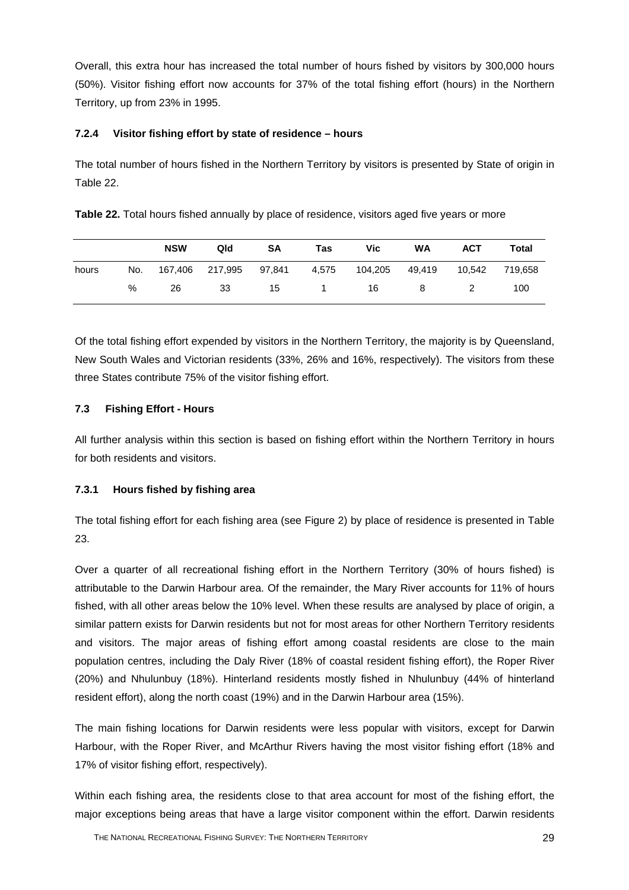Overall, this extra hour has increased the total number of hours fished by visitors by 300,000 hours (50%). Visitor fishing effort now accounts for 37% of the total fishing effort (hours) in the Northern Territory, up from 23% in 1995.

## **7.2.4 Visitor fishing effort by state of residence – hours**

The total number of hours fished in the Northern Territory by visitors is presented by State of origin in Table 22.

**Table 22.** Total hours fished annually by place of residence, visitors aged five years or more

|       |     | <b>NSW</b> | Qld             | SA     | Tas   | <b>Vic</b> | <b>WA</b> | <b>ACT</b> | Total   |
|-------|-----|------------|-----------------|--------|-------|------------|-----------|------------|---------|
| hours | No. |            | 167,406 217,995 | 97,841 | 4,575 | 104,205    | 49.419    | 10.542     | 719.658 |
|       | %   | 26         | -33             | -15    |       | 16         | - 8       | 2          | 100     |

Of the total fishing effort expended by visitors in the Northern Territory, the majority is by Queensland, New South Wales and Victorian residents (33%, 26% and 16%, respectively). The visitors from these three States contribute 75% of the visitor fishing effort.

## **7.3 Fishing Effort - Hours**

All further analysis within this section is based on fishing effort within the Northern Territory in hours for both residents and visitors.

#### **7.3.1 Hours fished by fishing area**

The total fishing effort for each fishing area (see Figure 2) by place of residence is presented in Table 23.

Over a quarter of all recreational fishing effort in the Northern Territory (30% of hours fished) is attributable to the Darwin Harbour area. Of the remainder, the Mary River accounts for 11% of hours fished, with all other areas below the 10% level. When these results are analysed by place of origin, a similar pattern exists for Darwin residents but not for most areas for other Northern Territory residents and visitors. The major areas of fishing effort among coastal residents are close to the main population centres, including the Daly River (18% of coastal resident fishing effort), the Roper River (20%) and Nhulunbuy (18%). Hinterland residents mostly fished in Nhulunbuy (44% of hinterland resident effort), along the north coast (19%) and in the Darwin Harbour area (15%).

The main fishing locations for Darwin residents were less popular with visitors, except for Darwin Harbour, with the Roper River, and McArthur Rivers having the most visitor fishing effort (18% and 17% of visitor fishing effort, respectively).

Within each fishing area, the residents close to that area account for most of the fishing effort, the major exceptions being areas that have a large visitor component within the effort. Darwin residents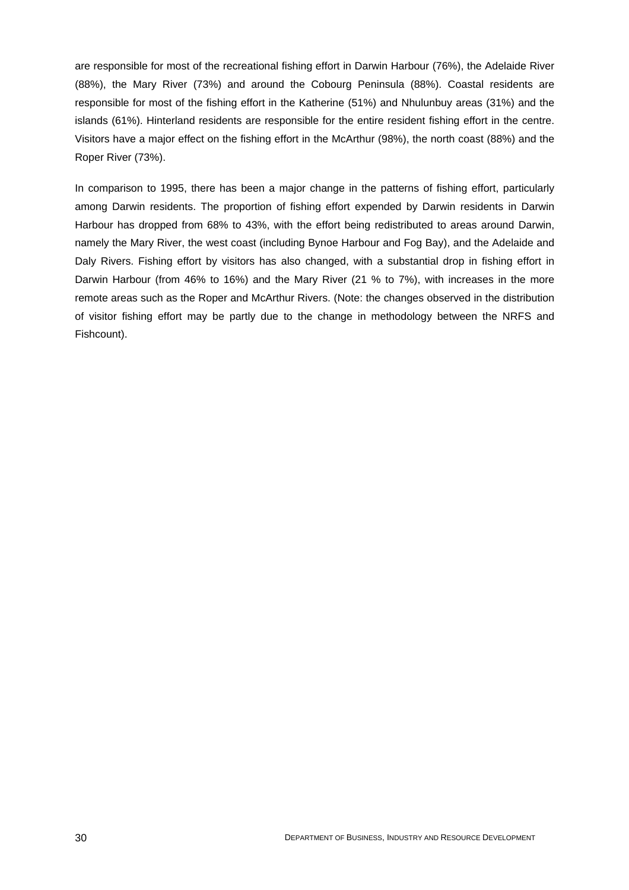are responsible for most of the recreational fishing effort in Darwin Harbour (76%), the Adelaide River (88%), the Mary River (73%) and around the Cobourg Peninsula (88%). Coastal residents are responsible for most of the fishing effort in the Katherine (51%) and Nhulunbuy areas (31%) and the islands (61%). Hinterland residents are responsible for the entire resident fishing effort in the centre. Visitors have a major effect on the fishing effort in the McArthur (98%), the north coast (88%) and the Roper River (73%).

In comparison to 1995, there has been a major change in the patterns of fishing effort, particularly among Darwin residents. The proportion of fishing effort expended by Darwin residents in Darwin Harbour has dropped from 68% to 43%, with the effort being redistributed to areas around Darwin, namely the Mary River, the west coast (including Bynoe Harbour and Fog Bay), and the Adelaide and Daly Rivers. Fishing effort by visitors has also changed, with a substantial drop in fishing effort in Darwin Harbour (from 46% to 16%) and the Mary River (21 % to 7%), with increases in the more remote areas such as the Roper and McArthur Rivers. (Note: the changes observed in the distribution of visitor fishing effort may be partly due to the change in methodology between the NRFS and Fishcount).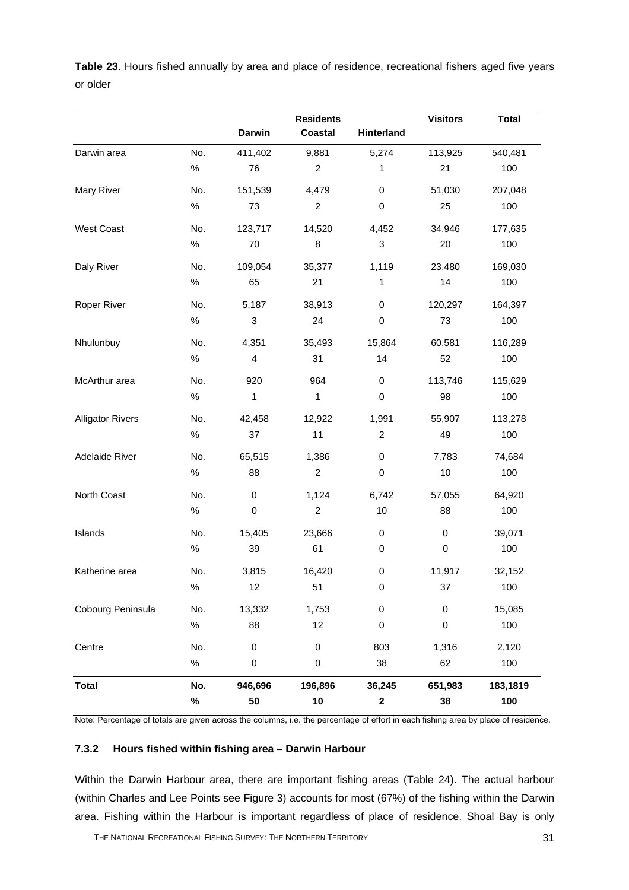**Table 23**. Hours fished annually by area and place of residence, recreational fishers aged five years or older

|                         |      | <b>Darwin</b>           | <b>Residents</b><br><b>Coastal</b> | Hinterland                | <b>Visitors</b> | <b>Total</b> |
|-------------------------|------|-------------------------|------------------------------------|---------------------------|-----------------|--------------|
| Darwin area             | No.  | 411,402                 | 9,881                              | 5,274                     | 113,925         | 540,481      |
|                         | $\%$ | 76                      | $\overline{c}$                     | 1                         | 21              | 100          |
| Mary River              | No.  | 151,539                 | 4,479                              | $\pmb{0}$                 | 51,030          | 207,048      |
|                         | $\%$ | 73                      | $\boldsymbol{2}$                   | $\pmb{0}$                 | 25              | 100          |
| West Coast              | No.  | 123,717                 | 14,520                             | 4,452                     | 34,946          | 177,635      |
|                         | $\%$ | 70                      | $\bf8$                             | $\ensuremath{\mathsf{3}}$ | 20              | 100          |
| Daly River              | No.  | 109,054                 | 35,377                             | 1,119                     | 23,480          | 169,030      |
|                         | $\%$ | 65                      | 21                                 | 1                         | 14              | 100          |
| Roper River             | No.  | 5,187                   | 38,913                             | $\pmb{0}$                 | 120,297         | 164,397      |
|                         | $\%$ | 3                       | 24                                 | $\pmb{0}$                 | 73              | 100          |
| Nhulunbuy               | No.  | 4,351                   | 35,493                             | 15,864                    | 60,581          | 116,289      |
|                         | $\%$ | $\overline{\mathbf{4}}$ | 31                                 | 14                        | 52              | 100          |
| McArthur area           | No.  | 920                     | 964                                | $\pmb{0}$                 | 113,746         | 115,629      |
|                         | $\%$ | $\mathbf 1$             | $\mathbf{1}$                       | $\pmb{0}$                 | 98              | 100          |
| <b>Alligator Rivers</b> | No.  | 42,458                  | 12,922                             | 1,991                     | 55,907          | 113,278      |
|                         | $\%$ | 37                      | 11                                 | $\overline{c}$            | 49              | 100          |
| Adelaide River          | No.  | 65,515                  | 1,386                              | $\mathbf 0$               | 7,783           | 74,684       |
|                         | $\%$ | 88                      | $\boldsymbol{2}$                   | $\pmb{0}$                 | $10$            | 100          |
| North Coast             | No.  | 0                       | 1,124                              | 6,742                     | 57,055          | 64,920       |
|                         | $\%$ | $\mathbf 0$             | $\boldsymbol{2}$                   | 10                        | 88              | 100          |
| Islands                 | No.  | 15,405                  | 23,666                             | $\pmb{0}$                 | 0               | 39,071       |
|                         | $\%$ | 39                      | 61                                 | $\pmb{0}$                 | 0               | 100          |
| Katherine area          | No.  | 3,815                   | 16,420                             | $\pmb{0}$                 | 11,917          | 32,152       |
|                         | $\%$ | 12                      | 51                                 | $\pmb{0}$                 | 37              | 100          |
| Cobourg Peninsula       | No.  | 13,332                  | 1,753                              | $\pmb{0}$                 | $\mathbf 0$     | 15,085       |
|                         | $\%$ | 88                      | 12                                 | $\pmb{0}$                 | 0               | 100          |
| Centre                  | No.  | 0                       | $\pmb{0}$                          | 803                       | 1,316           | 2,120        |
|                         | $\%$ | $\mathsf 0$             | $\pmb{0}$                          | 38                        | 62              | 100          |
| <b>Total</b>            | No.  | 946,696                 | 196,896                            | 36,245                    | 651,983         | 183,1819     |
|                         | $\%$ | 50                      | 10                                 | $\mathbf 2$               | 38              | 100          |

Note: Percentage of totals are given across the columns, i.e. the percentage of effort in each fishing area by place of residence.

## **7.3.2 Hours fished within fishing area – Darwin Harbour**

Within the Darwin Harbour area, there are important fishing areas (Table 24). The actual harbour (within Charles and Lee Points see Figure 3) accounts for most (67%) of the fishing within the Darwin area. Fishing within the Harbour is important regardless of place of residence. Shoal Bay is only

THE NATIONAL RECREATIONAL FISHING SURVEY: THE NORTHERN TERRITORY **31 31**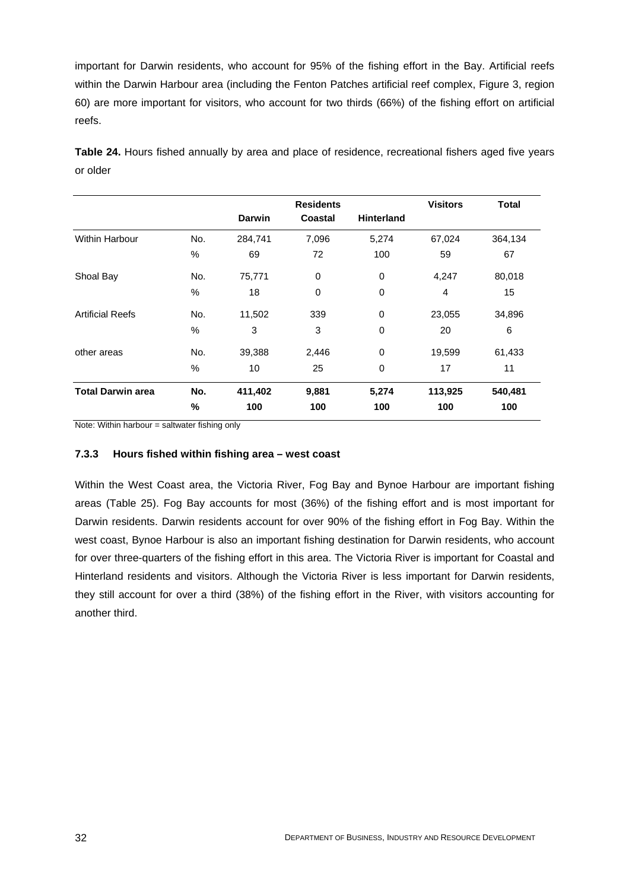important for Darwin residents, who account for 95% of the fishing effort in the Bay. Artificial reefs within the Darwin Harbour area (including the Fenton Patches artificial reef complex, Figure 3, region 60) are more important for visitors, who account for two thirds (66%) of the fishing effort on artificial reefs.

**Table 24.** Hours fished annually by area and place of residence, recreational fishers aged five years or older

|                          |      | <b>Residents</b> |             |                   | <b>Visitors</b> | <b>Total</b> |
|--------------------------|------|------------------|-------------|-------------------|-----------------|--------------|
|                          |      | <b>Darwin</b>    | Coastal     | <b>Hinterland</b> |                 |              |
| <b>Within Harbour</b>    | No.  | 284,741          | 7,096       | 5,274             | 67,024          | 364,134      |
|                          | $\%$ | 69               | 72          | 100               | 59              | 67           |
| Shoal Bay                | No.  | 75,771           | $\mathbf 0$ | 0                 | 4,247           | 80,018       |
|                          | $\%$ | 18               | 0           | 0                 | 4               | 15           |
| <b>Artificial Reefs</b>  | No.  | 11,502           | 339         | 0                 | 23,055          | 34,896       |
|                          | %    | 3                | 3           | 0                 | 20              | 6            |
| other areas              | No.  | 39,388           | 2,446       | 0                 | 19,599          | 61,433       |
|                          | $\%$ | 10               | 25          | 0                 | 17              | 11           |
| <b>Total Darwin area</b> | No.  | 411,402          | 9,881       | 5,274             | 113,925         | 540,481      |
|                          | $\%$ | 100              | 100         | 100               | 100             | 100          |

Note: Within harbour  $=$  saltwater fishing only

#### **7.3.3 Hours fished within fishing area – west coast**

Within the West Coast area, the Victoria River, Fog Bay and Bynoe Harbour are important fishing areas (Table 25). Fog Bay accounts for most (36%) of the fishing effort and is most important for Darwin residents. Darwin residents account for over 90% of the fishing effort in Fog Bay. Within the west coast, Bynoe Harbour is also an important fishing destination for Darwin residents, who account for over three-quarters of the fishing effort in this area. The Victoria River is important for Coastal and Hinterland residents and visitors. Although the Victoria River is less important for Darwin residents, they still account for over a third (38%) of the fishing effort in the River, with visitors accounting for another third.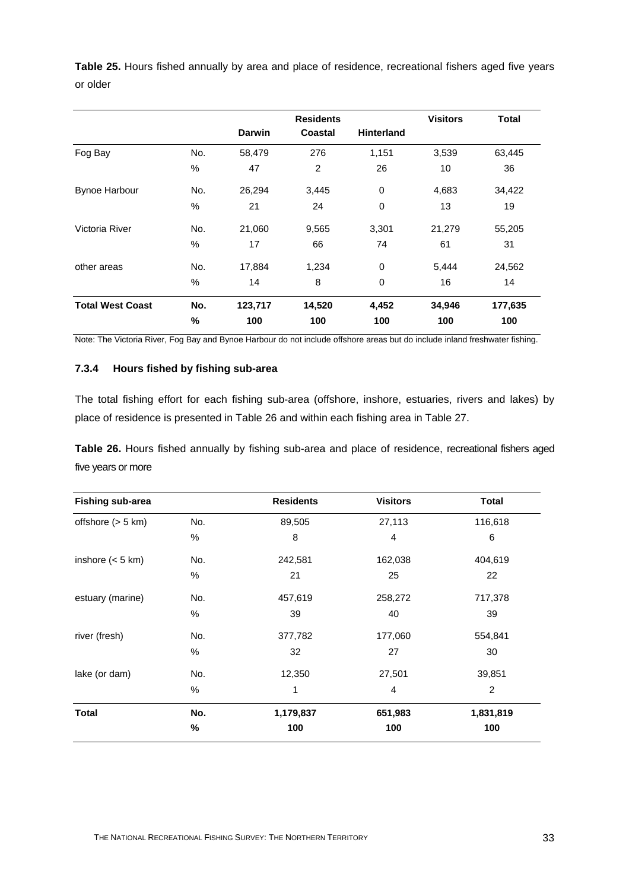**Table 25.** Hours fished annually by area and place of residence, recreational fishers aged five years or older

|                         |      |               | <b>Residents</b> |                   |        | <b>Total</b> |
|-------------------------|------|---------------|------------------|-------------------|--------|--------------|
|                         |      | <b>Darwin</b> | Coastal          | <b>Hinterland</b> |        |              |
| Fog Bay                 | No.  | 58,479        | 276              | 1,151             | 3,539  | 63,445       |
|                         | $\%$ | 47            | $\overline{2}$   | 26                | 10     | 36           |
| <b>Bynoe Harbour</b>    | No.  | 26,294        | 3,445            | 0                 | 4,683  | 34,422       |
|                         | $\%$ | 21            | 24               | 0                 | 13     | 19           |
| Victoria River          | No.  | 21,060        | 9,565            | 3,301             | 21,279 | 55,205       |
|                         | $\%$ | 17            | 66               | 74                | 61     | 31           |
| other areas             | No.  | 17,884        | 1,234            | 0                 | 5,444  | 24,562       |
|                         | $\%$ | 14            | 8                | $\mathbf 0$       | 16     | 14           |
| <b>Total West Coast</b> | No.  | 123,717       | 14,520           | 4,452             | 34,946 | 177,635      |
|                         | %    | 100           | 100              | 100               | 100    | 100          |

Note: The Victoria River, Fog Bay and Bynoe Harbour do not include offshore areas but do include inland freshwater fishing.

#### **7.3.4 Hours fished by fishing sub-area**

The total fishing effort for each fishing sub-area (offshore, inshore, estuaries, rivers and lakes) by place of residence is presented in Table 26 and within each fishing area in Table 27.

**Table 26.** Hours fished annually by fishing sub-area and place of residence, recreational fishers aged five years or more

| <b>Fishing sub-area</b> |      | <b>Residents</b> | <b>Visitors</b> | <b>Total</b> |
|-------------------------|------|------------------|-----------------|--------------|
| offshore $(> 5 km)$     | No.  | 89,505           | 27,113          | 116,618      |
|                         | %    | 8                | 4               | 6            |
| inshore $(< 5$ km)      | No.  | 242,581          | 162,038         | 404,619      |
|                         | %    | 21               | 25              | 22           |
| estuary (marine)        | No.  | 457,619          | 258,272         | 717,378      |
|                         | $\%$ | 39               | 40              | 39           |
| river (fresh)           | No.  | 377,782          | 177,060         | 554,841      |
|                         | %    | 32               | 27              | 30           |
| lake (or dam)           | No.  | 12,350           | 27,501          | 39,851       |
|                         | %    | 1                | $\overline{4}$  | 2            |
| <b>Total</b>            | No.  | 1,179,837        | 651,983         | 1,831,819    |
|                         | %    | 100              | 100             | 100          |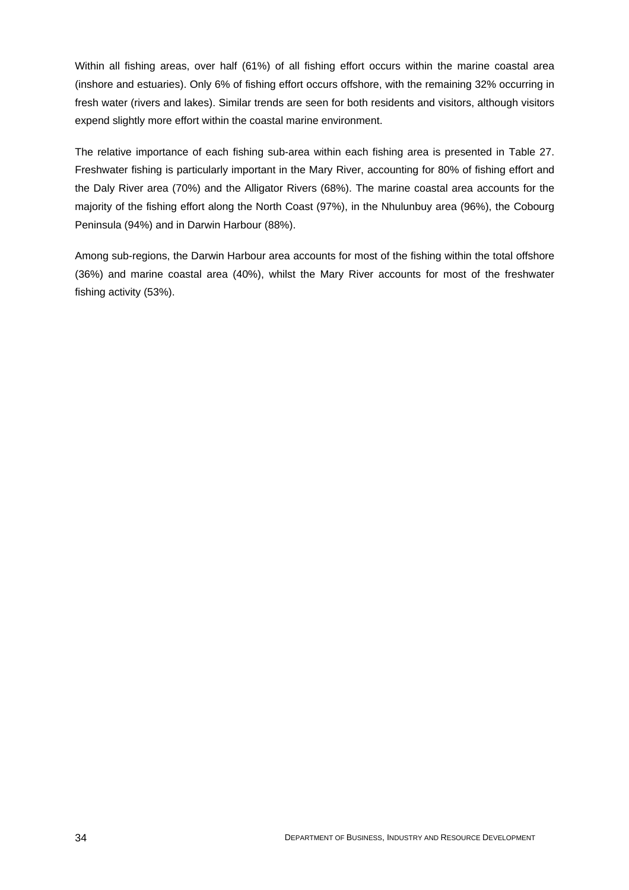Within all fishing areas, over half (61%) of all fishing effort occurs within the marine coastal area (inshore and estuaries). Only 6% of fishing effort occurs offshore, with the remaining 32% occurring in fresh water (rivers and lakes). Similar trends are seen for both residents and visitors, although visitors expend slightly more effort within the coastal marine environment.

The relative importance of each fishing sub-area within each fishing area is presented in Table 27. Freshwater fishing is particularly important in the Mary River, accounting for 80% of fishing effort and the Daly River area (70%) and the Alligator Rivers (68%). The marine coastal area accounts for the majority of the fishing effort along the North Coast (97%), in the Nhulunbuy area (96%), the Cobourg Peninsula (94%) and in Darwin Harbour (88%).

Among sub-regions, the Darwin Harbour area accounts for most of the fishing within the total offshore (36%) and marine coastal area (40%), whilst the Mary River accounts for most of the freshwater fishing activity (53%).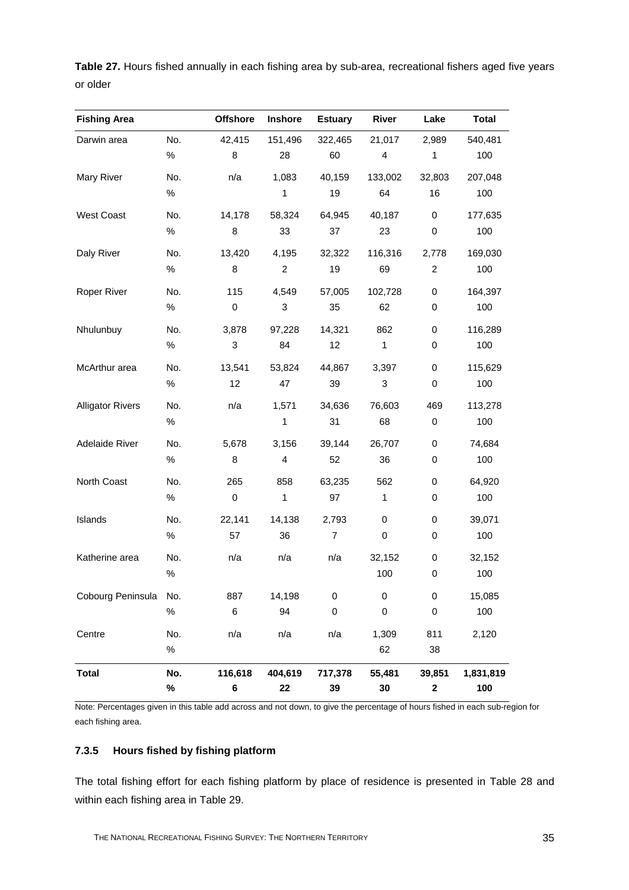**Table 27.** Hours fished annually in each fishing area by sub-area, recreational fishers aged five years or older

| <b>Fishing Area</b>     |      | <b>Offshore</b> | Inshore        | <b>Estuary</b> | River       | Lake           | <b>Total</b> |
|-------------------------|------|-----------------|----------------|----------------|-------------|----------------|--------------|
| Darwin area             | No.  | 42,415          | 151,496        | 322,465        | 21,017      | 2,989          | 540,481      |
|                         | $\%$ | 8               | 28             | 60             | 4           | 1              | 100          |
| Mary River              | No.  | n/a             | 1,083          | 40,159         | 133,002     | 32,803         | 207,048      |
|                         | $\%$ |                 | 1              | 19             | 64          | 16             | 100          |
| <b>West Coast</b>       | No.  | 14,178          | 58,324         | 64,945         | 40,187      | $\pmb{0}$      | 177,635      |
|                         | $\%$ | 8               | 33             | 37             | 23          | $\pmb{0}$      | 100          |
| Daly River              | No.  | 13,420          | 4,195          | 32,322         | 116,316     | 2,778          | 169,030      |
|                         | $\%$ | $\bf 8$         | $\overline{2}$ | 19             | 69          | $\overline{c}$ | 100          |
| Roper River             | No.  | 115             | 4,549          | 57,005         | 102,728     | $\pmb{0}$      | 164,397      |
|                         | $\%$ | 0               | 3              | 35             | 62          | $\pmb{0}$      | 100          |
| Nhulunbuy               | No.  | 3,878           | 97,228         | 14,321         | 862         | $\pmb{0}$      | 116,289      |
|                         | $\%$ | $\sqrt{3}$      | 84             | 12             | 1           | $\pmb{0}$      | 100          |
| McArthur area           | No.  | 13,541          | 53,824         | 44,867         | 3,397       | $\pmb{0}$      | 115,629      |
|                         | $\%$ | 12              | 47             | 39             | 3           | $\pmb{0}$      | 100          |
| <b>Alligator Rivers</b> | No.  | n/a             | 1,571          | 34,636         | 76,603      | 469            | 113,278      |
|                         | $\%$ |                 | 1              | 31             | 68          | $\pmb{0}$      | 100          |
| Adelaide River          | No.  | 5,678           | 3,156          | 39,144         | 26,707      | $\pmb{0}$      | 74,684       |
|                         | $\%$ | 8               | 4              | 52             | 36          | $\pmb{0}$      | 100          |
| North Coast             | No.  | 265             | 858            | 63,235         | 562         | $\pmb{0}$      | 64,920       |
|                         | $\%$ | $\pmb{0}$       | 1              | 97             | 1           | $\pmb{0}$      | 100          |
| Islands                 | No.  | 22,141          | 14,138         | 2,793          | $\mathbf 0$ | $\pmb{0}$      | 39,071       |
|                         | $\%$ | 57              | 36             | $\overline{7}$ | $\pmb{0}$   | $\pmb{0}$      | 100          |
| Katherine area          | No.  | n/a             | n/a            | n/a            | 32,152      | $\pmb{0}$      | 32,152       |
|                         | $\%$ |                 |                |                | 100         | 0              | 100          |
| Cobourg Peninsula No.   |      | 887             | 14,198         | 0              | 0           | 0              | 15,085       |
|                         | $\%$ | 6               | 94             | 0              | $\pmb{0}$   | $\pmb{0}$      | 100          |
| Centre                  | No.  | n/a             | n/a            | n/a            | 1,309       | 811            | 2,120        |
|                         | $\%$ |                 |                |                | 62          | 38             |              |
| <b>Total</b>            | No.  | 116,618         | 404,619        | 717,378        | 55,481      | 39,851         | 1,831,819    |
|                         | %    | 6               | 22             | 39             | 30          | $\mathbf 2$    | 100          |

Note: Percentages given in this table add across and not down, to give the percentage of hours fished in each sub-region for each fishing area.

#### **7.3.5 Hours fished by fishing platform**

The total fishing effort for each fishing platform by place of residence is presented in Table 28 and within each fishing area in Table 29.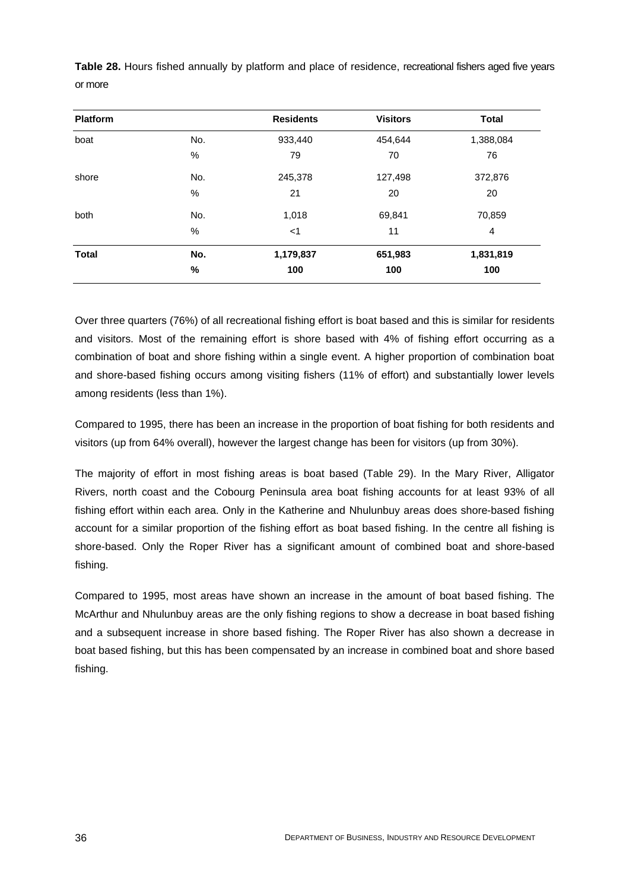| <b>Platform</b> |               | <b>Residents</b> | <b>Visitors</b> | <b>Total</b>   |
|-----------------|---------------|------------------|-----------------|----------------|
| boat            | No.           | 933,440          | 454,644         | 1,388,084      |
|                 | %             | 79               | 70              | 76             |
| shore           | No.           | 245,378          | 127,498         | 372,876        |
|                 | $\%$          | 21               | 20              | 20             |
| both            | No.           | 1,018            | 69,841          | 70,859         |
|                 | $\frac{0}{0}$ | $<$ 1            | 11              | $\overline{4}$ |
| <b>Total</b>    | No.           | 1,179,837        | 651,983         | 1,831,819      |
|                 | %             | 100              | 100             | 100            |

**Table 28.** Hours fished annually by platform and place of residence, recreational fishers aged five years or more

Over three quarters (76%) of all recreational fishing effort is boat based and this is similar for residents and visitors. Most of the remaining effort is shore based with 4% of fishing effort occurring as a combination of boat and shore fishing within a single event. A higher proportion of combination boat and shore-based fishing occurs among visiting fishers (11% of effort) and substantially lower levels among residents (less than 1%).

Compared to 1995, there has been an increase in the proportion of boat fishing for both residents and visitors (up from 64% overall), however the largest change has been for visitors (up from 30%).

The majority of effort in most fishing areas is boat based (Table 29). In the Mary River, Alligator Rivers, north coast and the Cobourg Peninsula area boat fishing accounts for at least 93% of all fishing effort within each area. Only in the Katherine and Nhulunbuy areas does shore-based fishing account for a similar proportion of the fishing effort as boat based fishing. In the centre all fishing is shore-based. Only the Roper River has a significant amount of combined boat and shore-based fishing.

Compared to 1995, most areas have shown an increase in the amount of boat based fishing. The McArthur and Nhulunbuy areas are the only fishing regions to show a decrease in boat based fishing and a subsequent increase in shore based fishing. The Roper River has also shown a decrease in boat based fishing, but this has been compensated by an increase in combined boat and shore based fishing.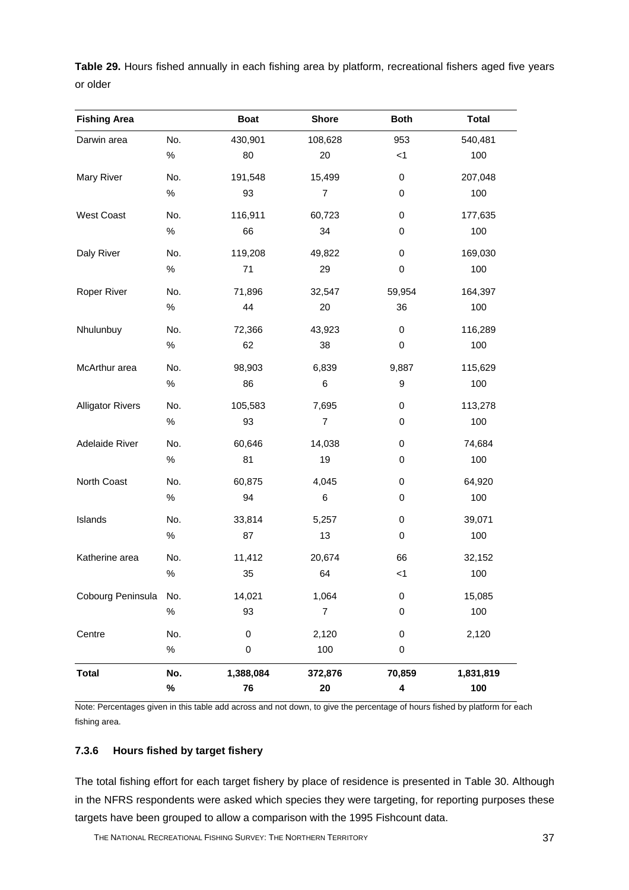**Table 29.** Hours fished annually in each fishing area by platform, recreational fishers aged five years or older

| <b>Fishing Area</b>     |      | <b>Boat</b> | <b>Shore</b>             | <b>Both</b> | <b>Total</b> |
|-------------------------|------|-------------|--------------------------|-------------|--------------|
| Darwin area             | No.  | 430,901     | 108,628                  | 953         | 540,481      |
|                         | $\%$ | 80          | 20                       | < 1         | 100          |
| <b>Mary River</b>       | No.  | 191,548     | 15,499                   | 0           | 207,048      |
|                         | $\%$ | 93          | $\overline{\mathcal{I}}$ | 0           | 100          |
| <b>West Coast</b>       | No.  | 116,911     | 60,723                   | 0           | 177,635      |
|                         | $\%$ | 66          | 34                       | 0           | 100          |
| Daly River              | No.  | 119,208     | 49,822                   | 0           | 169,030      |
|                         | $\%$ | 71          | 29                       | 0           | 100          |
| Roper River             | No.  | 71,896      | 32,547                   | 59,954      | 164,397      |
|                         | $\%$ | 44          | 20                       | 36          | 100          |
| Nhulunbuy               | No.  | 72,366      | 43,923                   | 0           | 116,289      |
|                         | $\%$ | 62          | 38                       | 0           | 100          |
| McArthur area           | No.  | 98,903      | 6,839                    | 9,887       | 115,629      |
|                         | $\%$ | 86          | 6                        | 9           | 100          |
| <b>Alligator Rivers</b> | No.  | 105,583     | 7,695                    | 0           | 113,278      |
|                         | $\%$ | 93          | $\overline{\mathcal{I}}$ | 0           | 100          |
| Adelaide River          | No.  | 60,646      | 14,038                   | 0           | 74,684       |
|                         | $\%$ | 81          | 19                       | 0           | 100          |
| North Coast             | No.  | 60,875      | 4,045                    | 0           | 64,920       |
|                         | $\%$ | 94          | 6                        | 0           | 100          |
| Islands                 | No.  | 33,814      | 5,257                    | 0           | 39,071       |
|                         | $\%$ | 87          | 13                       | 0           | 100          |
| Katherine area          | No.  | 11,412      | 20,674                   | 66          | 32,152       |
|                         | $\%$ | 35          | 64                       | < 1         | 100          |
| Cobourg Peninsula       | No.  | 14,021      | 1,064                    | $\,0\,$     | 15,085       |
|                         | $\%$ | 93          | $\overline{\mathcal{I}}$ | 0           | 100          |
| Centre                  | No.  | 0           | 2,120                    | $\pmb{0}$   | 2,120        |
|                         | $\%$ | 0           | 100                      | $\pmb{0}$   |              |
| <b>Total</b>            | No.  | 1,388,084   | 372,876                  | 70,859      | 1,831,819    |
|                         | %    | 76          | 20                       | 4           | 100          |

Note: Percentages given in this table add across and not down, to give the percentage of hours fished by platform for each fishing area.

#### **7.3.6 Hours fished by target fishery**

The total fishing effort for each target fishery by place of residence is presented in Table 30. Although in the NFRS respondents were asked which species they were targeting, for reporting purposes these targets have been grouped to allow a comparison with the 1995 Fishcount data.

THE NATIONAL RECREATIONAL FISHING SURVEY: THE NORTHERN TERRITORY **37**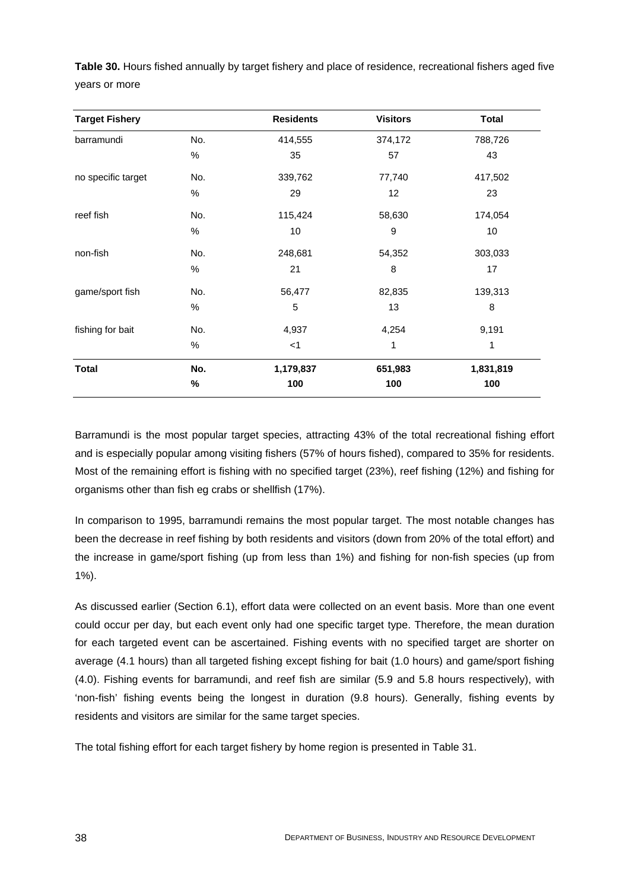| Table 30. Hours fished annually by target fishery and place of residence, recreational fishers aged five |  |  |
|----------------------------------------------------------------------------------------------------------|--|--|
| vears or more                                                                                            |  |  |

| <b>Target Fishery</b> |      | <b>Residents</b> | <b>Visitors</b> | <b>Total</b> |
|-----------------------|------|------------------|-----------------|--------------|
| barramundi            | No.  | 414,555          | 374,172         | 788,726      |
|                       | $\%$ | 35               | 57              | 43           |
| no specific target    | No.  | 339,762          | 77,740          | 417,502      |
|                       | $\%$ | 29               | 12              | 23           |
| reef fish             | No.  | 115,424          | 58,630          | 174,054      |
|                       | $\%$ | 10               | 9               | 10           |
| non-fish              | No.  | 248,681          | 54,352          | 303,033      |
|                       | $\%$ | 21               | 8               | 17           |
| game/sport fish       | No.  | 56,477           | 82,835          | 139,313      |
|                       | $\%$ | $\mathbf 5$      | 13              | 8            |
| fishing for bait      | No.  | 4,937            | 4,254           | 9,191        |
|                       | %    | $<$ 1            | 1               | 1            |
| <b>Total</b>          | No.  | 1,179,837        | 651,983         | 1,831,819    |
|                       | $\%$ | 100              | 100             | 100          |

Barramundi is the most popular target species, attracting 43% of the total recreational fishing effort and is especially popular among visiting fishers (57% of hours fished), compared to 35% for residents. Most of the remaining effort is fishing with no specified target (23%), reef fishing (12%) and fishing for organisms other than fish eg crabs or shellfish (17%).

In comparison to 1995, barramundi remains the most popular target. The most notable changes has been the decrease in reef fishing by both residents and visitors (down from 20% of the total effort) and the increase in game/sport fishing (up from less than 1%) and fishing for non-fish species (up from 1%).

As discussed earlier (Section 6.1), effort data were collected on an event basis. More than one event could occur per day, but each event only had one specific target type. Therefore, the mean duration for each targeted event can be ascertained. Fishing events with no specified target are shorter on average (4.1 hours) than all targeted fishing except fishing for bait (1.0 hours) and game/sport fishing (4.0). Fishing events for barramundi, and reef fish are similar (5.9 and 5.8 hours respectively), with 'non-fish' fishing events being the longest in duration (9.8 hours). Generally, fishing events by residents and visitors are similar for the same target species.

The total fishing effort for each target fishery by home region is presented in Table 31.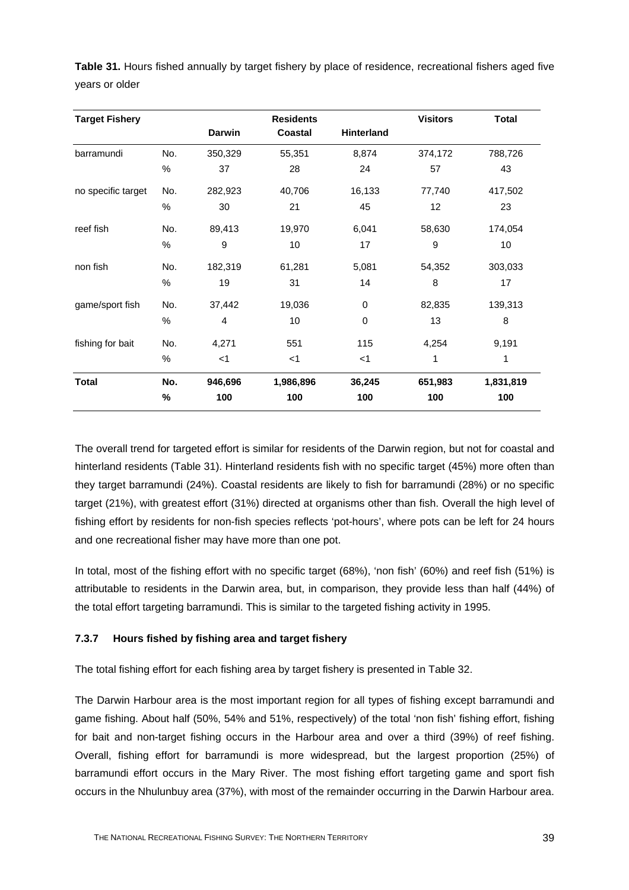**Table 31.** Hours fished annually by target fishery by place of residence, recreational fishers aged five years or older

| <b>Target Fishery</b> |      |         | <b>Residents</b> |             | <b>Visitors</b> | <b>Total</b> |
|-----------------------|------|---------|------------------|-------------|-----------------|--------------|
|                       |      | Darwin  | Coastal          | Hinterland  |                 |              |
| barramundi            | No.  | 350,329 | 55,351           | 8,874       | 374,172         | 788,726      |
|                       | $\%$ | 37      | 28               | 24          | 57              | 43           |
| no specific target    | No.  | 282,923 | 40,706           | 16,133      | 77,740          | 417,502      |
|                       | $\%$ | 30      | 21               | 45          | 12              | 23           |
| reef fish             | No.  | 89,413  | 19,970           | 6,041       | 58,630          | 174,054      |
|                       | $\%$ | 9       | 10               | 17          | 9               | 10           |
| non fish              | No.  | 182,319 | 61,281           | 5,081       | 54,352          | 303,033      |
|                       | $\%$ | 19      | 31               | 14          | 8               | 17           |
| game/sport fish       | No.  | 37,442  | 19,036           | 0           | 82,835          | 139,313      |
|                       | %    | 4       | 10               | $\mathbf 0$ | 13              | 8            |
| fishing for bait      | No.  | 4,271   | 551              | 115         | 4,254           | 9,191        |
|                       | %    | $<$ 1   | $<$ 1            | $<$ 1       | 1               | 1            |
| Total                 | No.  | 946,696 | 1,986,896        | 36,245      | 651,983         | 1,831,819    |
|                       | %    | 100     | 100              | 100         | 100             | 100          |

The overall trend for targeted effort is similar for residents of the Darwin region, but not for coastal and hinterland residents (Table 31). Hinterland residents fish with no specific target (45%) more often than they target barramundi (24%). Coastal residents are likely to fish for barramundi (28%) or no specific target (21%), with greatest effort (31%) directed at organisms other than fish. Overall the high level of fishing effort by residents for non-fish species reflects 'pot-hours', where pots can be left for 24 hours and one recreational fisher may have more than one pot.

In total, most of the fishing effort with no specific target (68%), 'non fish' (60%) and reef fish (51%) is attributable to residents in the Darwin area, but, in comparison, they provide less than half (44%) of the total effort targeting barramundi. This is similar to the targeted fishing activity in 1995.

## **7.3.7 Hours fished by fishing area and target fishery**

The total fishing effort for each fishing area by target fishery is presented in Table 32.

The Darwin Harbour area is the most important region for all types of fishing except barramundi and game fishing. About half (50%, 54% and 51%, respectively) of the total 'non fish' fishing effort, fishing for bait and non-target fishing occurs in the Harbour area and over a third (39%) of reef fishing. Overall, fishing effort for barramundi is more widespread, but the largest proportion (25%) of barramundi effort occurs in the Mary River. The most fishing effort targeting game and sport fish occurs in the Nhulunbuy area (37%), with most of the remainder occurring in the Darwin Harbour area.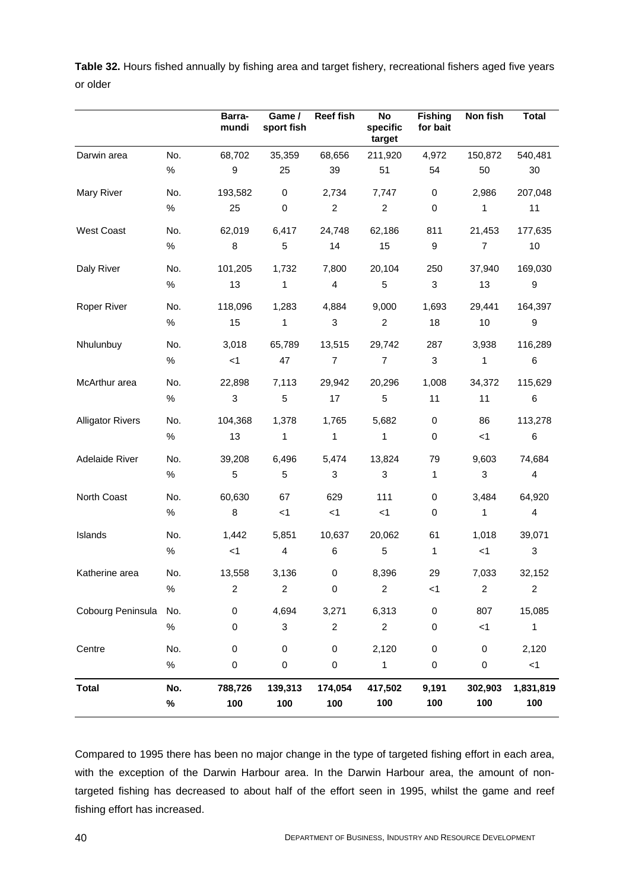|          | Table 32. Hours fished annually by fishing area and target fishery, recreational fishers aged five years |  |  |  |  |
|----------|----------------------------------------------------------------------------------------------------------|--|--|--|--|
| or older |                                                                                                          |  |  |  |  |

|                         |             | Barra-<br>mundi | Game /<br>sport fish | <b>Reef fish</b> | No<br>specific<br>target | <b>Fishing</b><br>for bait | Non fish         | <b>Total</b>     |
|-------------------------|-------------|-----------------|----------------------|------------------|--------------------------|----------------------------|------------------|------------------|
| Darwin area             | No.         | 68,702          | 35,359               | 68,656           | 211,920                  | 4,972                      | 150,872          | 540,481          |
|                         | $\%$        | 9               | 25                   | 39               | 51                       | 54                         | 50               | 30               |
| Mary River              | No.         | 193,582         | $\mathbf 0$          | 2,734            | 7,747                    | 0                          | 2,986            | 207,048          |
|                         | $\%$        | 25              | $\pmb{0}$            | $\overline{c}$   | $\overline{2}$           | 0                          | $\mathbf{1}$     | 11               |
| <b>West Coast</b>       | No.         | 62,019          | 6,417                | 24,748           | 62,186                   | 811                        | 21,453           | 177,635          |
|                         | $\%$        | 8               | 5                    | 14               | 15                       | 9                          | 7                | 10               |
| Daly River              | No.         | 101,205         | 1,732                | 7,800            | 20,104                   | 250                        | 37,940           | 169,030          |
|                         | $\%$        | 13              | $\mathbf{1}$         | $\overline{4}$   | 5                        | 3                          | 13               | 9                |
| Roper River             | No.         | 118,096         | 1,283                | 4,884            | 9,000                    | 1,693                      | 29,441           | 164,397          |
|                         | $\%$        | 15              | $\mathbf{1}$         | 3                | $\overline{2}$           | 18                         | 10               | 9                |
| Nhulunbuy               | No.         | 3,018           | 65,789               | 13,515           | 29,742                   | 287                        | 3,938            | 116,289          |
|                         | $\%$        | $<$ 1           | 47                   | $\overline{7}$   | $\overline{7}$           | 3                          | $\mathbf{1}$     | $\,6$            |
| McArthur area           | No.         | 22,898          | 7,113                | 29,942           | 20,296                   | 1,008                      | 34,372           | 115,629          |
|                         | $\%$        | 3               | $\sqrt{5}$           | 17               | 5                        | 11                         | 11               | $\,6$            |
| <b>Alligator Rivers</b> | No.         | 104,368         | 1,378                | 1,765            | 5,682                    | 0                          | 86               | 113,278          |
|                         | %           | 13              | $\mathbf{1}$         | $\mathbf{1}$     | $\mathbf{1}$             | $\mathbf 0$                | $<$ 1            | $\,6\,$          |
| Adelaide River          | No.         | 39,208          | 6,496                | 5,474            | 13,824                   | 79                         | 9,603            | 74,684           |
|                         | %           | 5               | 5                    | $\mathbf{3}$     | $\mathbf{3}$             | $\mathbf{1}$               | $\mathbf{3}$     | 4                |
| North Coast             | No.         | 60,630          | 67                   | 629              | 111                      | 0                          | 3,484            | 64,920           |
|                         | %           | 8               | $<$ 1                | $<$ 1            | $<$ 1                    | $\mathbf 0$                | $\mathbf{1}$     | $\overline{4}$   |
| Islands                 | No.         | 1,442           | 5,851                | 10,637           | 20,062                   | 61                         | 1,018            | 39,071           |
|                         | %           | $<$ 1           | 4                    | 6                | $\sqrt{5}$               | $\mathbf{1}$               | $<$ 1            | 3                |
| Katherine area          | No.         | 13,558          | 3,136                | $\,0\,$          | 8,396                    | 29                         | 7,033            | 32,152           |
|                         | $\%$        | $\overline{c}$  | $\overline{c}$       | 0                | $\boldsymbol{2}$         | $<$ 1                      | $\boldsymbol{2}$ | $\overline{c}$   |
| Cobourg Peninsula       | No.         | $\mathsf 0$     | 4,694                | 3,271            | 6,313                    | $\mathbf 0$                | 807              | 15,085           |
|                         | $\%$        | 0               | 3                    | $\boldsymbol{2}$ | $\overline{c}$           | $\pmb{0}$                  | < 1              | 1                |
| Centre                  | No.         | 0               | 0                    | $\mathbf 0$      | 2,120                    | $\,0\,$                    | $\mathbf 0$      | 2,120            |
|                         | $\%$        | 0               | 0                    | $\pmb{0}$        | $\mathbf{1}$             | 0                          | $\pmb{0}$        | $<1\,$           |
| <b>Total</b>            | No.<br>$\%$ | 788,726<br>100  | 139,313<br>100       | 174,054<br>100   | 417,502<br>100           | 9,191<br>100               | 302,903<br>100   | 1,831,819<br>100 |

Compared to 1995 there has been no major change in the type of targeted fishing effort in each area, with the exception of the Darwin Harbour area. In the Darwin Harbour area, the amount of nontargeted fishing has decreased to about half of the effort seen in 1995, whilst the game and reef fishing effort has increased.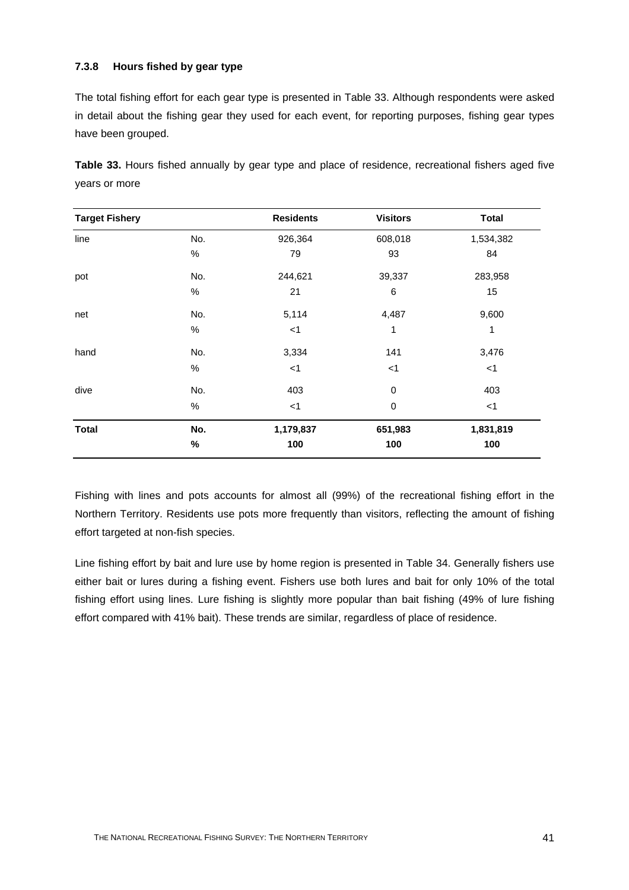#### **7.3.8 Hours fished by gear type**

The total fishing effort for each gear type is presented in Table 33. Although respondents were asked in detail about the fishing gear they used for each event, for reporting purposes, fishing gear types have been grouped.

|               |  |  |  |  |  | Table 33. Hours fished annually by gear type and place of residence, recreational fishers aged five |  |  |
|---------------|--|--|--|--|--|-----------------------------------------------------------------------------------------------------|--|--|
| years or more |  |  |  |  |  |                                                                                                     |  |  |

| <b>Target Fishery</b> |      | <b>Residents</b> | <b>Visitors</b> | <b>Total</b> |
|-----------------------|------|------------------|-----------------|--------------|
| line                  | No.  | 926,364          | 608,018         | 1,534,382    |
|                       | $\%$ | 79               | 93              | 84           |
| pot                   | No.  | 244,621          | 39,337          | 283,958      |
|                       | $\%$ | 21               | $\,6$           | 15           |
| net                   | No.  | 5,114            | 4,487           | 9,600        |
|                       | $\%$ | $<$ 1            | 1               | 1            |
| hand                  | No.  | 3,334            | 141             | 3,476        |
|                       | $\%$ | < 1              | $<$ 1           | $<$ 1        |
| dive                  | No.  | 403              | 0               | 403          |
|                       | $\%$ | $<$ 1            | $\pmb{0}$       | $<$ 1        |
| <b>Total</b>          | No.  | 1,179,837        | 651,983         | 1,831,819    |
|                       | $\%$ | 100              | 100             | 100          |

Fishing with lines and pots accounts for almost all (99%) of the recreational fishing effort in the Northern Territory. Residents use pots more frequently than visitors, reflecting the amount of fishing effort targeted at non-fish species.

Line fishing effort by bait and lure use by home region is presented in Table 34. Generally fishers use either bait or lures during a fishing event. Fishers use both lures and bait for only 10% of the total fishing effort using lines. Lure fishing is slightly more popular than bait fishing (49% of lure fishing effort compared with 41% bait). These trends are similar, regardless of place of residence.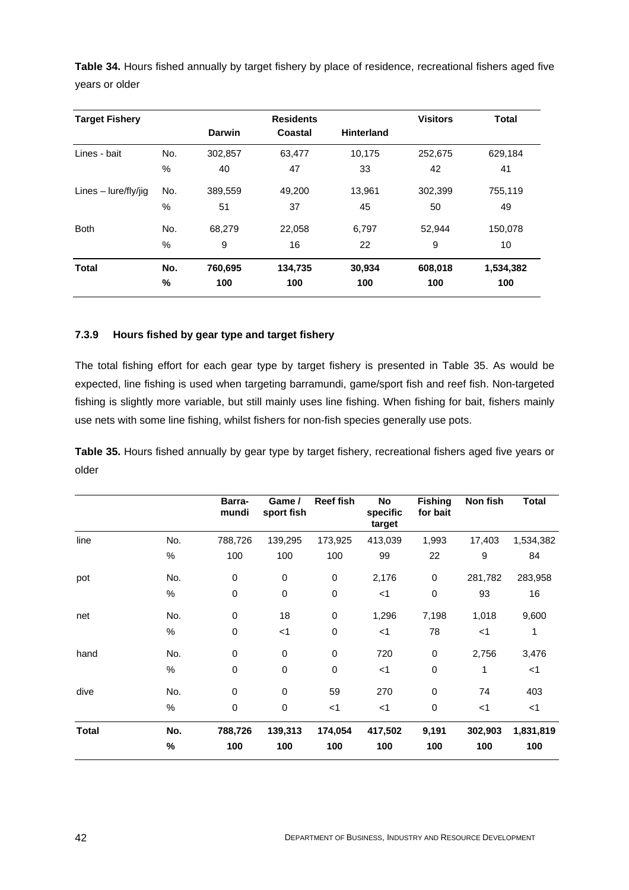**Table 34.** Hours fished annually by target fishery by place of residence, recreational fishers aged five years or older

| <b>Target Fishery</b>  |      |               | <b>Residents</b> |                   | <b>Visitors</b> | <b>Total</b> |
|------------------------|------|---------------|------------------|-------------------|-----------------|--------------|
|                        |      | <b>Darwin</b> | Coastal          | <b>Hinterland</b> |                 |              |
| Lines - bait           | No.  | 302,857       | 63,477           | 10,175            | 252,675         | 629,184      |
|                        | %    | 40            | 47               | 33                | 42              | 41           |
| Lines $-$ lure/fly/jig | No.  | 389,559       | 49,200           | 13,961            | 302,399         | 755,119      |
|                        | $\%$ | 51            | 37               | 45                | 50              | 49           |
| <b>Both</b>            | No.  | 68,279        | 22,058           | 6,797             | 52,944          | 150,078      |
|                        | $\%$ | 9             | 16               | 22                | 9               | 10           |
| Total                  | No.  | 760,695       | 134,735          | 30,934            | 608,018         | 1,534,382    |
|                        | %    | 100           | 100              | 100               | 100             | 100          |

## **7.3.9 Hours fished by gear type and target fishery**

The total fishing effort for each gear type by target fishery is presented in Table 35. As would be expected, line fishing is used when targeting barramundi, game/sport fish and reef fish. Non-targeted fishing is slightly more variable, but still mainly uses line fishing. When fishing for bait, fishers mainly use nets with some line fishing, whilst fishers for non-fish species generally use pots.

**Table 35.** Hours fished annually by gear type by target fishery, recreational fishers aged five years or older

|              |      | Barra-<br>mundi | Game /<br>sport fish | <b>Reef fish</b> | No<br>specific<br>target | <b>Fishing</b><br>for bait | Non fish | Total     |
|--------------|------|-----------------|----------------------|------------------|--------------------------|----------------------------|----------|-----------|
| line         | No.  | 788,726         | 139,295              | 173,925          | 413,039                  | 1,993                      | 17,403   | 1,534,382 |
|              | $\%$ | 100             | 100                  | 100              | 99                       | 22                         | 9        | 84        |
| pot          | No.  | $\mathbf 0$     | $\,0\,$              | $\pmb{0}$        | 2,176                    | $\pmb{0}$                  | 281,782  | 283,958   |
|              | $\%$ | $\mathbf 0$     | $\pmb{0}$            | $\pmb{0}$        | $<$ 1                    | $\mathbf 0$                | 93       | 16        |
| net          | No.  | $\mathbf 0$     | 18                   | $\pmb{0}$        | 1,296                    | 7,198                      | 1,018    | 9,600     |
|              | $\%$ | $\pmb{0}$       | $<$ 1                | $\pmb{0}$        | $<$ 1                    | 78                         | $<$ 1    | 1         |
| hand         | No.  | $\mathbf 0$     | $\,0\,$              | $\pmb{0}$        | 720                      | $\,0\,$                    | 2,756    | 3,476     |
|              | $\%$ | $\mathbf 0$     | $\,0\,$              | $\pmb{0}$        | $<$ 1                    | $\pmb{0}$                  | 1        | $<$ 1     |
| dive         | No.  | $\mathbf 0$     | $\pmb{0}$            | 59               | 270                      | $\mathbf 0$                | 74       | 403       |
|              | %    | $\mathbf 0$     | $\,0\,$              | $<$ 1            | $<$ 1                    | $\mathbf 0$                | $<$ 1    | $<$ 1     |
| <b>Total</b> | No.  | 788,726         | 139,313              | 174,054          | 417,502                  | 9,191                      | 302,903  | 1,831,819 |
|              | %    | 100             | 100                  | 100              | 100                      | 100                        | 100      | 100       |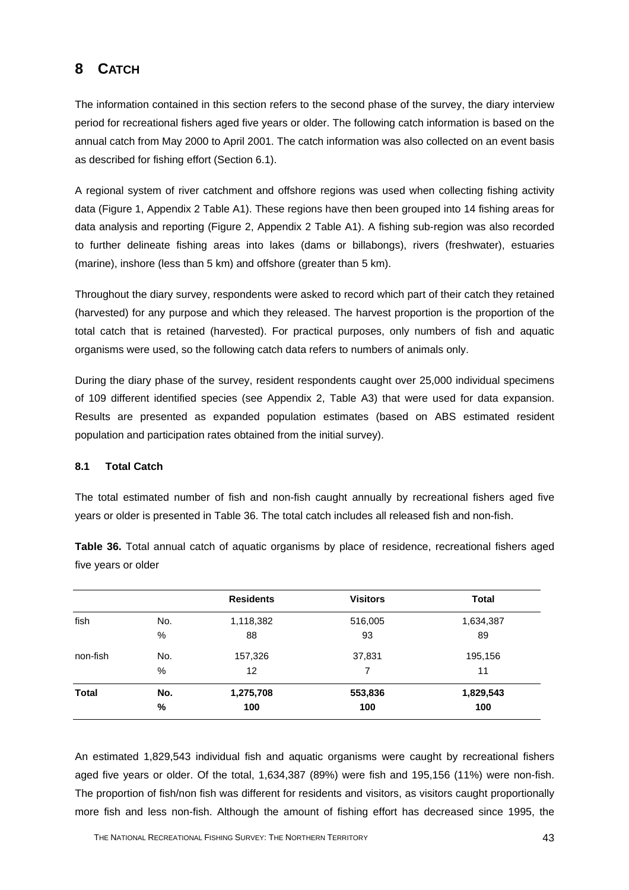# **8 CATCH**

The information contained in this section refers to the second phase of the survey, the diary interview period for recreational fishers aged five years or older. The following catch information is based on the annual catch from May 2000 to April 2001. The catch information was also collected on an event basis as described for fishing effort (Section 6.1).

A regional system of river catchment and offshore regions was used when collecting fishing activity data (Figure 1, Appendix 2 Table A1). These regions have then been grouped into 14 fishing areas for data analysis and reporting (Figure 2, Appendix 2 Table A1). A fishing sub-region was also recorded to further delineate fishing areas into lakes (dams or billabongs), rivers (freshwater), estuaries (marine), inshore (less than 5 km) and offshore (greater than 5 km).

Throughout the diary survey, respondents were asked to record which part of their catch they retained (harvested) for any purpose and which they released. The harvest proportion is the proportion of the total catch that is retained (harvested). For practical purposes, only numbers of fish and aquatic organisms were used, so the following catch data refers to numbers of animals only.

During the diary phase of the survey, resident respondents caught over 25,000 individual specimens of 109 different identified species (see Appendix 2, Table A3) that were used for data expansion. Results are presented as expanded population estimates (based on ABS estimated resident population and participation rates obtained from the initial survey).

#### **8.1 Total Catch**

The total estimated number of fish and non-fish caught annually by recreational fishers aged five years or older is presented in Table 36. The total catch includes all released fish and non-fish.

**Table 36.** Total annual catch of aquatic organisms by place of residence, recreational fishers aged five years or older

|              |     | <b>Residents</b> | <b>Visitors</b> | <b>Total</b> |
|--------------|-----|------------------|-----------------|--------------|
| fish         | No. | 1,118,382        | 516,005         | 1,634,387    |
|              | %   | 88               | 93              | 89           |
| non-fish     | No. | 157,326          | 37,831          | 195,156      |
|              | %   | 12               | 7               | 11           |
| <b>Total</b> | No. | 1,275,708        | 553,836         | 1,829,543    |
|              | %   | 100              | 100             | 100          |

An estimated 1,829,543 individual fish and aquatic organisms were caught by recreational fishers aged five years or older. Of the total, 1,634,387 (89%) were fish and 195,156 (11%) were non-fish. The proportion of fish/non fish was different for residents and visitors, as visitors caught proportionally more fish and less non-fish. Although the amount of fishing effort has decreased since 1995, the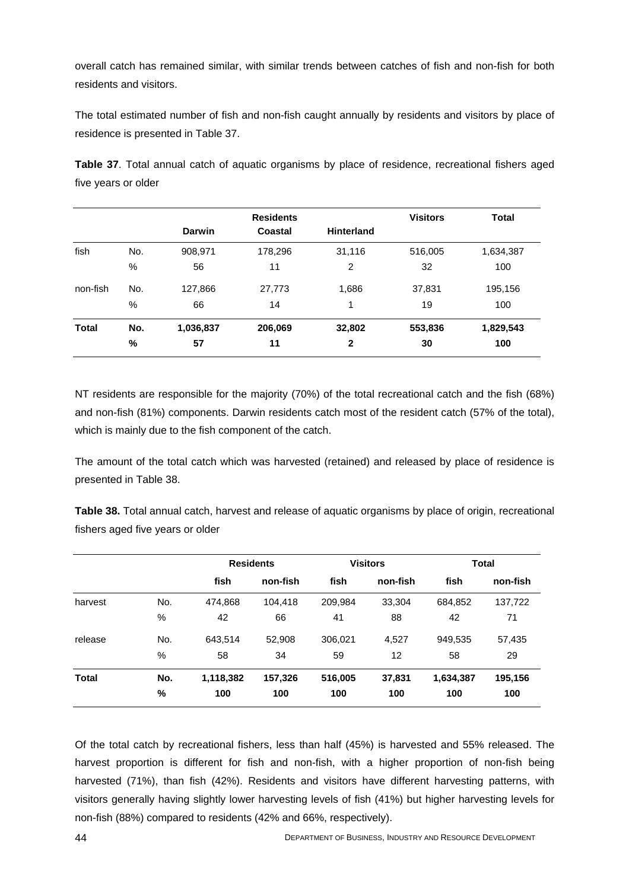overall catch has remained similar, with similar trends between catches of fish and non-fish for both residents and visitors.

The total estimated number of fish and non-fish caught annually by residents and visitors by place of residence is presented in Table 37.

**Table 37**. Total annual catch of aquatic organisms by place of residence, recreational fishers aged five years or older

|      |               | <b>Residents</b> |                   | <b>Visitors</b> | <b>Total</b> |
|------|---------------|------------------|-------------------|-----------------|--------------|
|      | <b>Darwin</b> | Coastal          | <b>Hinterland</b> |                 |              |
| No.  | 908,971       | 178,296          | 31,116            | 516,005         | 1,634,387    |
| %    | 56            | 11               | 2                 | 32              | 100          |
| No.  | 127,866       | 27,773           | 1,686             | 37,831          | 195,156      |
| $\%$ | 66            | 14               | 1                 | 19              | 100          |
| No.  | 1,036,837     | 206,069          | 32,802            | 553,836         | 1,829,543    |
| %    | 57            | 11               | 2                 | 30              | 100          |
|      |               |                  |                   |                 |              |

NT residents are responsible for the majority (70%) of the total recreational catch and the fish (68%) and non-fish (81%) components. Darwin residents catch most of the resident catch (57% of the total), which is mainly due to the fish component of the catch.

The amount of the total catch which was harvested (retained) and released by place of residence is presented in Table 38.

**Table 38.** Total annual catch, harvest and release of aquatic organisms by place of origin, recreational fishers aged five years or older

|              |      | <b>Residents</b> |          |         | <b>Visitors</b> | <b>Total</b> |          |  |
|--------------|------|------------------|----------|---------|-----------------|--------------|----------|--|
|              |      | fish             | non-fish | fish    | non-fish        | fish         | non-fish |  |
| harvest      | No.  | 474,868          | 104,418  | 209,984 | 33,304          | 684,852      | 137,722  |  |
|              | $\%$ | 42               | 66       | 41      | 88              | 42           | 71       |  |
| release      | No.  | 643,514          | 52,908   | 306,021 | 4,527           | 949,535      | 57,435   |  |
|              | %    | 58               | 34       | 59      | 12              | 58           | 29       |  |
| <b>Total</b> | No.  | 1,118,382        | 157,326  | 516,005 | 37,831          | 1,634,387    | 195,156  |  |
|              | %    | 100              | 100      | 100     | 100             | 100          | 100      |  |

Of the total catch by recreational fishers, less than half (45%) is harvested and 55% released. The harvest proportion is different for fish and non-fish, with a higher proportion of non-fish being harvested (71%), than fish (42%). Residents and visitors have different harvesting patterns, with visitors generally having slightly lower harvesting levels of fish (41%) but higher harvesting levels for non-fish (88%) compared to residents (42% and 66%, respectively).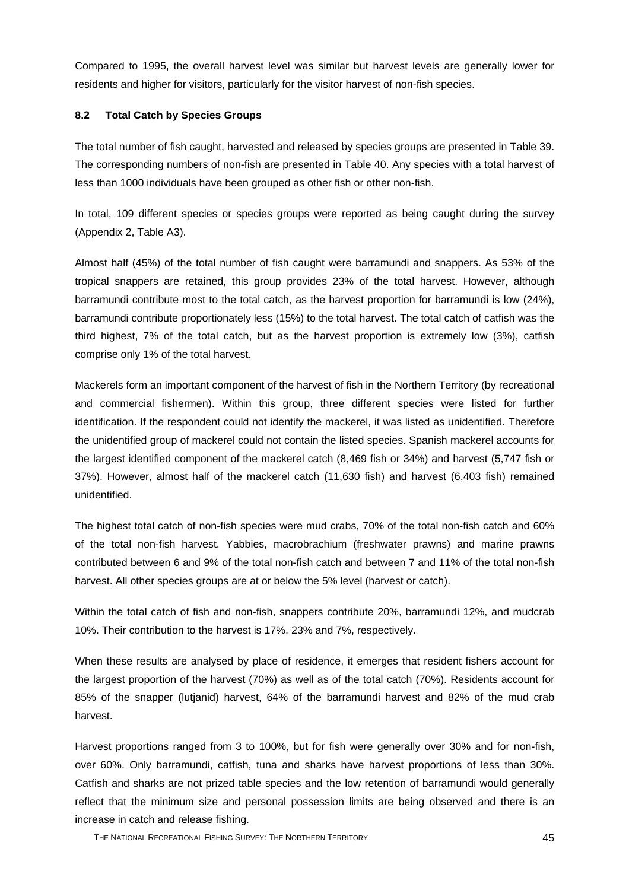Compared to 1995, the overall harvest level was similar but harvest levels are generally lower for residents and higher for visitors, particularly for the visitor harvest of non-fish species.

#### **8.2 Total Catch by Species Groups**

The total number of fish caught, harvested and released by species groups are presented in Table 39. The corresponding numbers of non-fish are presented in Table 40. Any species with a total harvest of less than 1000 individuals have been grouped as other fish or other non-fish.

In total, 109 different species or species groups were reported as being caught during the survey (Appendix 2, Table A3).

Almost half (45%) of the total number of fish caught were barramundi and snappers. As 53% of the tropical snappers are retained, this group provides 23% of the total harvest. However, although barramundi contribute most to the total catch, as the harvest proportion for barramundi is low (24%), barramundi contribute proportionately less (15%) to the total harvest. The total catch of catfish was the third highest, 7% of the total catch, but as the harvest proportion is extremely low (3%), catfish comprise only 1% of the total harvest.

Mackerels form an important component of the harvest of fish in the Northern Territory (by recreational and commercial fishermen). Within this group, three different species were listed for further identification. If the respondent could not identify the mackerel, it was listed as unidentified. Therefore the unidentified group of mackerel could not contain the listed species. Spanish mackerel accounts for the largest identified component of the mackerel catch (8,469 fish or 34%) and harvest (5,747 fish or 37%). However, almost half of the mackerel catch (11,630 fish) and harvest (6,403 fish) remained unidentified.

The highest total catch of non-fish species were mud crabs, 70% of the total non-fish catch and 60% of the total non-fish harvest. Yabbies, macrobrachium (freshwater prawns) and marine prawns contributed between 6 and 9% of the total non-fish catch and between 7 and 11% of the total non-fish harvest. All other species groups are at or below the 5% level (harvest or catch).

Within the total catch of fish and non-fish, snappers contribute 20%, barramundi 12%, and mudcrab 10%. Their contribution to the harvest is 17%, 23% and 7%, respectively.

When these results are analysed by place of residence, it emerges that resident fishers account for the largest proportion of the harvest (70%) as well as of the total catch (70%). Residents account for 85% of the snapper (lutjanid) harvest, 64% of the barramundi harvest and 82% of the mud crab harvest.

Harvest proportions ranged from 3 to 100%, but for fish were generally over 30% and for non-fish, over 60%. Only barramundi, catfish, tuna and sharks have harvest proportions of less than 30%. Catfish and sharks are not prized table species and the low retention of barramundi would generally reflect that the minimum size and personal possession limits are being observed and there is an increase in catch and release fishing.

THE NATIONAL RECREATIONAL FISHING SURVEY: THE NORTHERN TERRITORY 45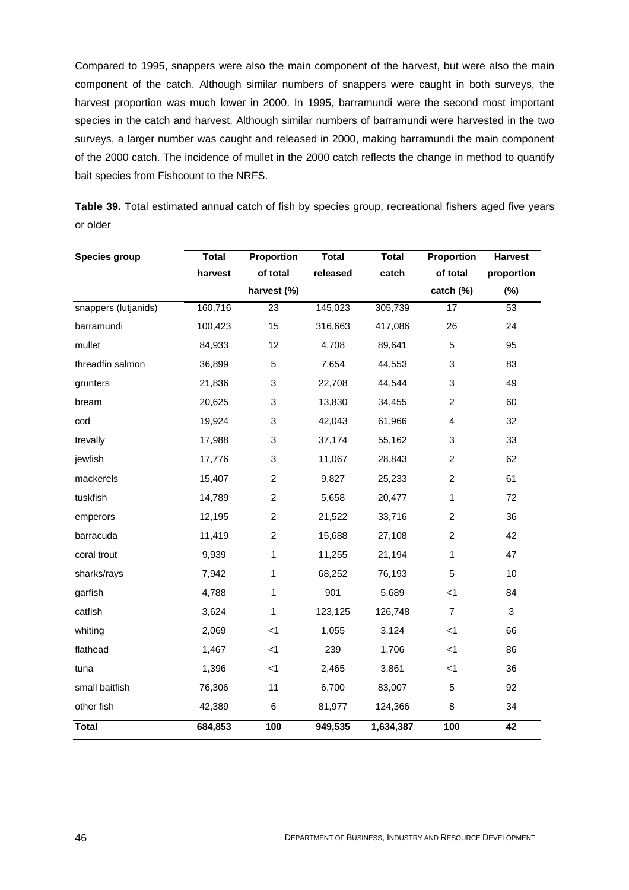Compared to 1995, snappers were also the main component of the harvest, but were also the main component of the catch. Although similar numbers of snappers were caught in both surveys, the harvest proportion was much lower in 2000. In 1995, barramundi were the second most important species in the catch and harvest. Although similar numbers of barramundi were harvested in the two surveys, a larger number was caught and released in 2000, making barramundi the main component of the 2000 catch. The incidence of mullet in the 2000 catch reflects the change in method to quantify bait species from Fishcount to the NRFS.

**Table 39.** Total estimated annual catch of fish by species group, recreational fishers aged five years or older

| <b>Species group</b> | <b>Total</b> | Proportion              | <b>Total</b> | <b>Total</b> | Proportion     | <b>Harvest</b> |
|----------------------|--------------|-------------------------|--------------|--------------|----------------|----------------|
|                      | harvest      | of total                | released     | catch        | of total       | proportion     |
|                      |              | harvest (%)             |              |              | catch (%)      | (%)            |
| snappers (lutjanids) | 160,716      | 23                      | 145,023      | 305,739      | 17             | 53             |
| barramundi           | 100,423      | 15                      | 316,663      | 417,086      | 26             | 24             |
| mullet               | 84,933       | 12                      | 4,708        | 89,641       | 5              | 95             |
| threadfin salmon     | 36,899       | 5                       | 7,654        | 44,553       | 3              | 83             |
| grunters             | 21,836       | 3                       | 22,708       | 44,544       | 3              | 49             |
| bream                | 20,625       | 3                       | 13,830       | 34,455       | $\overline{c}$ | 60             |
| cod                  | 19,924       | 3                       | 42,043       | 61,966       | 4              | 32             |
| trevally             | 17,988       | 3                       | 37,174       | 55,162       | 3              | 33             |
| jewfish              | 17,776       | 3                       | 11,067       | 28,843       | $\overline{c}$ | 62             |
| mackerels            | 15,407       | $\overline{c}$          | 9,827        | 25,233       | $\overline{c}$ | 61             |
| tuskfish             | 14,789       | $\overline{\mathbf{c}}$ | 5,658        | 20,477       | $\mathbf{1}$   | 72             |
| emperors             | 12,195       | $\overline{c}$          | 21,522       | 33,716       | $\overline{c}$ | 36             |
| barracuda            | 11,419       | $\overline{c}$          | 15,688       | 27,108       | $\overline{c}$ | 42             |
| coral trout          | 9,939        | 1                       | 11,255       | 21,194       | 1              | 47             |
| sharks/rays          | 7,942        | 1                       | 68,252       | 76,193       | 5              | 10             |
| garfish              | 4,788        | 1                       | 901          | 5,689        | < 1            | 84             |
| catfish              | 3,624        | 1                       | 123,125      | 126,748      | $\overline{7}$ | $\mathbf{3}$   |
| whiting              | 2,069        | < 1                     | 1,055        | 3,124        | < 1            | 66             |
| flathead             | 1,467        | $<$ 1                   | 239          | 1,706        | $<$ 1          | 86             |
| tuna                 | 1,396        | < 1                     | 2,465        | 3,861        | < 1            | 36             |
| small baitfish       | 76,306       | 11                      | 6,700        | 83,007       | 5              | 92             |
| other fish           | 42,389       | $\,6$                   | 81,977       | 124,366      | 8              | 34             |
| <b>Total</b>         | 684,853      | 100                     | 949,535      | 1,634,387    | 100            | 42             |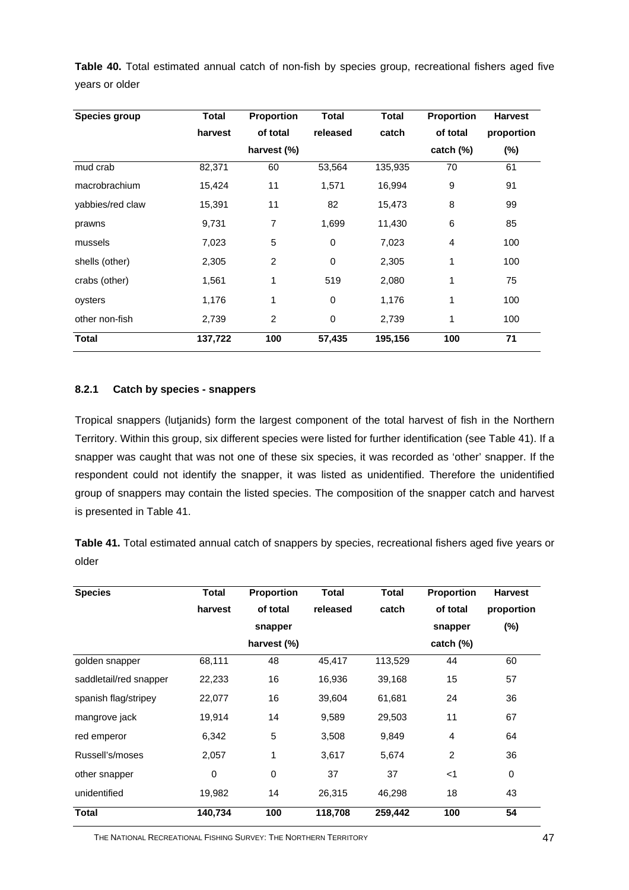**Table 40.** Total estimated annual catch of non-fish by species group, recreational fishers aged five years or older

| Species group    | <b>Total</b> | <b>Proportion</b> | <b>Total</b> | <b>Total</b> | Proportion     | <b>Harvest</b> |
|------------------|--------------|-------------------|--------------|--------------|----------------|----------------|
|                  | harvest      | of total          | released     | catch        | of total       | proportion     |
|                  |              | harvest (%)       |              |              | catch $(\%)$   | $(\%)$         |
| mud crab         | 82,371       | 60                | 53,564       | 135,935      | 70             | 61             |
| macrobrachium    | 15,424       | 11                | 1,571        | 16,994       | 9              | 91             |
| yabbies/red claw | 15,391       | 11                | 82           | 15,473       | 8              | 99             |
| prawns           | 9,731        | 7                 | 1,699        | 11,430       | 6              | 85             |
| mussels          | 7,023        | 5                 | 0            | 7,023        | $\overline{4}$ | 100            |
| shells (other)   | 2,305        | $\overline{2}$    | 0            | 2,305        | 1              | 100            |
| crabs (other)    | 1,561        | 1                 | 519          | 2,080        | 1              | 75             |
| oysters          | 1,176        | 1                 | 0            | 1,176        | 1              | 100            |
| other non-fish   | 2,739        | 2                 | 0            | 2,739        | $\mathbf{1}$   | 100            |
| <b>Total</b>     | 137,722      | 100               | 57,435       | 195,156      | 100            | 71             |

## **8.2.1 Catch by species - snappers**

Tropical snappers (lutjanids) form the largest component of the total harvest of fish in the Northern Territory. Within this group, six different species were listed for further identification (see Table 41). If a snapper was caught that was not one of these six species, it was recorded as 'other' snapper. If the respondent could not identify the snapper, it was listed as unidentified. Therefore the unidentified group of snappers may contain the listed species. The composition of the snapper catch and harvest is presented in Table 41.

**Table 41.** Total estimated annual catch of snappers by species, recreational fishers aged five years or older

| <b>Species</b>         | Total       | Proportion  | <b>Total</b> | <b>Total</b> | Proportion     | <b>Harvest</b> |
|------------------------|-------------|-------------|--------------|--------------|----------------|----------------|
|                        | harvest     | of total    | released     | catch        | of total       | proportion     |
|                        |             | snapper     |              |              | snapper        | $(\%)$         |
|                        |             | harvest (%) |              |              | catch $(\%)$   |                |
| golden snapper         | 68,111      | 48          | 45,417       | 113,529      | 44             | 60             |
| saddletail/red snapper | 22,233      | 16          | 16,936       | 39,168       | 15             | 57             |
| spanish flag/stripey   | 22,077      | 16          | 39,604       | 61,681       | 24             | 36             |
| mangrove jack          | 19,914      | 14          | 9,589        | 29,503       | 11             | 67             |
| red emperor            | 6,342       | 5           | 3,508        | 9,849        | 4              | 64             |
| Russell's/moses        | 2,057       | 1           | 3,617        | 5,674        | $\overline{c}$ | 36             |
| other snapper          | $\mathbf 0$ | $\pmb{0}$   | 37           | 37           | $<$ 1          | $\pmb{0}$      |
| unidentified           | 19,982      | 14          | 26,315       | 46,298       | 18             | 43             |
| <b>Total</b>           | 140,734     | 100         | 118,708      | 259,442      | 100            | 54             |

THE NATIONAL RECREATIONAL FISHING SURVEY: THE NORTHERN TERRITORY 47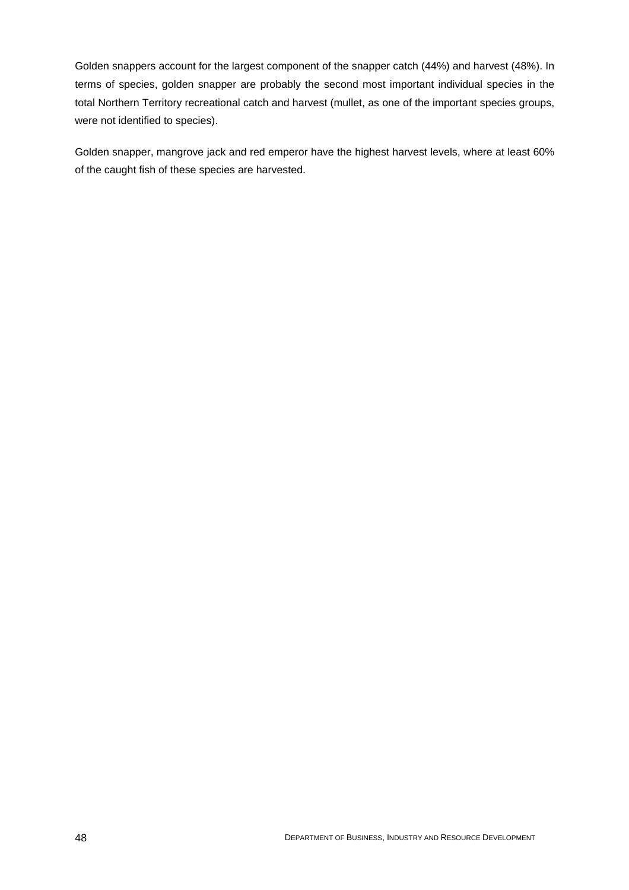Golden snappers account for the largest component of the snapper catch (44%) and harvest (48%). In terms of species, golden snapper are probably the second most important individual species in the total Northern Territory recreational catch and harvest (mullet, as one of the important species groups, were not identified to species).

Golden snapper, mangrove jack and red emperor have the highest harvest levels, where at least 60% of the caught fish of these species are harvested.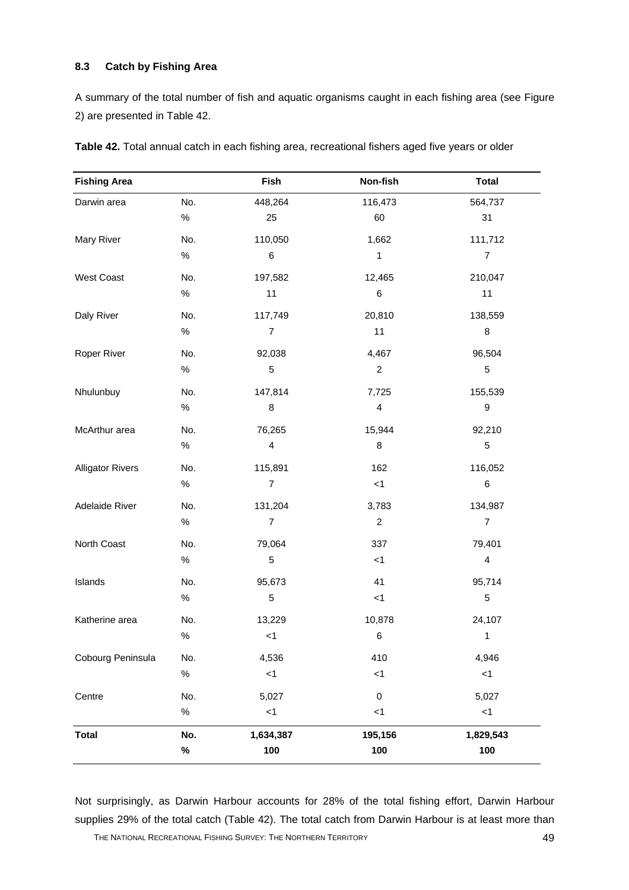#### **8.3 Catch by Fishing Area**

A summary of the total number of fish and aquatic organisms caught in each fishing area (see Figure 2) are presented in Table 42.

| <b>Fishing Area</b>     |      | Fish                    | Non-fish                | <b>Total</b>            |
|-------------------------|------|-------------------------|-------------------------|-------------------------|
| Darwin area             | No.  | 448,264                 | 116,473                 | 564,737                 |
|                         | $\%$ | 25                      | 60                      | 31                      |
| Mary River              | No.  | 110,050                 | 1,662                   | 111,712                 |
|                         | $\%$ | $\,6$                   | $\mathbf{1}$            | $\overline{7}$          |
| West Coast              | No.  | 197,582                 | 12,465                  | 210,047                 |
|                         | $\%$ | 11                      | $\,6$                   | 11                      |
| Daly River              | No.  | 117,749                 | 20,810                  | 138,559                 |
|                         | $\%$ | $\overline{7}$          | 11                      | 8                       |
| Roper River             | No.  | 92,038                  | 4,467                   | 96,504                  |
|                         | $\%$ | $\mathbf 5$             | $\overline{c}$          | $\,$ 5 $\,$             |
| Nhulunbuy               | No.  | 147,814                 | 7,725                   | 155,539                 |
|                         | $\%$ | $\,$ 8 $\,$             | $\overline{\mathbf{4}}$ | 9                       |
| McArthur area           | No.  | 76,265                  | 15,944                  | 92,210                  |
|                         | $\%$ | $\overline{\mathbf{4}}$ | $\,$ 8 $\,$             | $\,$ 5 $\,$             |
| <b>Alligator Rivers</b> | No.  | 115,891                 | 162                     | 116,052                 |
|                         | $\%$ | $\boldsymbol{7}$        | $<1\,$                  | 6                       |
| Adelaide River          | No.  | 131,204                 | 3,783                   | 134,987                 |
|                         | $\%$ | $\boldsymbol{7}$        | $\overline{c}$          | $\overline{7}$          |
| North Coast             | No.  | 79,064                  | 337                     | 79,401                  |
|                         | $\%$ | $\mathbf 5$             | < 1                     | $\overline{\mathbf{4}}$ |
| Islands                 | No.  | 95,673                  | 41                      | 95,714                  |
|                         | $\%$ | $\mathbf 5$             | < 1                     | $\,$ 5 $\,$             |
| Katherine area          | No.  | 13,229                  | 10,878                  | 24,107                  |
|                         | $\%$ | $<$ 1                   | $\,6$                   | 1                       |
| Cobourg Peninsula       | No.  | 4,536                   | 410                     | 4,946                   |
|                         | $\%$ | < 1                     | < 1                     | $<1$                    |
| Centre                  | No.  | 5,027                   | $\pmb{0}$               | 5,027                   |
|                         | $\%$ | < 1                     | < 1                     | $<1$                    |
| <b>Total</b>            | No.  | 1,634,387               | 195,156                 | 1,829,543               |
|                         | $\%$ | 100                     | 100                     | 100                     |

**Table 42.** Total annual catch in each fishing area, recreational fishers aged five years or older

Not surprisingly, as Darwin Harbour accounts for 28% of the total fishing effort, Darwin Harbour supplies 29% of the total catch (Table 42). The total catch from Darwin Harbour is at least more than

THE NATIONAL RECREATIONAL FISHING SURVEY: THE NORTHERN TERRITORY 49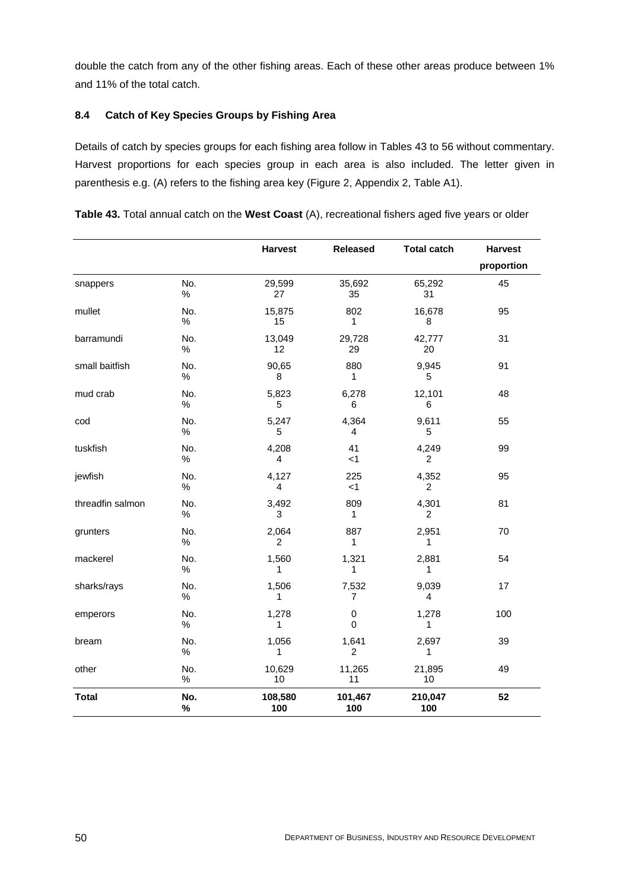double the catch from any of the other fishing areas. Each of these other areas produce between 1% and 11% of the total catch.

## **8.4 Catch of Key Species Groups by Fishing Area**

Details of catch by species groups for each fishing area follow in Tables 43 to 56 without commentary. Harvest proportions for each species group in each area is also included. The letter given in parenthesis e.g. (A) refers to the fishing area key (Figure 2, Appendix 2, Table A1).

|                  |             | <b>Harvest</b>          | <b>Released</b>         | <b>Total catch</b>      | <b>Harvest</b> |
|------------------|-------------|-------------------------|-------------------------|-------------------------|----------------|
|                  |             |                         |                         |                         | proportion     |
| snappers         | No.<br>$\%$ | 29,599<br>27            | 35,692<br>35            | 65,292<br>31            | 45             |
| mullet           | No.<br>$\%$ | 15,875<br>15            | 802<br>1                | 16,678<br>8             | 95             |
| barramundi       | No.<br>%    | 13,049<br>12            | 29,728<br>29            | 42,777<br>20            | 31             |
| small baitfish   | No.<br>%    | 90,65<br>8              | 880<br>1                | 9,945<br>5              | 91             |
| mud crab         | No.<br>$\%$ | 5,823<br>5              | 6,278<br>6              | 12,101<br>6             | 48             |
| cod              | No.<br>$\%$ | 5,247<br>5              | 4,364<br>4              | 9,611<br>5              | 55             |
| tuskfish         | No.<br>$\%$ | 4,208<br>4              | 41<br>$<$ 1             | 4,249<br>$\overline{2}$ | 99             |
| jewfish          | No.<br>$\%$ | 4,127<br>4              | 225<br>$<$ 1            | 4,352<br>2              | 95             |
| threadfin salmon | No.<br>$\%$ | 3,492<br>3              | 809<br>1                | 4,301<br>2              | 81             |
| grunters         | No.<br>%    | 2,064<br>$\overline{c}$ | 887<br>$\mathbf{1}$     | 2,951<br>1              | 70             |
| mackerel         | No.<br>$\%$ | 1,560<br>1              | 1,321<br>1              | 2,881<br>1              | 54             |
| sharks/rays      | No.<br>$\%$ | 1,506<br>1              | 7,532<br>$\overline{7}$ | 9,039<br>4              | 17             |
| emperors         | No.<br>%    | 1,278<br>1              | $\mathbf 0$<br>0        | 1,278<br>1              | 100            |
| bream            | No.<br>$\%$ | 1,056<br>1              | 1,641<br>2              | 2,697<br>1              | 39             |
| other            | No.<br>$\%$ | 10,629<br>10            | 11,265<br>11            | 21,895<br>10            | 49             |
| <b>Total</b>     | No.<br>%    | 108,580<br>100          | 101,467<br>100          | 210,047<br>100          | 52             |

|  |  |  | Table 43. Total annual catch on the West Coast (A), recreational fishers aged five years or older |  |  |
|--|--|--|---------------------------------------------------------------------------------------------------|--|--|
|  |  |  |                                                                                                   |  |  |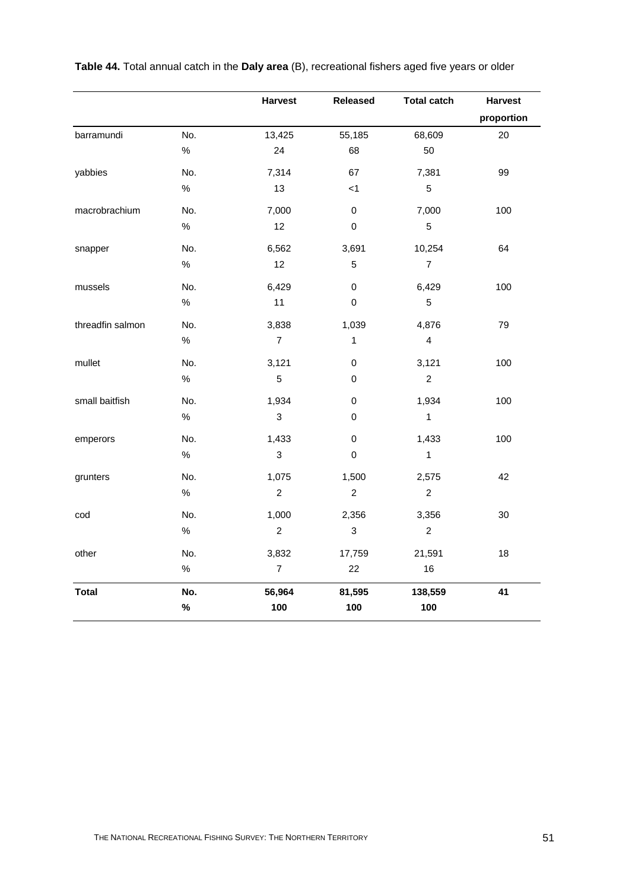|                  |      | <b>Harvest</b>   | <b>Released</b>           | <b>Total catch</b>      | <b>Harvest</b> |
|------------------|------|------------------|---------------------------|-------------------------|----------------|
|                  |      |                  |                           |                         | proportion     |
| barramundi       | No.  | 13,425           | 55,185                    | 68,609                  | 20             |
|                  | $\%$ | 24               | 68                        | 50                      |                |
| yabbies          | No.  | 7,314            | 67                        | 7,381                   | 99             |
|                  | $\%$ | 13               | $<$ 1                     | 5                       |                |
| macrobrachium    | No.  | 7,000            | $\pmb{0}$                 | 7,000                   | 100            |
|                  | $\%$ | 12               | $\pmb{0}$                 | $\sqrt{5}$              |                |
| snapper          | No.  | 6,562            | 3,691                     | 10,254                  | 64             |
|                  | $\%$ | 12               | $\sqrt{5}$                | $\overline{7}$          |                |
| mussels          | No.  | 6,429            | $\pmb{0}$                 | 6,429                   | 100            |
|                  | $\%$ | 11               | $\mathsf{O}\xspace$       | $\overline{5}$          |                |
| threadfin salmon | No.  | 3,838            | 1,039                     | 4,876                   | 79             |
|                  | $\%$ | $\boldsymbol{7}$ | 1                         | $\overline{\mathbf{4}}$ |                |
| mullet           | No.  | 3,121            | $\mathbf 0$               | 3,121                   | 100            |
|                  | $\%$ | $\overline{5}$   | $\mathbf 0$               | $\overline{c}$          |                |
| small baitfish   | No.  | 1,934            | $\pmb{0}$                 | 1,934                   | 100            |
|                  | $\%$ | $\sqrt{3}$       | 0                         | $\mathbf{1}$            |                |
| emperors         | No.  | 1,433            | $\pmb{0}$                 | 1,433                   | 100            |
|                  | $\%$ | $\mathfrak{S}$   | $\pmb{0}$                 | $\mathbf{1}$            |                |
| grunters         | No.  | 1,075            | 1,500                     | 2,575                   | 42             |
|                  | $\%$ | $\boldsymbol{2}$ | $\sqrt{2}$                | $\boldsymbol{2}$        |                |
| cod              | No.  | 1,000            | 2,356                     | 3,356                   | 30             |
|                  | $\%$ | $\overline{c}$   | $\ensuremath{\mathsf{3}}$ | $\overline{c}$          |                |
| other            | No.  | 3,832            | 17,759                    | 21,591                  | 18             |
|                  | $\%$ | $\overline{7}$   | 22                        | 16                      |                |
| <b>Total</b>     | No.  | 56,964           | 81,595                    | 138,559                 | 41             |
|                  | $\%$ | 100              | 100                       | 100                     |                |

**Table 44.** Total annual catch in the **Daly area** (B), recreational fishers aged five years or older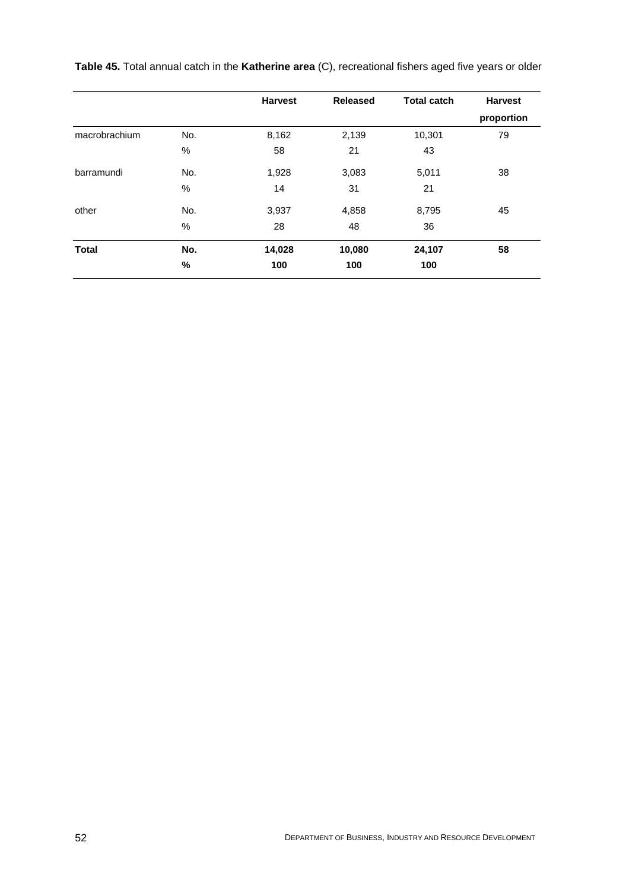|               |      | <b>Harvest</b> | <b>Released</b> | <b>Total catch</b> | <b>Harvest</b> |
|---------------|------|----------------|-----------------|--------------------|----------------|
|               |      |                |                 |                    | proportion     |
| macrobrachium | No.  | 8,162          | 2,139           | 10,301             | 79             |
|               | %    | 58             | 21              | 43                 |                |
| barramundi    | No.  | 1,928          | 3,083           | 5,011              | 38             |
|               | %    | 14             | 31              | 21                 |                |
| other         | No.  | 3,937          | 4,858           | 8,795              | 45             |
|               | $\%$ | 28             | 48              | 36                 |                |
| <b>Total</b>  | No.  | 14,028         | 10,080          | 24,107             | 58             |
|               | %    | 100            | 100             | 100                |                |

**Table 45.** Total annual catch in the **Katherine area** (C), recreational fishers aged five years or older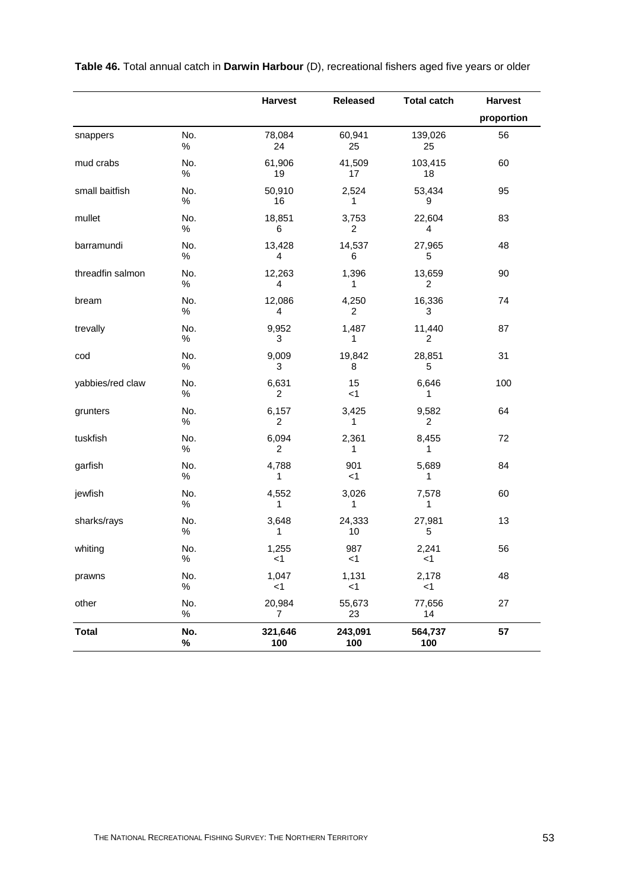|                  |             | <b>Harvest</b>          | <b>Released</b> | <b>Total catch</b> | <b>Harvest</b> |
|------------------|-------------|-------------------------|-----------------|--------------------|----------------|
|                  |             |                         |                 |                    | proportion     |
| snappers         | No.<br>$\%$ | 78,084<br>24            | 60,941<br>25    | 139,026<br>25      | 56             |
| mud crabs        | No.<br>$\%$ | 61,906<br>19            | 41,509<br>17    | 103,415<br>18      | 60             |
| small baitfish   | No.<br>$\%$ | 50,910<br>16            | 2,524<br>1      | 53,434<br>9        | 95             |
| mullet           | No.<br>$\%$ | 18,851<br>6             | 3,753<br>2      | 22,604<br>4        | 83             |
| barramundi       | No.<br>$\%$ | 13,428<br>4             | 14,537<br>6     | 27,965<br>5        | 48             |
| threadfin salmon | No.<br>$\%$ | 12,263<br>4             | 1,396<br>1      | 13,659<br>2        | 90             |
| bream            | No.<br>$\%$ | 12,086<br>4             | 4,250<br>2      | 16,336<br>3        | 74             |
| trevally         | No.<br>$\%$ | 9,952<br>3              | 1,487<br>1      | 11,440<br>2        | 87             |
| cod              | No.<br>$\%$ | 9,009<br>3              | 19,842<br>8     | 28,851<br>5        | 31             |
| yabbies/red claw | No.<br>$\%$ | 6,631<br>2              | 15<br>$<$ 1     | 6,646<br>1         | 100            |
| grunters         | No.<br>$\%$ | 6,157<br>$\overline{2}$ | 3,425<br>1      | 9,582<br>2         | 64             |
| tuskfish         | No.<br>$\%$ | 6,094<br>2              | 2,361<br>1      | 8,455<br>1         | 72             |
| garfish          | No.<br>$\%$ | 4,788<br>1              | 901<br>$<$ 1    | 5,689<br>1         | 84             |
| jewfish          | No.<br>$\%$ | 4,552<br>1              | 3,026<br>1      | 7,578<br>1         | 60             |
| sharks/rays      | No.<br>$\%$ | 3,648<br>1              | 24,333<br>10    | 27,981<br>5        | 13             |
| whiting          | No.<br>%    | 1,255<br>$<$ 1          | 987<br>$<$ 1    | 2,241<br><1        | 56             |
| prawns           | No.<br>$\%$ | 1,047<br>$<$ 1          | 1,131<br>$<$ 1  | 2,178<br>< 1       | 48             |
| other            | No.<br>$\%$ | 20,984<br>7             | 55,673<br>23    | 77,656<br>14       | 27             |
| <b>Total</b>     | No.<br>$\%$ | 321,646<br>100          | 243,091<br>100  | 564,737<br>100     | 57             |

**Table 46.** Total annual catch in **Darwin Harbour** (D), recreational fishers aged five years or older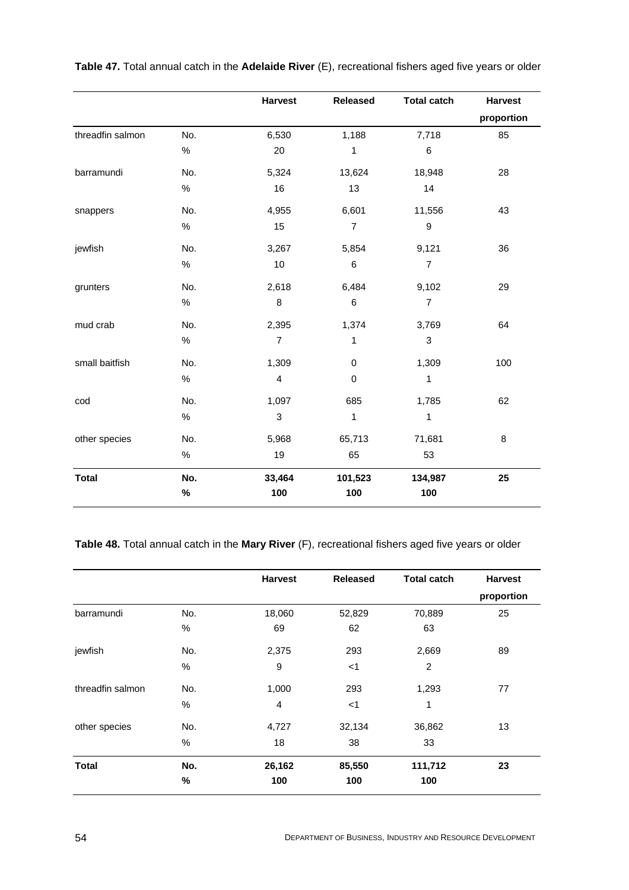|                  |      | <b>Harvest</b>            | <b>Released</b> | <b>Total catch</b> | <b>Harvest</b> |
|------------------|------|---------------------------|-----------------|--------------------|----------------|
|                  |      |                           |                 |                    | proportion     |
| threadfin salmon | No.  | 6,530                     | 1,188           | 7,718              | 85             |
|                  | $\%$ | 20                        | $\mathbf{1}$    | 6                  |                |
| barramundi       | No.  | 5,324                     | 13,624          | 18,948             | 28             |
|                  | $\%$ | 16                        | 13              | 14                 |                |
| snappers         | No.  | 4,955                     | 6,601           | 11,556             | 43             |
|                  | $\%$ | 15                        | $\overline{7}$  | $\boldsymbol{9}$   |                |
| jewfish          | No.  | 3,267                     | 5,854           | 9,121              | 36             |
|                  | $\%$ | 10                        | $\,6$           | $\overline{7}$     |                |
| grunters         | No.  | 2,618                     | 6,484           | 9,102              | 29             |
|                  | $\%$ | 8                         | $\,6\,$         | $\overline{7}$     |                |
| mud crab         | No.  | 2,395                     | 1,374           | 3,769              | 64             |
|                  | $\%$ | $\overline{7}$            | 1               | 3                  |                |
| small baitfish   | No.  | 1,309                     | $\pmb{0}$       | 1,309              | 100            |
|                  | $\%$ | $\overline{\mathbf{4}}$   | $\pmb{0}$       | $\mathbf 1$        |                |
| cod              | No.  | 1,097                     | 685             | 1,785              | 62             |
|                  | $\%$ | $\ensuremath{\mathsf{3}}$ | $\mathbf{1}$    | 1                  |                |
| other species    | No.  | 5,968                     | 65,713          | 71,681             | 8              |
|                  | $\%$ | 19                        | 65              | 53                 |                |
| <b>Total</b>     | No.  | 33,464                    | 101,523         | 134,987            | 25             |
|                  | $\%$ | 100                       | 100             | 100                |                |

**Table 47.** Total annual catch in the **Adelaide River** (E), recreational fishers aged five years or older

# **Table 48.** Total annual catch in the **Mary River** (F), recreational fishers aged five years or older

|                  |     | <b>Harvest</b> | <b>Released</b> | <b>Total catch</b> | <b>Harvest</b> |
|------------------|-----|----------------|-----------------|--------------------|----------------|
|                  |     |                |                 |                    | proportion     |
| barramundi       | No. | 18,060         | 52,829          | 70,889             | 25             |
|                  | %   | 69             | 62              | 63                 |                |
| jewfish          | No. | 2,375          | 293             | 2,669              | 89             |
|                  | %   | 9              | $<$ 1           | 2                  |                |
| threadfin salmon | No. | 1,000          | 293             | 1,293              | 77             |
|                  | %   | $\overline{4}$ | $<$ 1           | 1                  |                |
| other species    | No. | 4,727          | 32,134          | 36,862             | 13             |
|                  | %   | 18             | 38              | 33                 |                |
| <b>Total</b>     | No. | 26,162         | 85,550          | 111,712            | 23             |
|                  | %   | 100            | 100             | 100                |                |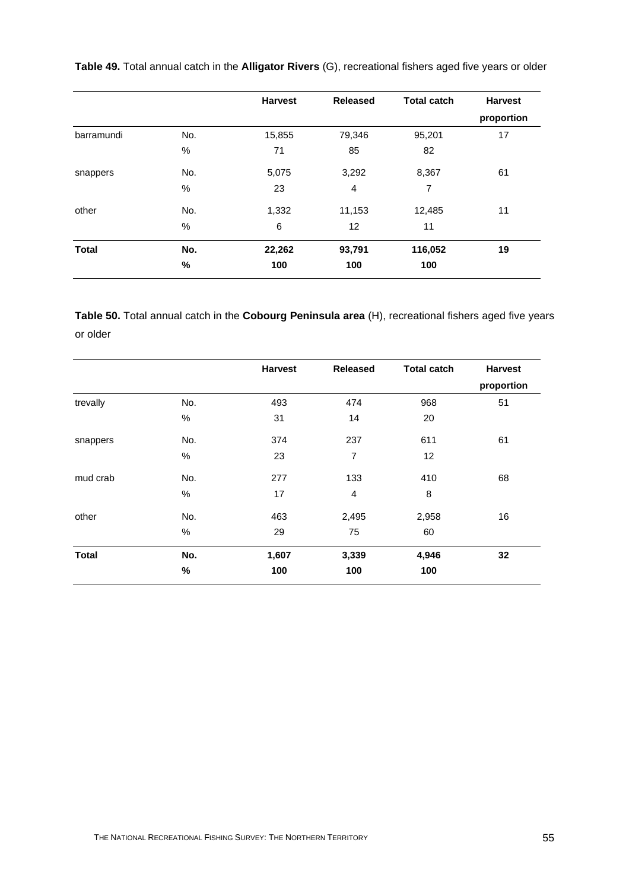|              |      | <b>Harvest</b> | <b>Released</b> | <b>Total catch</b> | <b>Harvest</b> |
|--------------|------|----------------|-----------------|--------------------|----------------|
|              |      |                |                 |                    | proportion     |
| barramundi   | No.  | 15,855         | 79,346          | 95,201             | 17             |
|              | $\%$ | 71             | 85              | 82                 |                |
| snappers     | No.  | 5,075          | 3,292           | 8,367              | 61             |
|              | $\%$ | 23             | $\overline{4}$  | 7                  |                |
| other        | No.  | 1,332          | 11,153          | 12,485             | 11             |
|              | $\%$ | 6              | 12              | 11                 |                |
| <b>Total</b> | No.  | 22,262         | 93,791          | 116,052            | 19             |
|              | $\%$ | 100            | 100             | 100                |                |

**Table 49.** Total annual catch in the **Alligator Rivers** (G), recreational fishers aged five years or older

**Table 50.** Total annual catch in the **Cobourg Peninsula area** (H), recreational fishers aged five years or older

|              |      | <b>Harvest</b> | <b>Released</b> | <b>Total catch</b> | <b>Harvest</b> |
|--------------|------|----------------|-----------------|--------------------|----------------|
|              |      |                |                 |                    | proportion     |
| trevally     | No.  | 493            | 474             | 968                | 51             |
|              | $\%$ | 31             | 14              | 20                 |                |
| snappers     | No.  | 374            | 237             | 611                | 61             |
|              | $\%$ | 23             | 7               | 12                 |                |
| mud crab     | No.  | 277            | 133             | 410                | 68             |
|              | $\%$ | 17             | 4               | 8                  |                |
| other        | No.  | 463            | 2,495           | 2,958              | 16             |
|              | $\%$ | 29             | 75              | 60                 |                |
| <b>Total</b> | No.  | 1,607          | 3,339           | 4,946              | 32             |
|              | $\%$ | 100            | 100             | 100                |                |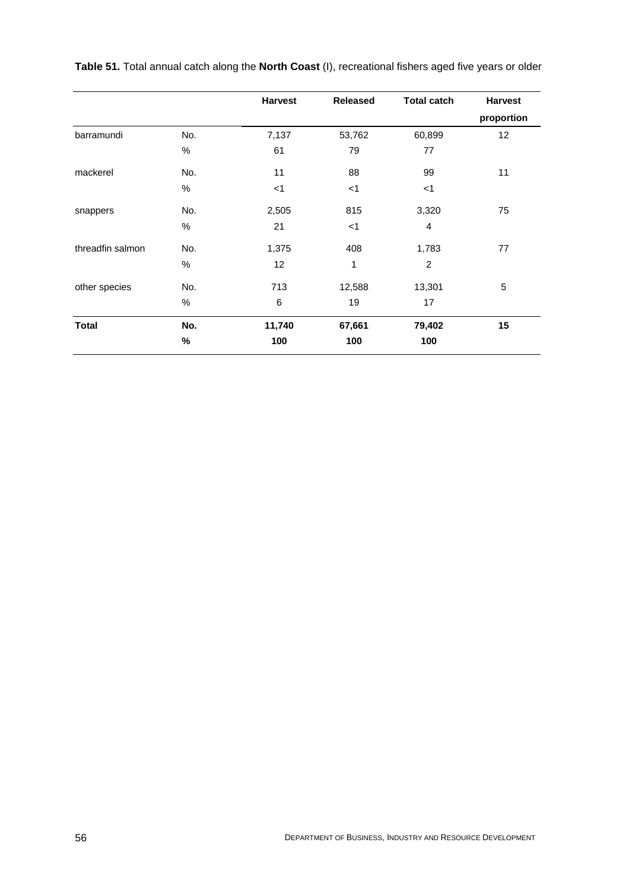|                  |      | <b>Harvest</b> | <b>Released</b> | <b>Total catch</b> | <b>Harvest</b> |
|------------------|------|----------------|-----------------|--------------------|----------------|
|                  |      |                |                 |                    | proportion     |
| barramundi       | No.  | 7,137          | 53,762          | 60,899             | 12             |
|                  | %    | 61             | 79              | 77                 |                |
| mackerel         | No.  | 11             | 88              | 99                 | 11             |
|                  | %    | $<$ 1          | $<$ 1           | $<$ 1              |                |
| snappers         | No.  | 2,505          | 815             | 3,320              | 75             |
|                  | %    | 21             | $<$ 1           | $\overline{4}$     |                |
| threadfin salmon | No.  | 1,375          | 408             | 1,783              | 77             |
|                  | %    | 12             | 1               | $\overline{c}$     |                |
| other species    | No.  | 713            | 12,588          | 13,301             | 5              |
|                  | %    | 6              | 19              | 17                 |                |
| <b>Total</b>     | No.  | 11,740         | 67,661          | 79,402             | 15             |
|                  | $\%$ | 100            | 100             | 100                |                |

**Table 51.** Total annual catch along the **North Coast** (I), recreational fishers aged five years or older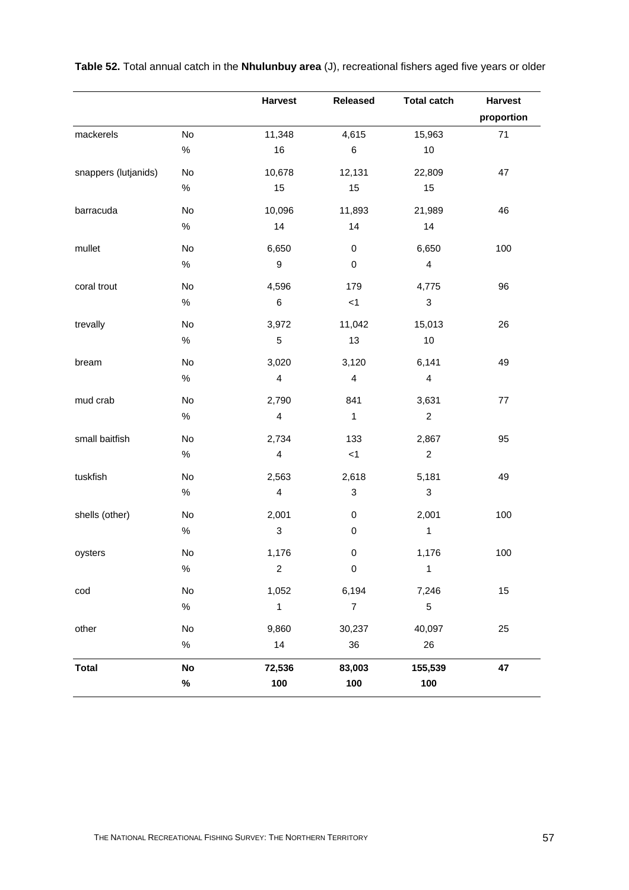|                      |               | <b>Harvest</b>          | <b>Released</b>           | <b>Total catch</b>        | <b>Harvest</b> |
|----------------------|---------------|-------------------------|---------------------------|---------------------------|----------------|
|                      |               |                         |                           |                           | proportion     |
| mackerels            | <b>No</b>     | 11,348                  | 4,615                     | 15,963                    | $71$           |
|                      | $\%$          | 16                      | 6                         | 10                        |                |
| snappers (lutjanids) | No            | 10,678                  | 12,131                    | 22,809                    | 47             |
|                      | $\%$          | 15                      | 15                        | 15                        |                |
| barracuda            | No            | 10,096                  | 11,893                    | 21,989                    | 46             |
|                      | $\%$          | 14                      | 14                        | 14                        |                |
| mullet               | No            | 6,650                   | $\pmb{0}$                 | 6,650                     | 100            |
|                      | $\%$          | $\boldsymbol{9}$        | $\pmb{0}$                 | $\overline{\mathbf{4}}$   |                |
| coral trout          | No            | 4,596                   | 179                       | 4,775                     | 96             |
|                      | $\%$          | $\,6$                   | $<1\,$                    | $\ensuremath{\mathsf{3}}$ |                |
| trevally             | No            | 3,972                   | 11,042                    | 15,013                    | 26             |
|                      | $\%$          | $\sqrt{5}$              | 13                        | 10                        |                |
| bream                | No            | 3,020                   | 3,120                     | 6,141                     | 49             |
|                      | $\%$          | $\overline{\mathbf{4}}$ | $\overline{4}$            | $\overline{\mathbf{4}}$   |                |
| mud crab             | No            | 2,790                   | 841                       | 3,631                     | 77             |
|                      | $\%$          | $\overline{\mathbf{4}}$ | $\mathbf{1}$              | $\boldsymbol{2}$          |                |
| small baitfish       | No            | 2,734                   | 133                       | 2,867                     | 95             |
|                      | $\%$          | $\overline{\mathbf{4}}$ | $<1\,$                    | $\boldsymbol{2}$          |                |
| tuskfish             | No            | 2,563                   | 2,618                     | 5,181                     | 49             |
|                      | %             | $\overline{\mathbf{4}}$ | $\ensuremath{\mathsf{3}}$ | $\ensuremath{\mathsf{3}}$ |                |
| shells (other)       | No            | 2,001                   | $\pmb{0}$                 | 2,001                     | 100            |
|                      | $\%$          | $\sqrt{3}$              | $\pmb{0}$                 | $\mathbf{1}$              |                |
| oysters              | $\mathsf{No}$ | 1,176                   | $\pmb{0}$                 | 1,176                     | 100            |
|                      | $\%$          | $\overline{c}$          | $\pmb{0}$                 | $\mathbf{1}$              |                |
| $\text{cod}$         | No            | 1,052                   | 6,194                     | 7,246                     | 15             |
|                      | $\%$          | 1                       | $\boldsymbol{7}$          | $\mathbf 5$               |                |
| other                | No            | 9,860                   | 30,237                    | 40,097                    | 25             |
|                      | $\%$          | 14                      | 36                        | 26                        |                |
| <b>Total</b>         | No            | 72,536                  | 83,003                    | 155,539                   | 47             |
|                      | $\%$          | 100                     | 100                       | 100                       |                |
|                      |               |                         |                           |                           |                |

**Table 52.** Total annual catch in the **Nhulunbuy area** (J), recreational fishers aged five years or older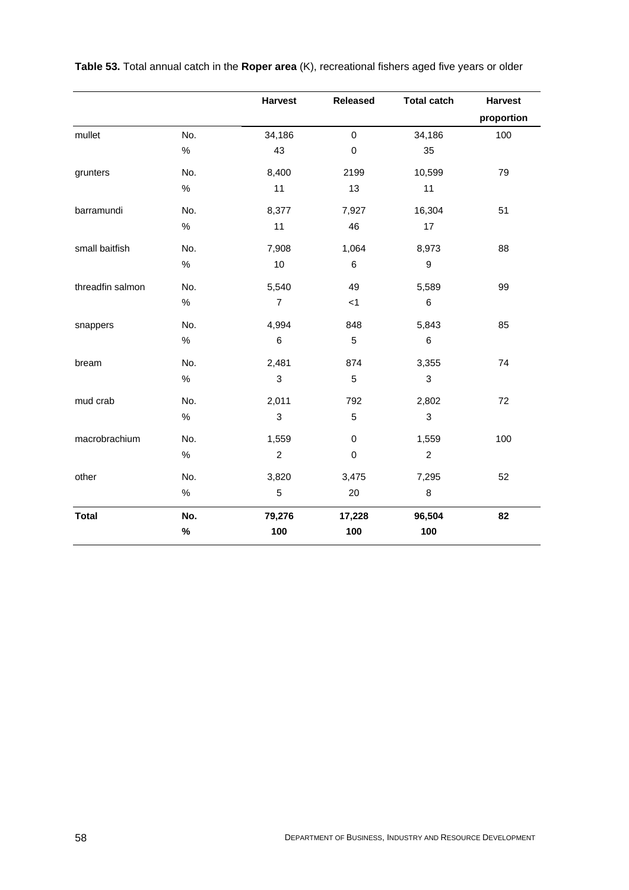|                  |      | <b>Harvest</b>   | <b>Released</b> | <b>Total catch</b> | <b>Harvest</b> |
|------------------|------|------------------|-----------------|--------------------|----------------|
|                  |      |                  |                 |                    | proportion     |
| mullet           | No.  | 34,186           | $\mathbf 0$     | 34,186             | 100            |
|                  | $\%$ | 43               | $\pmb{0}$       | 35                 |                |
| grunters         | No.  | 8,400            | 2199            | 10,599             | 79             |
|                  | $\%$ | 11               | 13              | 11                 |                |
| barramundi       | No.  | 8,377            | 7,927           | 16,304             | 51             |
|                  | $\%$ | 11               | 46              | 17                 |                |
| small baitfish   | No.  | 7,908            | 1,064           | 8,973              | 88             |
|                  | $\%$ | 10               | 6               | $\mathsf g$        |                |
| threadfin salmon | No.  | 5,540            | 49              | 5,589              | 99             |
|                  | $\%$ | $\overline{7}$   | $<$ 1           | 6                  |                |
| snappers         | No.  | 4,994            | 848             | 5,843              | 85             |
|                  | $\%$ | $\,6\,$          | $\mathbf 5$     | 6                  |                |
| bream            | No.  | 2,481            | 874             | 3,355              | 74             |
|                  | $\%$ | 3                | $\mathbf 5$     | 3                  |                |
| mud crab         | No.  | 2,011            | 792             | 2,802              | 72             |
|                  | $\%$ | 3                | 5               | 3                  |                |
| macrobrachium    | No.  | 1,559            | $\pmb{0}$       | 1,559              | 100            |
|                  | $\%$ | $\boldsymbol{2}$ | $\pmb{0}$       | $\boldsymbol{2}$   |                |
| other            | No.  | 3,820            | 3,475           | 7,295              | 52             |
|                  | $\%$ | 5                | 20              | 8                  |                |
| <b>Total</b>     | No.  | 79,276           | 17,228          | 96,504             | 82             |
|                  | $\%$ | 100              | 100             | 100                |                |

**Table 53.** Total annual catch in the **Roper area** (K), recreational fishers aged five years or older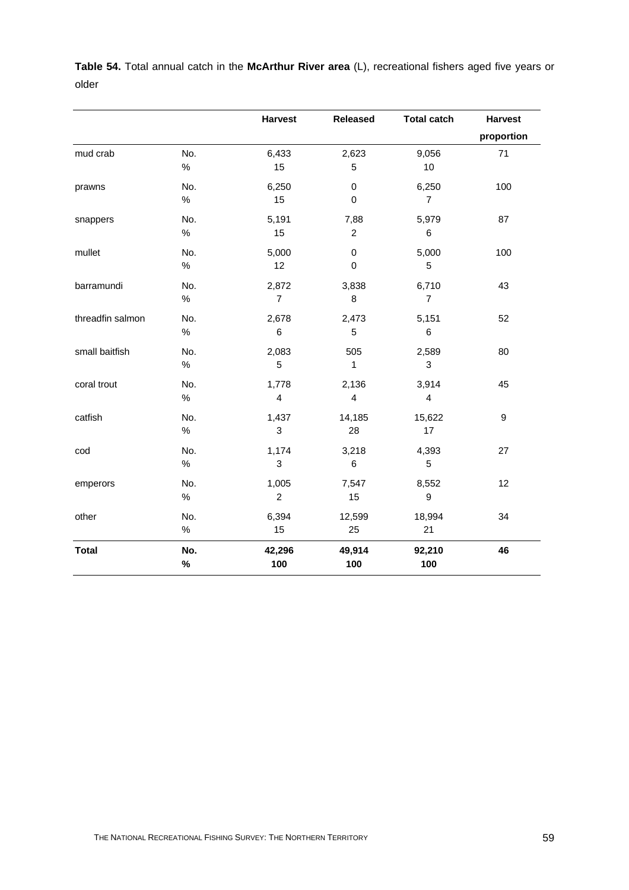|                  |      | <b>Harvest</b>            | <b>Released</b>         | <b>Total catch</b>      | <b>Harvest</b>   |
|------------------|------|---------------------------|-------------------------|-------------------------|------------------|
|                  |      |                           |                         |                         | proportion       |
| mud crab         | No.  | 6,433                     | 2,623                   | 9,056                   | 71               |
|                  | $\%$ | 15                        | 5                       | $10$                    |                  |
| prawns           | No.  | 6,250                     | $\mathbf 0$             | 6,250                   | 100              |
|                  | $\%$ | 15                        | $\mathbf 0$             | $\overline{7}$          |                  |
| snappers         | No.  | 5,191                     | 7,88                    | 5,979                   | 87               |
|                  | $\%$ | 15                        | $\boldsymbol{2}$        | $\,6$                   |                  |
| mullet           | No.  | 5,000                     | $\pmb{0}$               | 5,000                   | 100              |
|                  | $\%$ | 12                        | $\pmb{0}$               | 5                       |                  |
| barramundi       | No.  | 2,872                     | 3,838                   | 6,710                   | 43               |
|                  | $\%$ | $\overline{7}$            | 8                       | $\overline{7}$          |                  |
| threadfin salmon | No.  | 2,678                     | 2,473                   | 5,151                   | 52               |
|                  | $\%$ | $\,6$                     | 5                       | $\,6$                   |                  |
| small baitfish   | No.  | 2,083                     | 505                     | 2,589                   | 80               |
|                  | $\%$ | 5                         | 1                       | 3                       |                  |
| coral trout      | No.  | 1,778                     | 2,136                   | 3,914                   | 45               |
|                  | $\%$ | $\overline{\mathbf{4}}$   | $\overline{\mathbf{4}}$ | $\overline{\mathbf{4}}$ |                  |
| catfish          | No.  | 1,437                     | 14,185                  | 15,622                  | $\boldsymbol{9}$ |
|                  | $\%$ | $\ensuremath{\mathsf{3}}$ | 28                      | 17                      |                  |
| cod              | No.  | 1,174                     | 3,218                   | 4,393                   | 27               |
|                  | $\%$ | 3                         | 6                       | 5                       |                  |
| emperors         | No.  | 1,005                     | 7,547                   | 8,552                   | 12               |
|                  | %    | $\overline{c}$            | 15                      | 9                       |                  |
| other            | No.  | 6,394                     | 12,599                  | 18,994                  | 34               |
|                  | $\%$ | 15                        | 25                      | 21                      |                  |
| <b>Total</b>     | No.  | 42,296                    | 49,914                  | 92,210                  | 46               |
|                  | $\%$ | 100                       | 100                     | 100                     |                  |

**Table 54.** Total annual catch in the **McArthur River area** (L), recreational fishers aged five years or older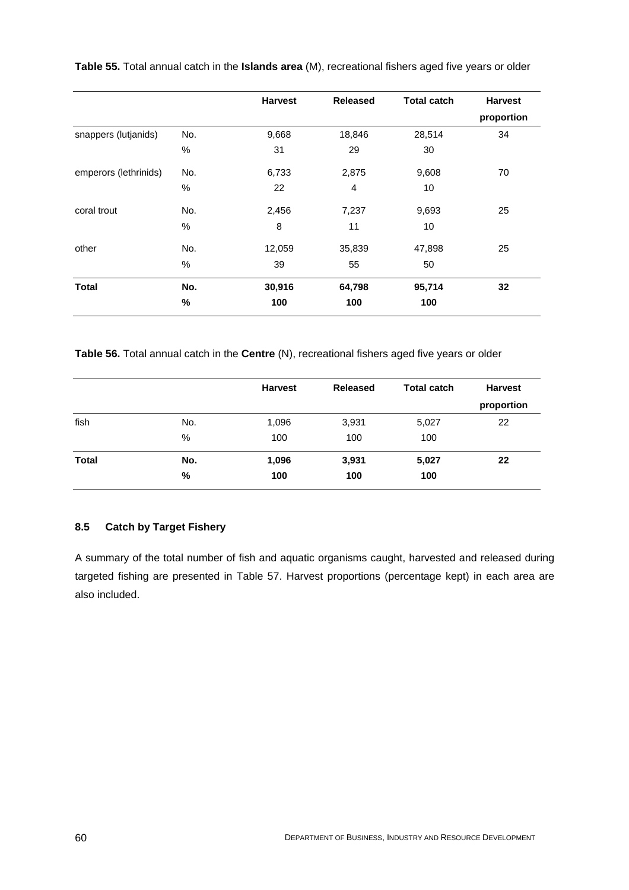|                       |      | <b>Harvest</b> | <b>Released</b> | <b>Total catch</b> | <b>Harvest</b> |
|-----------------------|------|----------------|-----------------|--------------------|----------------|
|                       |      |                |                 |                    | proportion     |
| snappers (lutjanids)  | No.  | 9,668          | 18,846          | 28,514             | 34             |
|                       | $\%$ | 31             | 29              | 30                 |                |
| emperors (lethrinids) | No.  | 6,733          | 2,875           | 9,608              | 70             |
|                       | $\%$ | 22             | $\overline{4}$  | 10                 |                |
| coral trout           | No.  | 2,456          | 7,237           | 9,693              | 25             |
|                       | %    | 8              | 11              | 10                 |                |
| other                 | No.  | 12,059         | 35,839          | 47,898             | 25             |
|                       | %    | 39             | 55              | 50                 |                |
| <b>Total</b>          | No.  | 30,916         | 64,798          | 95,714             | 32             |
|                       | %    | 100            | 100             | 100                |                |

**Table 55.** Total annual catch in the **Islands area** (M), recreational fishers aged five years or older

**Table 56.** Total annual catch in the **Centre** (N), recreational fishers aged five years or older

|              |          | <b>Harvest</b> | <b>Released</b> | <b>Total catch</b> | <b>Harvest</b><br>proportion |
|--------------|----------|----------------|-----------------|--------------------|------------------------------|
| fish         | No.<br>% | 1,096<br>100   | 3,931<br>100    | 5,027<br>100       | 22                           |
| <b>Total</b> | No.<br>% | 1,096<br>100   | 3,931<br>100    | 5,027<br>100       | 22                           |

# **8.5 Catch by Target Fishery**

A summary of the total number of fish and aquatic organisms caught, harvested and released during targeted fishing are presented in Table 57. Harvest proportions (percentage kept) in each area are also included.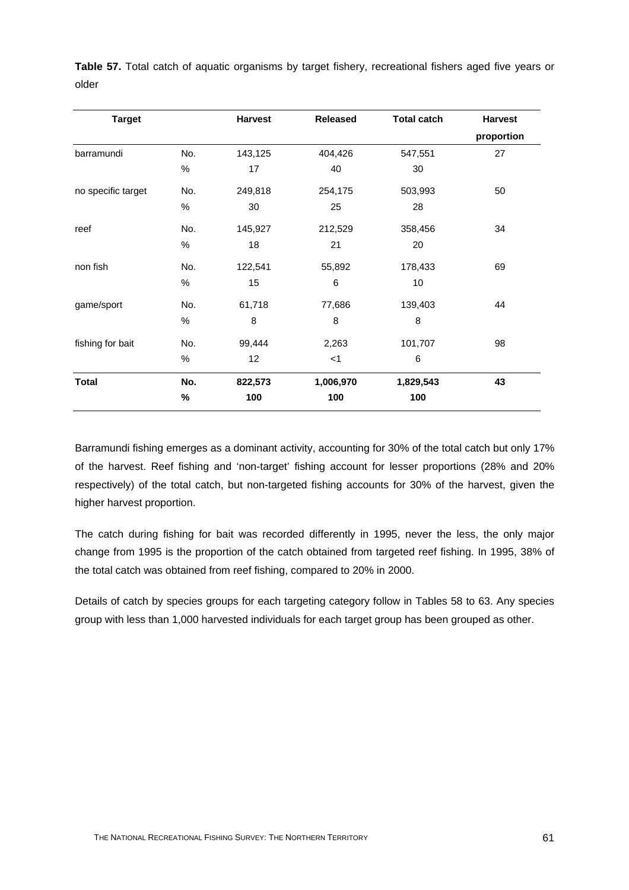**Table 57.** Total catch of aquatic organisms by target fishery, recreational fishers aged five years or older

| <b>Target</b>      |      | <b>Harvest</b> | <b>Released</b> | <b>Total catch</b> | <b>Harvest</b> |
|--------------------|------|----------------|-----------------|--------------------|----------------|
|                    |      |                |                 |                    | proportion     |
| barramundi         | No.  | 143,125        | 404,426         | 547,551            | 27             |
|                    | $\%$ | 17             | 40              | 30                 |                |
| no specific target | No.  | 249,818        | 254,175         | 503,993            | 50             |
|                    | $\%$ | 30             | 25              | 28                 |                |
| reef               | No.  | 145,927        | 212,529         | 358,456            | 34             |
|                    | $\%$ | 18             | 21              | 20                 |                |
| non fish           | No.  | 122,541        | 55,892          | 178,433            | 69             |
|                    | $\%$ | 15             | 6               | 10                 |                |
| game/sport         | No.  | 61,718         | 77,686          | 139,403            | 44             |
|                    | $\%$ | 8              | 8               | 8                  |                |
| fishing for bait   | No.  | 99,444         | 2,263           | 101,707            | 98             |
|                    | $\%$ | 12             | $<$ 1           | 6                  |                |
| Total              | No.  | 822,573        | 1,006,970       | 1,829,543          | 43             |
|                    | %    | 100            | 100             | 100                |                |

Barramundi fishing emerges as a dominant activity, accounting for 30% of the total catch but only 17% of the harvest. Reef fishing and 'non-target' fishing account for lesser proportions (28% and 20% respectively) of the total catch, but non-targeted fishing accounts for 30% of the harvest, given the higher harvest proportion.

The catch during fishing for bait was recorded differently in 1995, never the less, the only major change from 1995 is the proportion of the catch obtained from targeted reef fishing. In 1995, 38% of the total catch was obtained from reef fishing, compared to 20% in 2000.

Details of catch by species groups for each targeting category follow in Tables 58 to 63. Any species group with less than 1,000 harvested individuals for each target group has been grouped as other.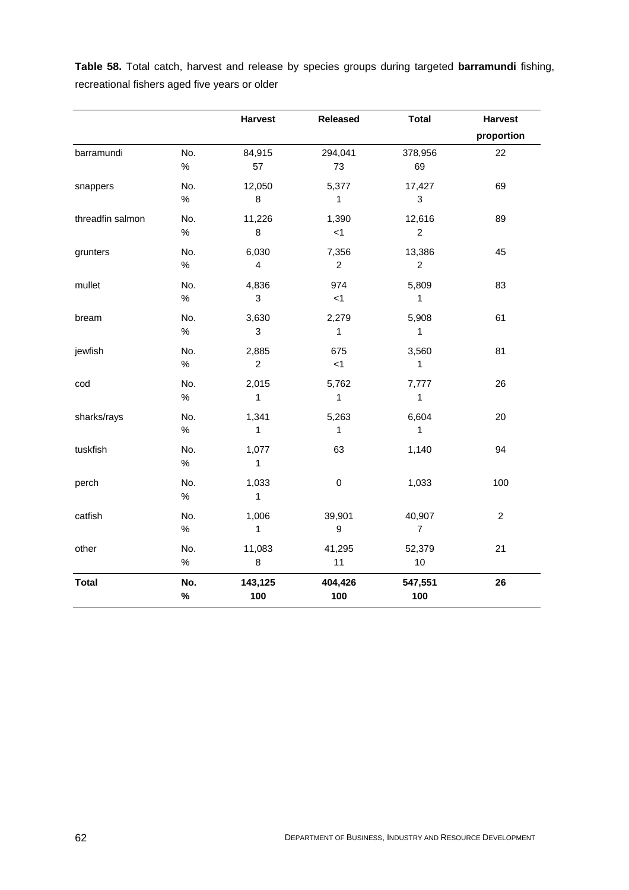|                  |      | <b>Harvest</b>            | Released         | <b>Total</b>   | <b>Harvest</b>   |
|------------------|------|---------------------------|------------------|----------------|------------------|
|                  |      |                           |                  |                | proportion       |
| barramundi       | No.  | 84,915                    | 294,041          | 378,956        | 22               |
|                  | $\%$ | 57                        | 73               | 69             |                  |
| snappers         | No.  | 12,050                    | 5,377            | 17,427         | 69               |
|                  | $\%$ | $\bf8$                    | $\mathbf{1}$     | $\sqrt{3}$     |                  |
| threadfin salmon | No.  | 11,226                    | 1,390            | 12,616         | 89               |
|                  | $\%$ | 8                         | < 1              | $\overline{c}$ |                  |
| grunters         | No.  | 6,030                     | 7,356            | 13,386         | 45               |
|                  | $\%$ | $\overline{\mathbf{4}}$   | $\overline{c}$   | $\overline{c}$ |                  |
| mullet           | No.  | 4,836                     | 974              | 5,809          | 83               |
|                  | $\%$ | $\mathbf{3}$              | < 1              | 1              |                  |
| bream            | No.  | 3,630                     | 2,279            | 5,908          | 61               |
|                  | $\%$ | $\ensuremath{\mathsf{3}}$ | $\mathbf{1}$     | $\mathbf{1}$   |                  |
| jewfish          | No.  | 2,885                     | 675              | 3,560          | 81               |
|                  | %    | $\overline{c}$            | $<1$             | $\mathbf{1}$   |                  |
| $\text{cod}$     | No.  | 2,015                     | 5,762            | 7,777          | 26               |
|                  | $\%$ | 1                         | $\mathbf 1$      | $\mathbf{1}$   |                  |
| sharks/rays      | No.  | 1,341                     | 5,263            | 6,604          | 20               |
|                  | %    | $\mathbf{1}$              | $\mathbf{1}$     | $\mathbf{1}$   |                  |
| tuskfish         | No.  | 1,077                     | 63               | 1,140          | 94               |
|                  | $\%$ | $\mathbf{1}$              |                  |                |                  |
| perch            | No.  | 1,033                     | $\pmb{0}$        | 1,033          | 100              |
|                  | $\%$ | $\mathbf{1}$              |                  |                |                  |
| catfish          | No.  | 1,006                     | 39,901           | 40,907         | $\boldsymbol{2}$ |
|                  | $\%$ | $\mathbf{1}$              | $\boldsymbol{9}$ | $\overline{7}$ |                  |
| other            | No.  | 11,083                    | 41,295           | 52,379         | 21               |
|                  | %    | 8                         | 11               | 10             |                  |
| <b>Total</b>     | No.  | 143,125                   | 404,426          | 547,551        | 26               |
|                  | %    | 100                       | 100              | 100            |                  |

**Table 58.** Total catch, harvest and release by species groups during targeted **barramundi** fishing, recreational fishers aged five years or older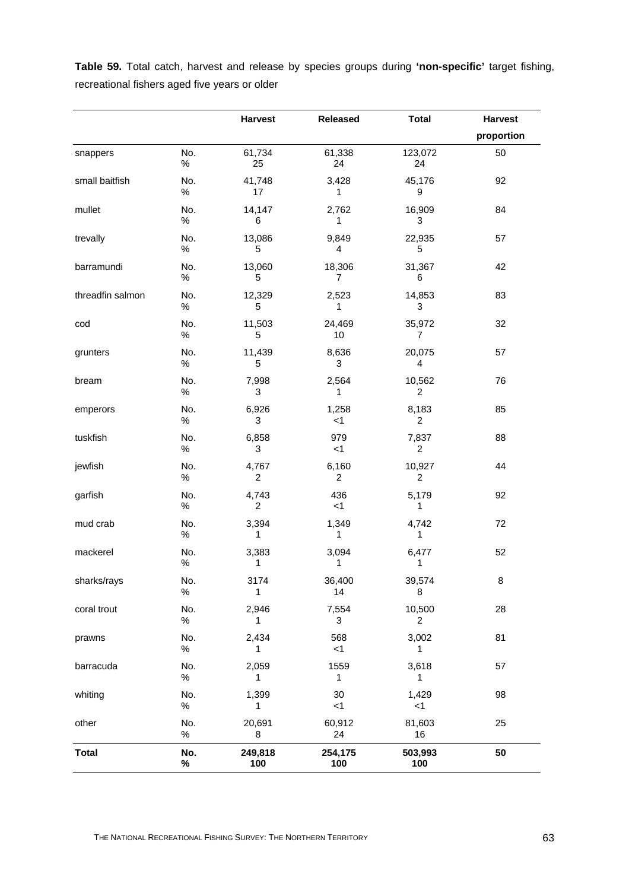**Table 59.** Total catch, harvest and release by species groups during **'non-specific'** target fishing, recreational fishers aged five years or older

|                  |             | <b>Harvest</b>          | <b>Released</b> | <b>Total</b>             | <b>Harvest</b> |
|------------------|-------------|-------------------------|-----------------|--------------------------|----------------|
|                  |             |                         |                 |                          | proportion     |
| snappers         | No.<br>%    | 61,734<br>25            | 61,338<br>24    | 123,072<br>24            | 50             |
| small baitfish   | No.<br>$\%$ | 41,748<br>17            | 3,428<br>1      | 45,176<br>9              | 92             |
| mullet           | No.<br>$\%$ | 14,147<br>6             | 2,762<br>1      | 16,909<br>3              | 84             |
| trevally         | No.<br>$\%$ | 13,086<br>5             | 9,849<br>4      | 22,935<br>5              | 57             |
| barramundi       | No.<br>%    | 13,060<br>5             | 18,306<br>7     | 31,367<br>6              | 42             |
| threadfin salmon | No.<br>$\%$ | 12,329<br>5             | 2,523<br>1      | 14,853<br>3              | 83             |
| cod              | No.<br>$\%$ | 11,503<br>5             | 24,469<br>10    | 35,972<br>7              | 32             |
| grunters         | No.<br>$\%$ | 11,439<br>5             | 8,636<br>3      | 20,075<br>$\overline{4}$ | 57             |
| bream            | No.<br>%    | 7,998<br>3              | 2,564<br>1      | 10,562<br>2              | 76             |
| emperors         | No.<br>$\%$ | 6,926<br>3              | 1,258<br>$<$ 1  | 8,183<br>$\overline{2}$  | 85             |
| tuskfish         | No.<br>$\%$ | 6,858<br>3              | 979<br>$<$ 1    | 7,837<br>$\overline{2}$  | 88             |
| jewfish          | No.<br>$\%$ | 4,767<br>$\overline{c}$ | 6,160<br>2      | 10,927<br>$\overline{2}$ | 44             |
| garfish          | No.<br>%    | 4,743<br>2              | 436<br>$<$ 1    | 5,179<br>1               | 92             |
| mud crab         | No.<br>$\%$ | 3,394<br>1              | 1,349<br>1      | 4,742<br>1               | 72             |
| mackerel         | No.<br>$\%$ | 3,383<br>1              | 3,094<br>1      | 6,477<br>1               | 52             |
| sharks/rays      | No.<br>%    | 3174<br>1               | 36,400<br>14    | 39,574<br>8              | 8              |
| coral trout      | No.<br>$\%$ | 2,946<br>1              | 7,554<br>3      | 10,500<br>2              | 28             |
| prawns           | No.<br>$\%$ | 2,434<br>1              | 568<br>$<$ 1    | 3,002<br>1               | 81             |
| barracuda        | No.<br>$\%$ | 2,059<br>1              | 1559<br>1       | 3,618<br>1               | 57             |
| whiting          | No.<br>$\%$ | 1,399<br>1              | 30<br>< 1       | 1,429<br>$<$ 1           | 98             |
| other            | No.<br>$\%$ | 20,691<br>8             | 60,912<br>24    | 81,603<br>16             | 25             |
| <b>Total</b>     | No.<br>$\%$ | 249,818<br>100          | 254,175<br>100  | 503,993<br>100           | 50             |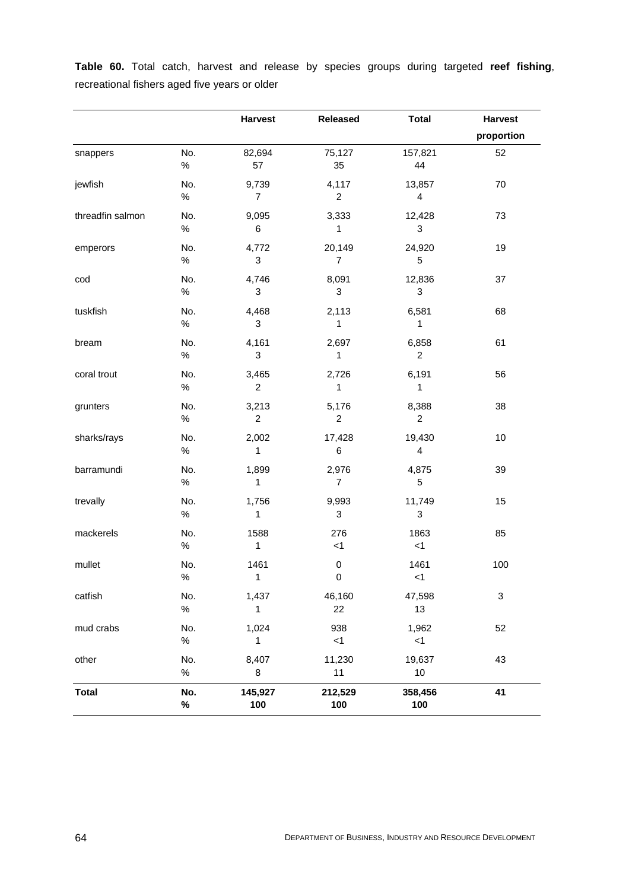|                  |             | <b>Harvest</b>          | Released                         | <b>Total</b>            | <b>Harvest</b>            |
|------------------|-------------|-------------------------|----------------------------------|-------------------------|---------------------------|
|                  |             |                         |                                  |                         | proportion                |
| snappers         | No.<br>$\%$ | 82,694<br>57            | 75,127<br>35                     | 157,821<br>44           | 52                        |
| jewfish          | No.<br>$\%$ | 9,739<br>$\overline{7}$ | 4,117<br>$\overline{\mathbf{c}}$ | 13,857<br>4             | 70                        |
| threadfin salmon | No.<br>$\%$ | 9,095<br>6              | 3,333<br>1                       | 12,428<br>3             | 73                        |
| emperors         | No.<br>$\%$ | 4,772<br>3              | 20,149<br>$\overline{7}$         | 24,920<br>5             | 19                        |
| cod              | No.<br>$\%$ | 4,746<br>3              | 8,091<br>3                       | 12,836<br>3             | 37                        |
| tuskfish         | No.<br>$\%$ | 4,468<br>3              | 2,113<br>1                       | 6,581<br>1              | 68                        |
| bream            | No.<br>$\%$ | 4,161<br>3              | 2,697<br>1                       | 6,858<br>$\overline{2}$ | 61                        |
| coral trout      | No.<br>$\%$ | 3,465<br>$\overline{c}$ | 2,726<br>1                       | 6,191<br>1              | 56                        |
| grunters         | No.<br>$\%$ | 3,213<br>$\overline{c}$ | 5,176<br>$\boldsymbol{2}$        | 8,388<br>$\overline{2}$ | 38                        |
| sharks/rays      | No.<br>$\%$ | 2,002<br>1              | 17,428<br>6                      | 19,430<br>4             | 10                        |
| barramundi       | No.<br>$\%$ | 1,899<br>1              | 2,976<br>$\overline{7}$          | 4,875<br>5              | 39                        |
| trevally         | No.<br>$\%$ | 1,756<br>1              | 9,993<br>3                       | 11,749<br>3             | 15                        |
| mackerels        | No.<br>$\%$ | 1588<br>$\mathbf{1}$    | 276<br>< 1                       | 1863<br>$<$ 1           | 85                        |
| mullet           | No.<br>$\%$ | 1461<br>$\mathbf{1}$    | 0<br>0                           | 1461<br>$<$ 1           | 100                       |
| catfish          | No.<br>$\%$ | 1,437<br>$\mathbf{1}$   | 46,160<br>22                     | 47,598<br>13            | $\ensuremath{\mathsf{3}}$ |
| mud crabs        | No.<br>$\%$ | 1,024<br>1              | 938<br>< 1                       | 1,962<br>$<$ 1          | 52                        |
| other            | No.<br>$\%$ | 8,407<br>8              | 11,230<br>11                     | 19,637<br>$10$          | 43                        |
| <b>Total</b>     | No.<br>%    | 145,927<br>100          | 212,529<br>100                   | 358,456<br>100          | 41                        |

**Table 60.** Total catch, harvest and release by species groups during targeted **reef fishing**, recreational fishers aged five years or older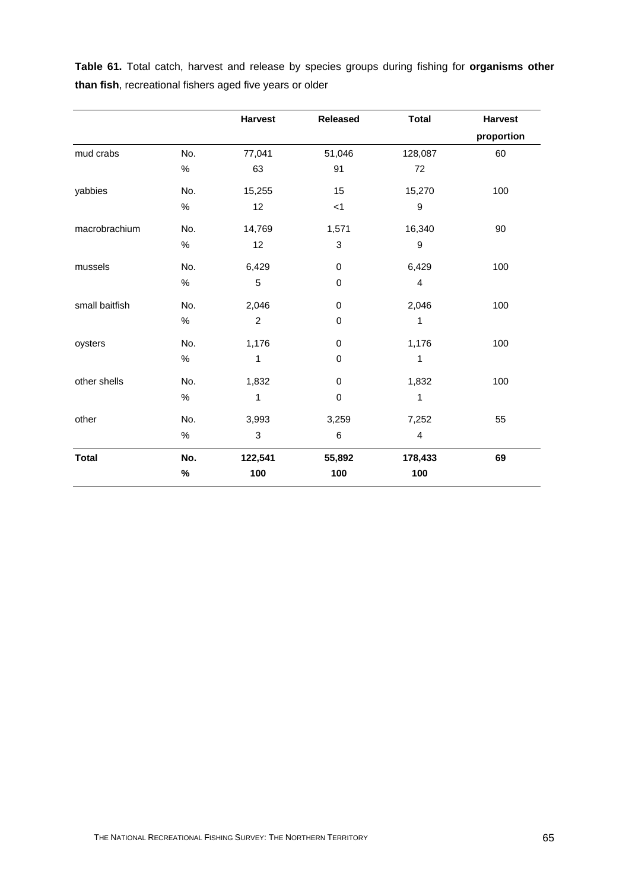|                |      | <b>Harvest</b> | <b>Released</b>           | <b>Total</b>     | <b>Harvest</b> |
|----------------|------|----------------|---------------------------|------------------|----------------|
|                |      |                |                           |                  | proportion     |
| mud crabs      | No.  | 77,041         | 51,046                    | 128,087          | 60             |
|                | $\%$ | 63             | 91                        | 72               |                |
| yabbies        | No.  | 15,255         | 15                        | 15,270           | 100            |
|                | $\%$ | 12             | $<$ 1                     | 9                |                |
| macrobrachium  | No.  | 14,769         | 1,571                     | 16,340           | 90             |
|                | $\%$ | 12             | $\ensuremath{\mathsf{3}}$ | $\boldsymbol{9}$ |                |
| mussels        | No.  | 6,429          | $\pmb{0}$                 | 6,429            | 100            |
|                | $\%$ | 5              | 0                         | $\overline{4}$   |                |
| small baitfish | No.  | 2,046          | $\pmb{0}$                 | 2,046            | 100            |
|                | $\%$ | $\overline{c}$ | $\pmb{0}$                 | 1                |                |
| oysters        | No.  | 1,176          | 0                         | 1,176            | 100            |
|                | $\%$ | 1              | $\pmb{0}$                 | 1                |                |
| other shells   | No.  | 1,832          | 0                         | 1,832            | 100            |
|                | $\%$ | 1              | $\pmb{0}$                 | 1                |                |
| other          | No.  | 3,993          | 3,259                     | 7,252            | 55             |
|                | $\%$ | $\sqrt{3}$     | 6                         | $\overline{4}$   |                |
| <b>Total</b>   | No.  | 122,541        | 55,892                    | 178,433          | 69             |
|                | %    | 100            | 100                       | 100              |                |

**Table 61.** Total catch, harvest and release by species groups during fishing for **organisms other than fish**, recreational fishers aged five years or older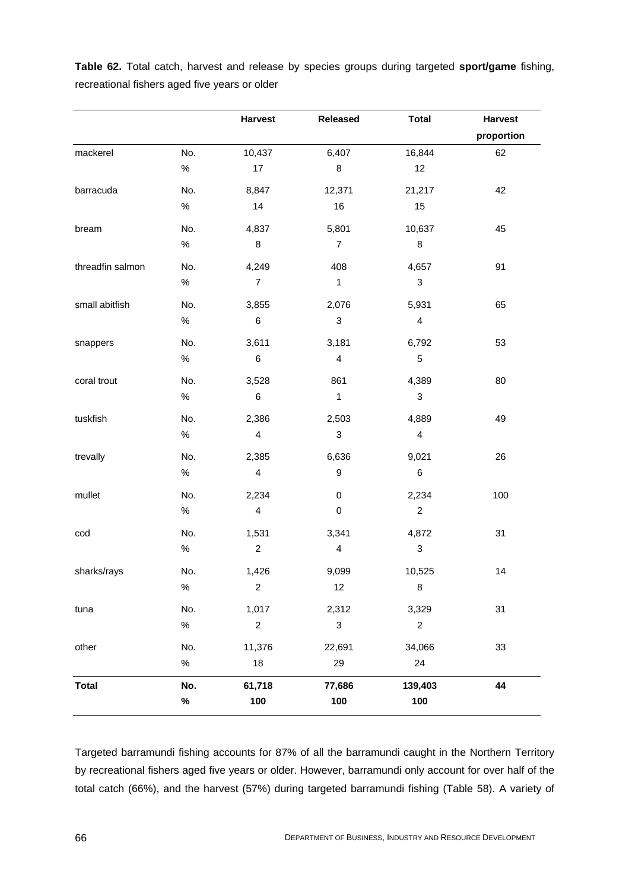|                                               |  |  |  |  |  | Table 62. Total catch, harvest and release by species groups during targeted sport/game fishing, |  |
|-----------------------------------------------|--|--|--|--|--|--------------------------------------------------------------------------------------------------|--|
| recreational fishers aged five years or older |  |  |  |  |  |                                                                                                  |  |

|                  |      | <b>Harvest</b>          | <b>Released</b>           | <b>Total</b>              | <b>Harvest</b> |
|------------------|------|-------------------------|---------------------------|---------------------------|----------------|
|                  |      |                         |                           |                           | proportion     |
| mackerel         | No.  | 10,437                  | 6,407                     | 16,844                    | 62             |
|                  | $\%$ | 17                      | $\bf8$                    | 12                        |                |
| barracuda        | No.  | 8,847                   | 12,371                    | 21,217                    | 42             |
|                  | $\%$ | 14                      | 16                        | 15                        |                |
| bream            | No.  | 4,837                   | 5,801                     | 10,637                    | 45             |
|                  | $\%$ | 8                       | $\overline{7}$            | $\bf 8$                   |                |
| threadfin salmon | No.  | 4,249                   | 408                       | 4,657                     | 91             |
|                  | $\%$ | $\overline{7}$          | $\mathbf{1}$              | $\sqrt{3}$                |                |
| small abitfish   | No.  | 3,855                   | 2,076                     | 5,931                     | 65             |
|                  | $\%$ | 6                       | $\ensuremath{\mathsf{3}}$ | $\overline{4}$            |                |
| snappers         | No.  | 3,611                   | 3,181                     | 6,792                     | 53             |
|                  | $\%$ | 6                       | $\overline{\mathbf{4}}$   | $\sqrt{5}$                |                |
| coral trout      | No.  | 3,528                   | 861                       | 4,389                     | 80             |
|                  | $\%$ | 6                       | $\mathbf{1}$              | $\ensuremath{\mathsf{3}}$ |                |
| tuskfish         | No.  | 2,386                   | 2,503                     | 4,889                     | 49             |
|                  | $\%$ | $\overline{\mathbf{4}}$ | $\ensuremath{\mathsf{3}}$ | $\overline{4}$            |                |
| trevally         | No.  | 2,385                   | 6,636                     | 9,021                     | 26             |
|                  | $\%$ | $\overline{\mathbf{4}}$ | $\boldsymbol{9}$          | $\,6\,$                   |                |
| mullet           | No.  | 2,234                   | $\pmb{0}$                 | 2,234                     | 100            |
|                  | $\%$ | $\overline{\mathbf{4}}$ | $\pmb{0}$                 | $\overline{c}$            |                |
| cod              | No.  | 1,531                   | 3,341                     | 4,872                     | 31             |
|                  | %    | $\boldsymbol{2}$        | $\overline{\mathbf{4}}$   | $\ensuremath{\mathsf{3}}$ |                |
| sharks/rays      | No.  | 1,426                   | 9,099                     | 10,525                    | 14             |
|                  | $\%$ | $\overline{c}$          | 12                        | $\bf 8$                   |                |
| tuna             | No.  | 1,017                   | 2,312                     | 3,329                     | 31             |
|                  | $\%$ | $\overline{c}$          | 3                         | $\overline{c}$            |                |
| other            | No.  | 11,376                  | 22,691                    | 34,066                    | 33             |
|                  | $\%$ | 18                      | 29                        | 24                        |                |
| <b>Total</b>     | No.  | 61,718                  | 77,686                    | 139,403                   | 44             |
|                  | $\%$ | 100                     | 100                       | 100                       |                |

Targeted barramundi fishing accounts for 87% of all the barramundi caught in the Northern Territory by recreational fishers aged five years or older. However, barramundi only account for over half of the total catch (66%), and the harvest (57%) during targeted barramundi fishing (Table 58). A variety of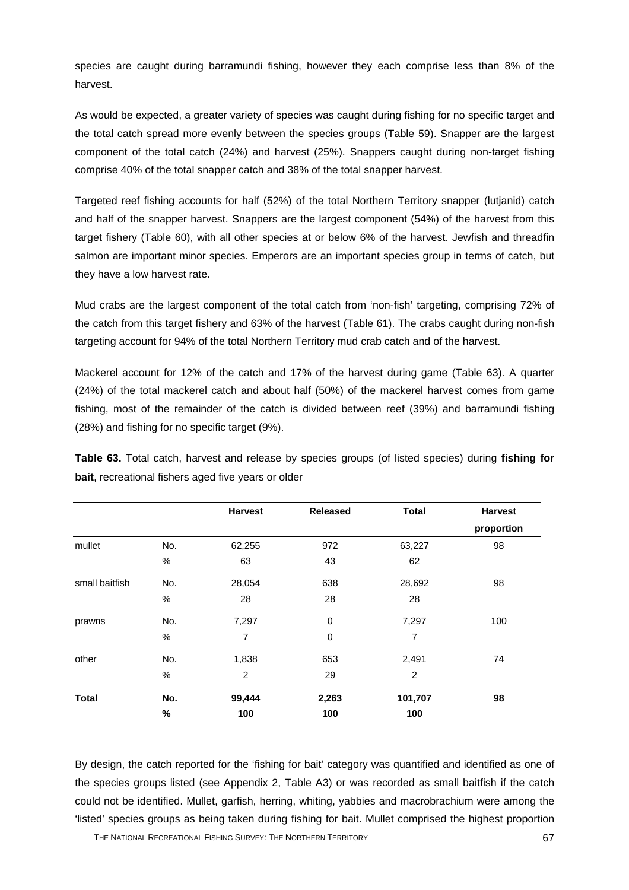species are caught during barramundi fishing, however they each comprise less than 8% of the harvest.

As would be expected, a greater variety of species was caught during fishing for no specific target and the total catch spread more evenly between the species groups (Table 59). Snapper are the largest component of the total catch (24%) and harvest (25%). Snappers caught during non-target fishing comprise 40% of the total snapper catch and 38% of the total snapper harvest.

Targeted reef fishing accounts for half (52%) of the total Northern Territory snapper (lutjanid) catch and half of the snapper harvest. Snappers are the largest component (54%) of the harvest from this target fishery (Table 60), with all other species at or below 6% of the harvest. Jewfish and threadfin salmon are important minor species. Emperors are an important species group in terms of catch, but they have a low harvest rate.

Mud crabs are the largest component of the total catch from 'non-fish' targeting, comprising 72% of the catch from this target fishery and 63% of the harvest (Table 61). The crabs caught during non-fish targeting account for 94% of the total Northern Territory mud crab catch and of the harvest.

Mackerel account for 12% of the catch and 17% of the harvest during game (Table 63). A quarter (24%) of the total mackerel catch and about half (50%) of the mackerel harvest comes from game fishing, most of the remainder of the catch is divided between reef (39%) and barramundi fishing (28%) and fishing for no specific target (9%).

**Table 63.** Total catch, harvest and release by species groups (of listed species) during **fishing for bait**, recreational fishers aged five years or older

|                |      | <b>Harvest</b> | <b>Released</b> | <b>Total</b> | <b>Harvest</b> |
|----------------|------|----------------|-----------------|--------------|----------------|
|                |      |                |                 |              | proportion     |
| mullet         | No.  | 62,255         | 972             | 63,227       | 98             |
|                | $\%$ | 63             | 43              | 62           |                |
| small baitfish | No.  | 28,054         | 638             | 28,692       | 98             |
|                | $\%$ | 28             | 28              | 28           |                |
| prawns         | No.  | 7,297          | $\pmb{0}$       | 7,297        | 100            |
|                | $\%$ | 7              | $\pmb{0}$       | 7            |                |
| other          | No.  | 1,838          | 653             | 2,491        | 74             |
|                | %    | 2              | 29              | 2            |                |
| <b>Total</b>   | No.  | 99,444         | 2,263           | 101,707      | 98             |
|                | %    | 100            | 100             | 100          |                |

By design, the catch reported for the 'fishing for bait' category was quantified and identified as one of the species groups listed (see Appendix 2, Table A3) or was recorded as small baitfish if the catch could not be identified. Mullet, garfish, herring, whiting, yabbies and macrobrachium were among the 'listed' species groups as being taken during fishing for bait. Mullet comprised the highest proportion

THE NATIONAL RECREATIONAL FISHING SURVEY: THE NORTHERN TERRITORY **67**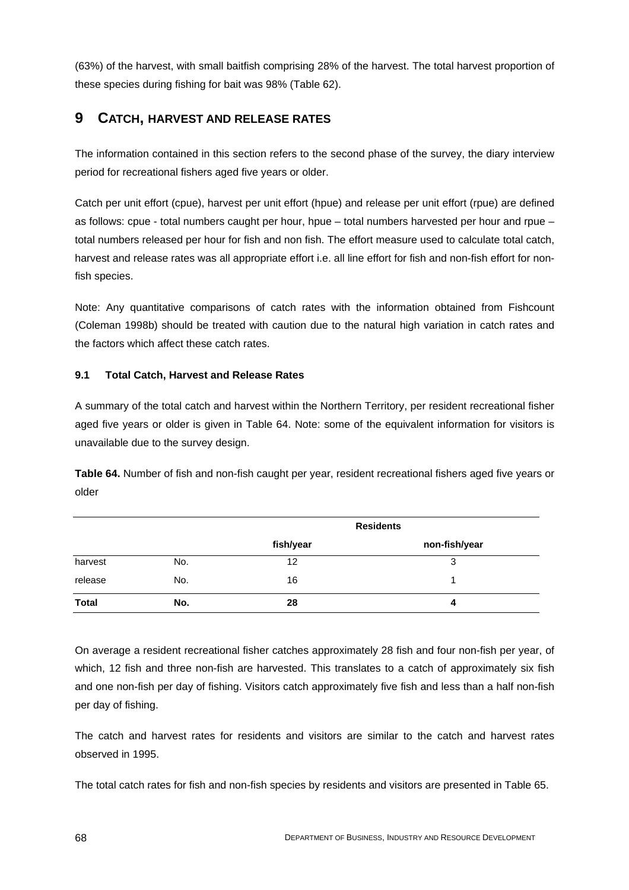(63%) of the harvest, with small baitfish comprising 28% of the harvest. The total harvest proportion of these species during fishing for bait was 98% (Table 62).

# **9 CATCH, HARVEST AND RELEASE RATES**

The information contained in this section refers to the second phase of the survey, the diary interview period for recreational fishers aged five years or older.

Catch per unit effort (cpue), harvest per unit effort (hpue) and release per unit effort (rpue) are defined as follows: cpue - total numbers caught per hour, hpue – total numbers harvested per hour and rpue – total numbers released per hour for fish and non fish. The effort measure used to calculate total catch, harvest and release rates was all appropriate effort i.e. all line effort for fish and non-fish effort for nonfish species.

Note: Any quantitative comparisons of catch rates with the information obtained from Fishcount (Coleman 1998b) should be treated with caution due to the natural high variation in catch rates and the factors which affect these catch rates.

## **9.1 Total Catch, Harvest and Release Rates**

A summary of the total catch and harvest within the Northern Territory, per resident recreational fisher aged five years or older is given in Table 64. Note: some of the equivalent information for visitors is unavailable due to the survey design.

**Table 64.** Number of fish and non-fish caught per year, resident recreational fishers aged five years or older

|              |     | <b>Residents</b> |               |  |  |  |
|--------------|-----|------------------|---------------|--|--|--|
|              |     | fish/year        | non-fish/year |  |  |  |
| harvest      | No. | 12               | 3             |  |  |  |
| release      | No. | 16               |               |  |  |  |
| <b>Total</b> | No. | 28               | 4             |  |  |  |

On average a resident recreational fisher catches approximately 28 fish and four non-fish per year, of which, 12 fish and three non-fish are harvested. This translates to a catch of approximately six fish and one non-fish per day of fishing. Visitors catch approximately five fish and less than a half non-fish per day of fishing.

The catch and harvest rates for residents and visitors are similar to the catch and harvest rates observed in 1995.

The total catch rates for fish and non-fish species by residents and visitors are presented in Table 65.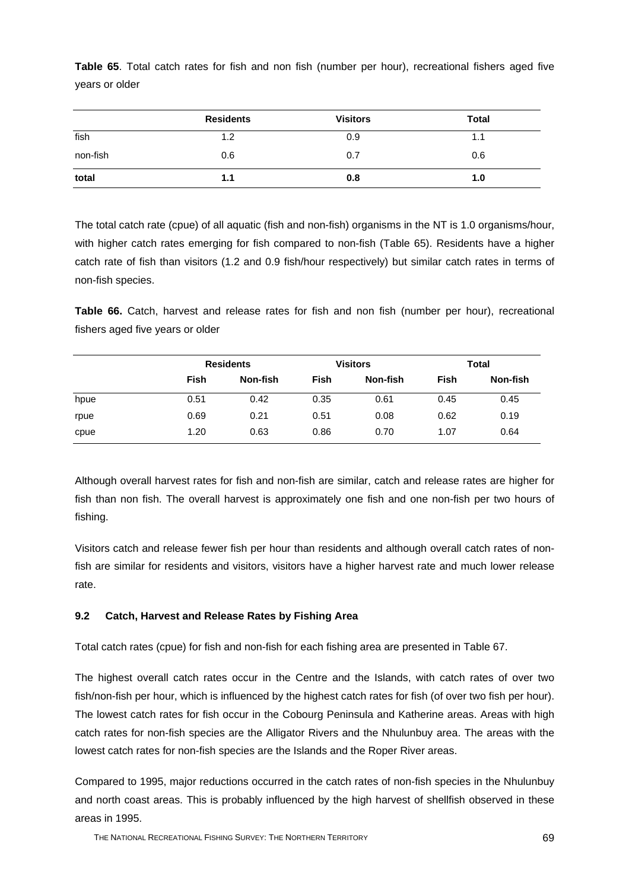|          | <b>Residents</b> | <b>Visitors</b> | Total |
|----------|------------------|-----------------|-------|
| fish     | 1.2              | 0.9             | 1.1   |
| non-fish | 0.6              | 0.7             | 0.6   |
| total    | 1.1              | 0.8             | 1.0   |

**Table 65**. Total catch rates for fish and non fish (number per hour), recreational fishers aged five years or older

The total catch rate (cpue) of all aquatic (fish and non-fish) organisms in the NT is 1.0 organisms/hour, with higher catch rates emerging for fish compared to non-fish (Table 65). Residents have a higher catch rate of fish than visitors (1.2 and 0.9 fish/hour respectively) but similar catch rates in terms of non-fish species.

**Table 66.** Catch, harvest and release rates for fish and non fish (number per hour), recreational fishers aged five years or older

|      |      | <b>Residents</b> |      | <b>Visitors</b> | Total |          |
|------|------|------------------|------|-----------------|-------|----------|
|      | Fish | Non-fish         | Fish | Non-fish        | Fish  | Non-fish |
| hpue | 0.51 | 0.42             | 0.35 | 0.61            | 0.45  | 0.45     |
| rpue | 0.69 | 0.21             | 0.51 | 0.08            | 0.62  | 0.19     |
| cpue | 1.20 | 0.63             | 0.86 | 0.70            | 1.07  | 0.64     |

Although overall harvest rates for fish and non-fish are similar, catch and release rates are higher for fish than non fish. The overall harvest is approximately one fish and one non-fish per two hours of fishing.

Visitors catch and release fewer fish per hour than residents and although overall catch rates of nonfish are similar for residents and visitors, visitors have a higher harvest rate and much lower release rate.

# **9.2 Catch, Harvest and Release Rates by Fishing Area**

Total catch rates (cpue) for fish and non-fish for each fishing area are presented in Table 67.

The highest overall catch rates occur in the Centre and the Islands, with catch rates of over two fish/non-fish per hour, which is influenced by the highest catch rates for fish (of over two fish per hour). The lowest catch rates for fish occur in the Cobourg Peninsula and Katherine areas. Areas with high catch rates for non-fish species are the Alligator Rivers and the Nhulunbuy area. The areas with the lowest catch rates for non-fish species are the Islands and the Roper River areas.

Compared to 1995, major reductions occurred in the catch rates of non-fish species in the Nhulunbuy and north coast areas. This is probably influenced by the high harvest of shellfish observed in these areas in 1995.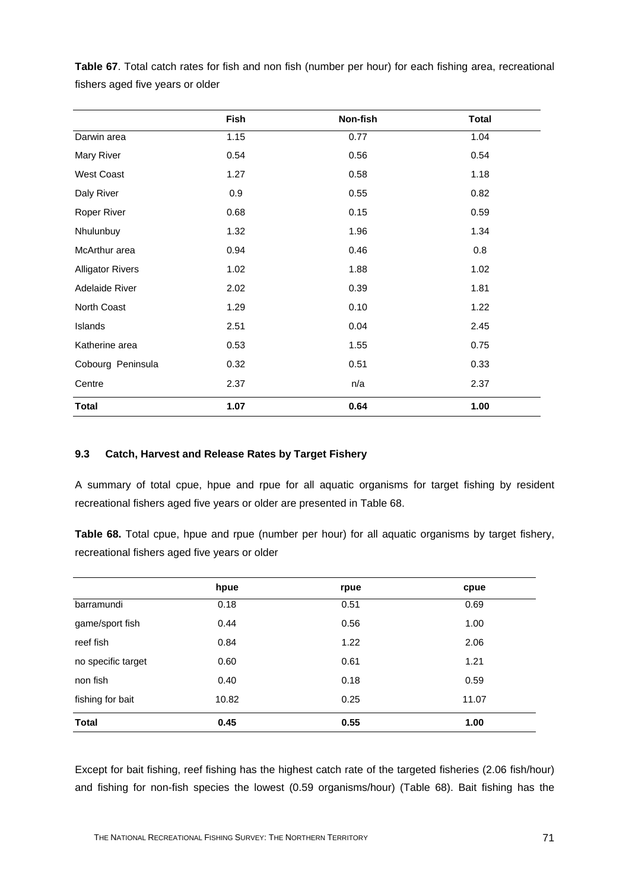|                         | <b>Fish</b> | Non-fish | <b>Total</b> |
|-------------------------|-------------|----------|--------------|
| Darwin area             | 1.15        | 0.77     | 1.04         |
| Mary River              | 0.54        | 0.56     | 0.54         |
| <b>West Coast</b>       | 1.27        | 0.58     | 1.18         |
| Daly River              | 0.9         | 0.55     | 0.82         |
| Roper River             | 0.68        | 0.15     | 0.59         |
| Nhulunbuy               | 1.32        | 1.96     | 1.34         |
| McArthur area           | 0.94        | 0.46     | 0.8          |
| <b>Alligator Rivers</b> | 1.02        | 1.88     | 1.02         |
| Adelaide River          | 2.02        | 0.39     | 1.81         |
| North Coast             | 1.29        | 0.10     | 1.22         |
| Islands                 | 2.51        | 0.04     | 2.45         |
| Katherine area          | 0.53        | 1.55     | 0.75         |
| Cobourg Peninsula       | 0.32        | 0.51     | 0.33         |
| Centre                  | 2.37        | n/a      | 2.37         |
| <b>Total</b>            | 1.07        | 0.64     | 1.00         |

**Table 67**. Total catch rates for fish and non fish (number per hour) for each fishing area, recreational fishers aged five years or older

#### **9.3 Catch, Harvest and Release Rates by Target Fishery**

A summary of total cpue, hpue and rpue for all aquatic organisms for target fishing by resident recreational fishers aged five years or older are presented in Table 68.

**Table 68.** Total cpue, hpue and rpue (number per hour) for all aquatic organisms by target fishery, recreational fishers aged five years or older

|                    | hpue  | rpue | cpue  |
|--------------------|-------|------|-------|
| barramundi         | 0.18  | 0.51 | 0.69  |
| game/sport fish    | 0.44  | 0.56 | 1.00  |
| reef fish          | 0.84  | 1.22 | 2.06  |
| no specific target | 0.60  | 0.61 | 1.21  |
| non fish           | 0.40  | 0.18 | 0.59  |
| fishing for bait   | 10.82 | 0.25 | 11.07 |
| <b>Total</b>       | 0.45  | 0.55 | 1.00  |

Except for bait fishing, reef fishing has the highest catch rate of the targeted fisheries (2.06 fish/hour) and fishing for non-fish species the lowest (0.59 organisms/hour) (Table 68). Bait fishing has the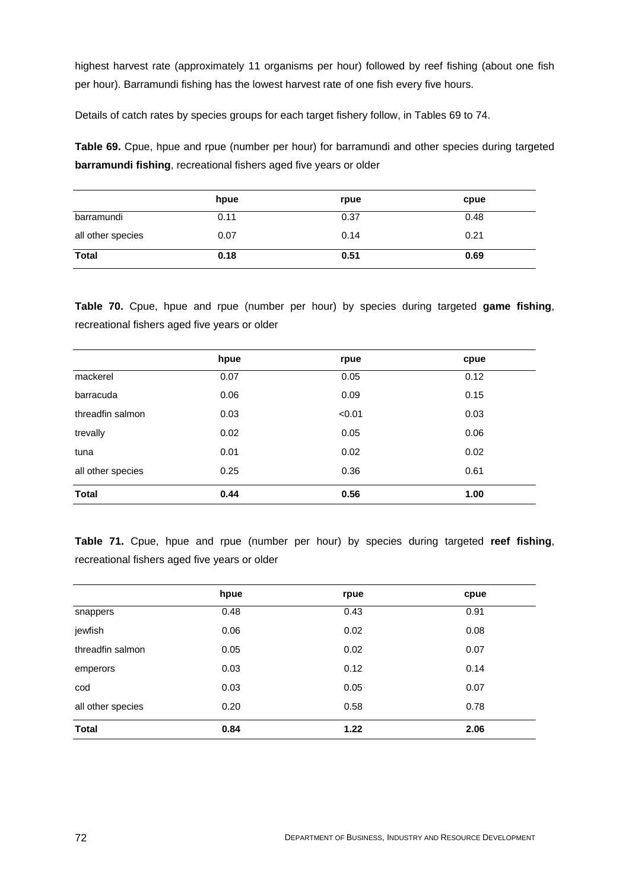highest harvest rate (approximately 11 organisms per hour) followed by reef fishing (about one fish per hour). Barramundi fishing has the lowest harvest rate of one fish every five hours.

Details of catch rates by species groups for each target fishery follow, in Tables 69 to 74.

**Table 69.** Cpue, hpue and rpue (number per hour) for barramundi and other species during targeted **barramundi fishing**, recreational fishers aged five years or older

|                   | hpue | rpue | cpue |
|-------------------|------|------|------|
| barramundi        | 0.11 | 0.37 | 0.48 |
| all other species | 0.07 | 0.14 | 0.21 |
| <b>Total</b>      | 0.18 | 0.51 | 0.69 |

**Table 70.** Cpue, hpue and rpue (number per hour) by species during targeted **game fishing**, recreational fishers aged five years or older

|                   | hpue | rpue   | cpue |
|-------------------|------|--------|------|
| mackerel          | 0.07 | 0.05   | 0.12 |
| barracuda         | 0.06 | 0.09   | 0.15 |
| threadfin salmon  | 0.03 | < 0.01 | 0.03 |
| trevally          | 0.02 | 0.05   | 0.06 |
| tuna              | 0.01 | 0.02   | 0.02 |
| all other species | 0.25 | 0.36   | 0.61 |
| <b>Total</b>      | 0.44 | 0.56   | 1.00 |

**Table 71.** Cpue, hpue and rpue (number per hour) by species during targeted **reef fishing**, recreational fishers aged five years or older

|                   | hpue | rpue | cpue |
|-------------------|------|------|------|
| snappers          | 0.48 | 0.43 | 0.91 |
| jewfish           | 0.06 | 0.02 | 0.08 |
| threadfin salmon  | 0.05 | 0.02 | 0.07 |
| emperors          | 0.03 | 0.12 | 0.14 |
| cod               | 0.03 | 0.05 | 0.07 |
| all other species | 0.20 | 0.58 | 0.78 |
| <b>Total</b>      | 0.84 | 1.22 | 2.06 |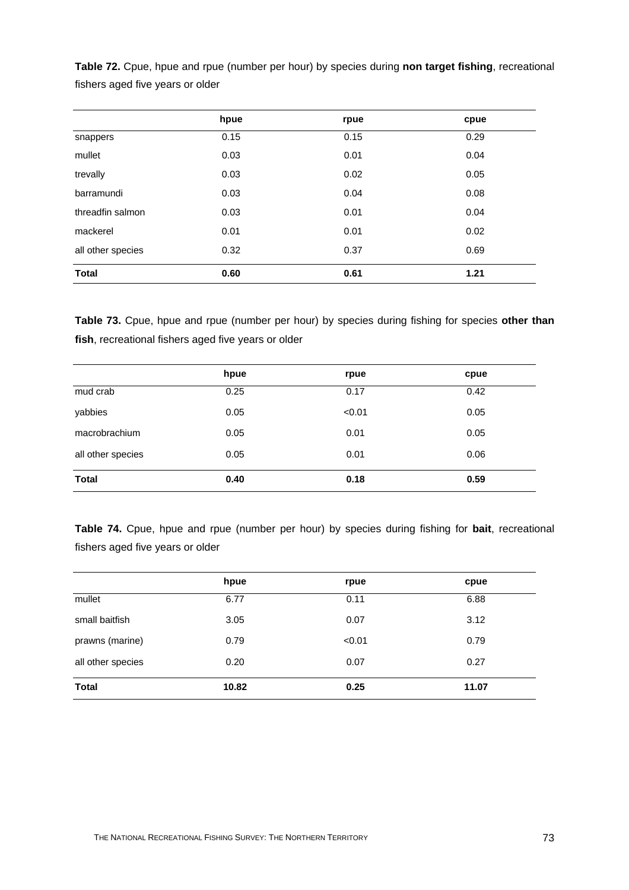|                   | hpue | rpue | cpue |
|-------------------|------|------|------|
| snappers          | 0.15 | 0.15 | 0.29 |
| mullet            | 0.03 | 0.01 | 0.04 |
| trevally          | 0.03 | 0.02 | 0.05 |
| barramundi        | 0.03 | 0.04 | 0.08 |
| threadfin salmon  | 0.03 | 0.01 | 0.04 |
| mackerel          | 0.01 | 0.01 | 0.02 |
| all other species | 0.32 | 0.37 | 0.69 |
| <b>Total</b>      | 0.60 | 0.61 | 1.21 |
|                   |      |      |      |

**Table 72.** Cpue, hpue and rpue (number per hour) by species during **non target fishing**, recreational fishers aged five years or older

**Table 73.** Cpue, hpue and rpue (number per hour) by species during fishing for species **other than fish**, recreational fishers aged five years or older

|                   | hpue | rpue   | cpue |
|-------------------|------|--------|------|
| mud crab          | 0.25 | 0.17   | 0.42 |
| yabbies           | 0.05 | < 0.01 | 0.05 |
| macrobrachium     | 0.05 | 0.01   | 0.05 |
| all other species | 0.05 | 0.01   | 0.06 |
| <b>Total</b>      | 0.40 | 0.18   | 0.59 |

**Table 74.** Cpue, hpue and rpue (number per hour) by species during fishing for **bait**, recreational fishers aged five years or older

|                   | hpue  | rpue   | cpue  |
|-------------------|-------|--------|-------|
| mullet            | 6.77  | 0.11   | 6.88  |
| small baitfish    | 3.05  | 0.07   | 3.12  |
| prawns (marine)   | 0.79  | < 0.01 | 0.79  |
| all other species | 0.20  | 0.07   | 0.27  |
| <b>Total</b>      | 10.82 | 0.25   | 11.07 |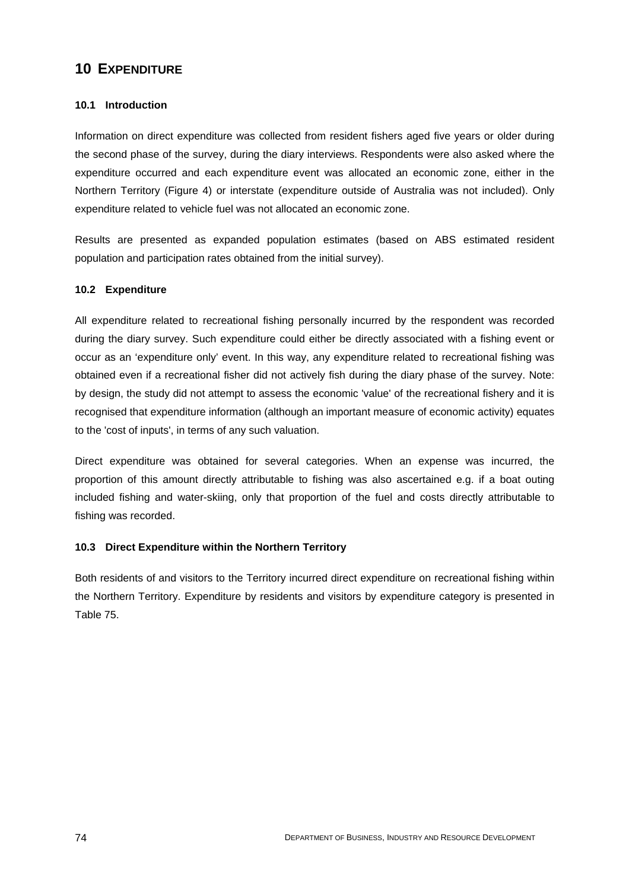# **10 EXPENDITURE**

## **10.1 Introduction**

Information on direct expenditure was collected from resident fishers aged five years or older during the second phase of the survey, during the diary interviews. Respondents were also asked where the expenditure occurred and each expenditure event was allocated an economic zone, either in the Northern Territory (Figure 4) or interstate (expenditure outside of Australia was not included). Only expenditure related to vehicle fuel was not allocated an economic zone.

Results are presented as expanded population estimates (based on ABS estimated resident population and participation rates obtained from the initial survey).

#### **10.2 Expenditure**

All expenditure related to recreational fishing personally incurred by the respondent was recorded during the diary survey. Such expenditure could either be directly associated with a fishing event or occur as an 'expenditure only' event. In this way, any expenditure related to recreational fishing was obtained even if a recreational fisher did not actively fish during the diary phase of the survey. Note: by design, the study did not attempt to assess the economic 'value' of the recreational fishery and it is recognised that expenditure information (although an important measure of economic activity) equates to the 'cost of inputs', in terms of any such valuation.

Direct expenditure was obtained for several categories. When an expense was incurred, the proportion of this amount directly attributable to fishing was also ascertained e.g. if a boat outing included fishing and water-skiing, only that proportion of the fuel and costs directly attributable to fishing was recorded.

#### **10.3 Direct Expenditure within the Northern Territory**

Both residents of and visitors to the Territory incurred direct expenditure on recreational fishing within the Northern Territory. Expenditure by residents and visitors by expenditure category is presented in Table 75.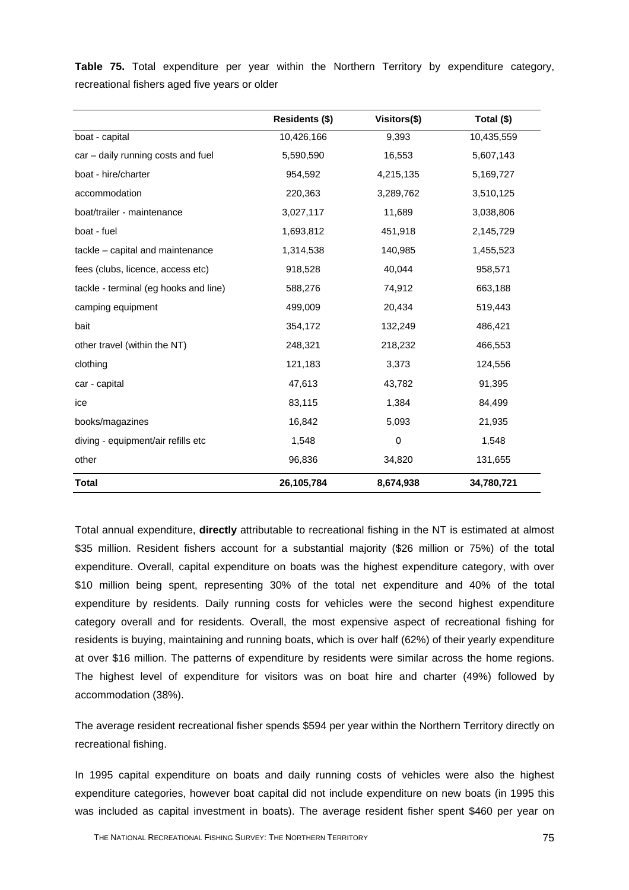**Table 75.** Total expenditure per year within the Northern Territory by expenditure category, recreational fishers aged five years or older

|                                       | Residents (\$) | Visitors(\$) | Total (\$) |
|---------------------------------------|----------------|--------------|------------|
| boat - capital                        | 10,426,166     | 9,393        | 10,435,559 |
| car – daily running costs and fuel    | 5,590,590      | 16,553       | 5,607,143  |
| boat - hire/charter                   | 954,592        | 4,215,135    | 5,169,727  |
| accommodation                         | 220,363        | 3,289,762    | 3,510,125  |
| boat/trailer - maintenance            | 3,027,117      | 11,689       | 3,038,806  |
| boat - fuel                           | 1,693,812      | 451,918      | 2,145,729  |
| tackle - capital and maintenance      | 1,314,538      | 140,985      | 1,455,523  |
| fees (clubs, licence, access etc)     | 918,528        | 40,044       | 958,571    |
| tackle - terminal (eg hooks and line) | 588,276        | 74,912       | 663,188    |
| camping equipment                     | 499,009        | 20,434       | 519,443    |
| bait                                  | 354,172        | 132,249      | 486,421    |
| other travel (within the NT)          | 248,321        | 218,232      | 466,553    |
| clothing                              | 121,183        | 3,373        | 124,556    |
| car - capital                         | 47,613         | 43,782       | 91,395     |
| ice                                   | 83,115         | 1,384        | 84,499     |
| books/magazines                       | 16,842         | 5,093        | 21,935     |
| diving - equipment/air refills etc    | 1,548          | 0            | 1,548      |
| other                                 | 96,836         | 34,820       | 131,655    |
| <b>Total</b>                          | 26,105,784     | 8,674,938    | 34,780,721 |

Total annual expenditure, **directly** attributable to recreational fishing in the NT is estimated at almost \$35 million. Resident fishers account for a substantial majority (\$26 million or 75%) of the total expenditure. Overall, capital expenditure on boats was the highest expenditure category, with over \$10 million being spent, representing 30% of the total net expenditure and 40% of the total expenditure by residents. Daily running costs for vehicles were the second highest expenditure category overall and for residents. Overall, the most expensive aspect of recreational fishing for residents is buying, maintaining and running boats, which is over half (62%) of their yearly expenditure at over \$16 million. The patterns of expenditure by residents were similar across the home regions. The highest level of expenditure for visitors was on boat hire and charter (49%) followed by accommodation (38%).

The average resident recreational fisher spends \$594 per year within the Northern Territory directly on recreational fishing.

In 1995 capital expenditure on boats and daily running costs of vehicles were also the highest expenditure categories, however boat capital did not include expenditure on new boats (in 1995 this was included as capital investment in boats). The average resident fisher spent \$460 per year on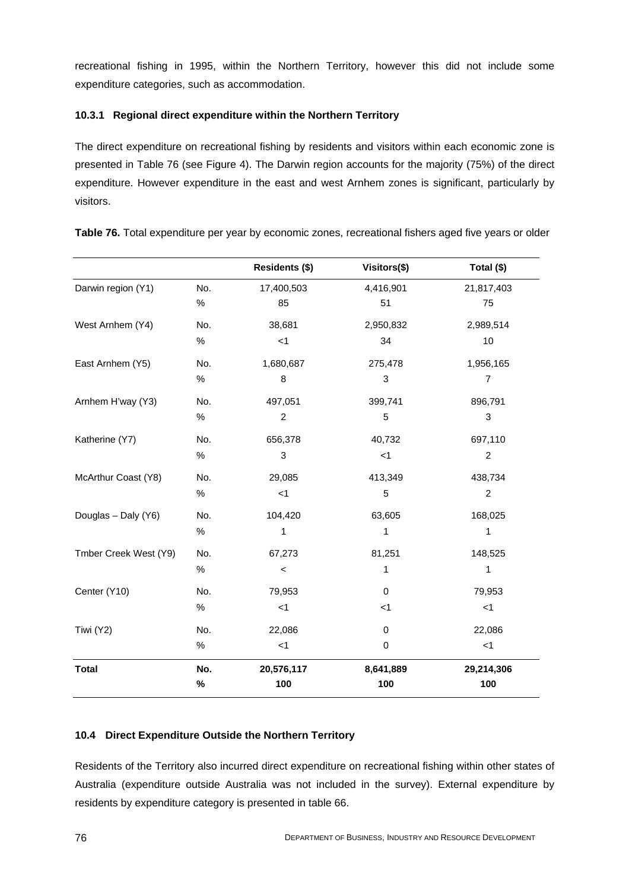recreational fishing in 1995, within the Northern Territory, however this did not include some expenditure categories, such as accommodation.

# **10.3.1 Regional direct expenditure within the Northern Territory**

The direct expenditure on recreational fishing by residents and visitors within each economic zone is presented in Table 76 (see Figure 4). The Darwin region accounts for the majority (75%) of the direct expenditure. However expenditure in the east and west Arnhem zones is significant, particularly by visitors.

|                       |      | Residents (\$)            | Visitors(\$) | Total (\$)                |
|-----------------------|------|---------------------------|--------------|---------------------------|
| Darwin region (Y1)    | No.  | 17,400,503                | 4,416,901    | 21,817,403                |
|                       | $\%$ | 85                        | 51           | 75                        |
| West Arnhem (Y4)      | No.  | 38,681                    | 2,950,832    | 2,989,514                 |
|                       | $\%$ | $<$ 1                     | 34           | 10                        |
| East Arnhem (Y5)      | No.  | 1,680,687                 | 275,478      | 1,956,165                 |
|                       | $\%$ | $\bf 8$                   | 3            | $\overline{7}$            |
| Arnhem H'way (Y3)     | No.  | 497,051                   | 399,741      | 896,791                   |
|                       | $\%$ | $\boldsymbol{2}$          | 5            | $\ensuremath{\mathsf{3}}$ |
| Katherine (Y7)        | No.  | 656,378                   | 40,732       | 697,110                   |
|                       | $\%$ | $\ensuremath{\mathsf{3}}$ | < 1          | $\overline{c}$            |
| McArthur Coast (Y8)   | No.  | 29,085                    | 413,349      | 438,734                   |
|                       | $\%$ | < 1                       | 5            | $\overline{c}$            |
| Douglas - Daly (Y6)   | No.  | 104,420                   | 63,605       | 168,025                   |
|                       | $\%$ | 1                         | 1            | 1                         |
| Tmber Creek West (Y9) | No.  | 67,273                    | 81,251       | 148,525                   |
|                       | $\%$ | $\,<$                     | 1            | 1                         |
| Center (Y10)          | No.  | 79,953                    | $\mathbf 0$  | 79,953                    |
|                       | $\%$ | < 1                       | $<$ 1        | $<$ 1                     |
| Tiwi (Y2)             | No.  | 22,086                    | $\mathbf 0$  | 22,086                    |
|                       | $\%$ | < 1                       | $\mathbf 0$  | < 1                       |
| <b>Total</b>          | No.  | 20,576,117                | 8,641,889    | 29,214,306                |
|                       | $\%$ | 100                       | 100          | 100                       |

**Table 76.** Total expenditure per year by economic zones, recreational fishers aged five years or older

# **10.4 Direct Expenditure Outside the Northern Territory**

Residents of the Territory also incurred direct expenditure on recreational fishing within other states of Australia (expenditure outside Australia was not included in the survey). External expenditure by residents by expenditure category is presented in table 66.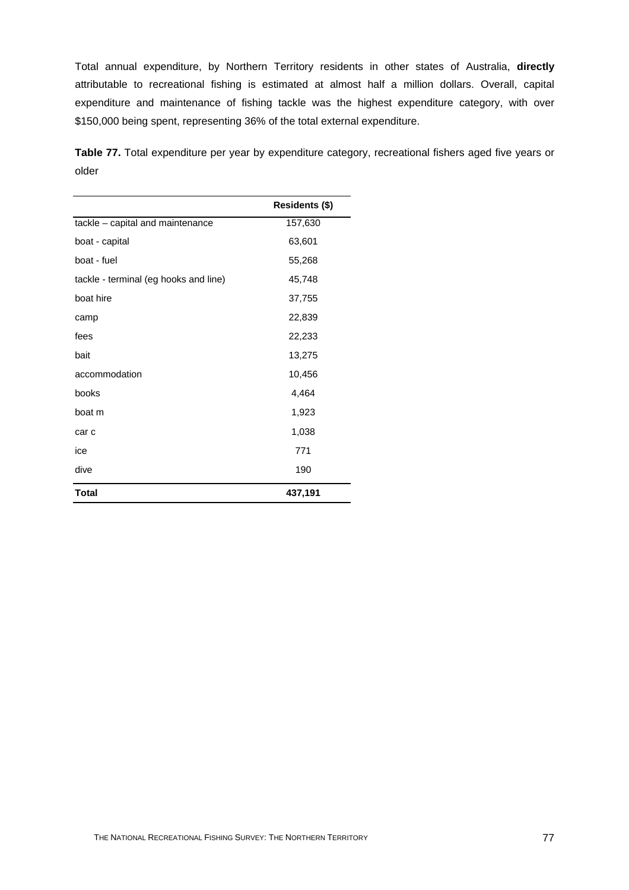Total annual expenditure, by Northern Territory residents in other states of Australia, **directly**  attributable to recreational fishing is estimated at almost half a million dollars. Overall, capital expenditure and maintenance of fishing tackle was the highest expenditure category, with over \$150,000 being spent, representing 36% of the total external expenditure.

**Table 77.** Total expenditure per year by expenditure category, recreational fishers aged five years or older

|                                       | Residents (\$) |
|---------------------------------------|----------------|
| tackle - capital and maintenance      | 157,630        |
| boat - capital                        | 63,601         |
| boat - fuel                           | 55,268         |
| tackle - terminal (eg hooks and line) | 45,748         |
| boat hire                             | 37,755         |
| camp                                  | 22,839         |
| fees                                  | 22,233         |
| bait                                  | 13,275         |
| accommodation                         | 10,456         |
| books                                 | 4,464          |
| boat m                                | 1,923          |
| car c                                 | 1,038          |
| ice                                   | 771            |
| dive                                  | 190            |
| <b>Total</b>                          | 437,191        |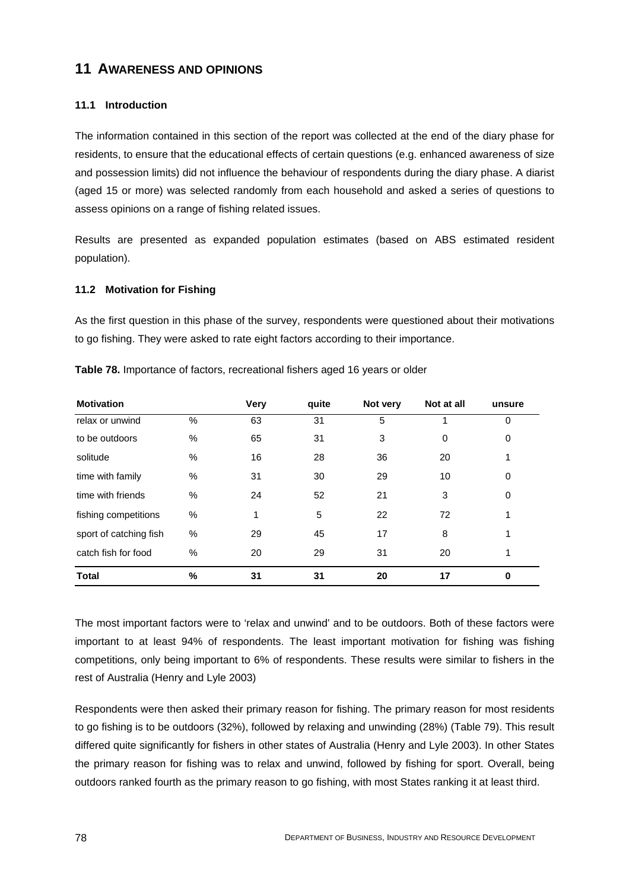# **11 AWARENESS AND OPINIONS**

# **11.1 Introduction**

The information contained in this section of the report was collected at the end of the diary phase for residents, to ensure that the educational effects of certain questions (e.g. enhanced awareness of size and possession limits) did not influence the behaviour of respondents during the diary phase. A diarist (aged 15 or more) was selected randomly from each household and asked a series of questions to assess opinions on a range of fishing related issues.

Results are presented as expanded population estimates (based on ABS estimated resident population).

#### **11.2 Motivation for Fishing**

As the first question in this phase of the survey, respondents were questioned about their motivations to go fishing. They were asked to rate eight factors according to their importance.

| <b>Motivation</b>      |      | <b>Very</b> | quite | Not very | Not at all | unsure   |
|------------------------|------|-------------|-------|----------|------------|----------|
| relax or unwind        | %    | 63          | 31    | 5        |            | $\Omega$ |
| to be outdoors         | %    | 65          | 31    | 3        | 0          | 0        |
| solitude               | $\%$ | 16          | 28    | 36       | 20         |          |
| time with family       | $\%$ | 31          | 30    | 29       | 10         | 0        |
| time with friends      | %    | 24          | 52    | 21       | 3          | 0        |
| fishing competitions   | $\%$ | 1           | 5     | 22       | 72         |          |
| sport of catching fish | %    | 29          | 45    | 17       | 8          |          |
| catch fish for food    | $\%$ | 20          | 29    | 31       | 20         |          |
| <b>Total</b>           | $\%$ | 31          | 31    | 20       | 17         | 0        |

**Table 78.** Importance of factors, recreational fishers aged 16 years or older

The most important factors were to 'relax and unwind' and to be outdoors. Both of these factors were important to at least 94% of respondents. The least important motivation for fishing was fishing competitions, only being important to 6% of respondents. These results were similar to fishers in the rest of Australia (Henry and Lyle 2003)

Respondents were then asked their primary reason for fishing. The primary reason for most residents to go fishing is to be outdoors (32%), followed by relaxing and unwinding (28%) (Table 79). This result differed quite significantly for fishers in other states of Australia (Henry and Lyle 2003). In other States the primary reason for fishing was to relax and unwind, followed by fishing for sport. Overall, being outdoors ranked fourth as the primary reason to go fishing, with most States ranking it at least third.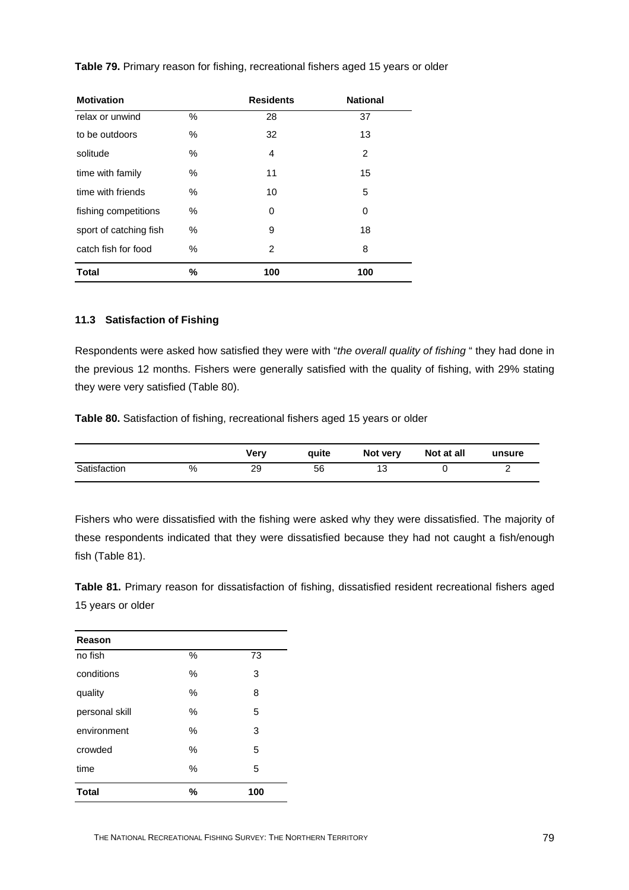| <b>Motivation</b>      |      | <b>Residents</b> | <b>National</b> |
|------------------------|------|------------------|-----------------|
| relax or unwind        | ℅    | 28               | 37              |
| to be outdoors         | ℅    | 32               | 13              |
| solitude               | ℅    | 4                | $\overline{2}$  |
| time with family       | %    | 11               | 15              |
| time with friends      | $\%$ | 10               | 5               |
| fishing competitions   | %    | 0                | 0               |
| sport of catching fish | $\%$ | 9                | 18              |
| catch fish for food    | %    | $\overline{2}$   | 8               |
| <b>Total</b>           | %    | 100              | 100             |

**Table 79.** Primary reason for fishing, recreational fishers aged 15 years or older

#### **11.3 Satisfaction of Fishing**

Respondents were asked how satisfied they were with "*the overall quality of fishing* " they had done in the previous 12 months. Fishers were generally satisfied with the quality of fishing, with 29% stating they were very satisfied (Table 80).

**Table 80.** Satisfaction of fishing, recreational fishers aged 15 years or older

|              |   | Verv | auite | Not very | Not at all | unsure   |
|--------------|---|------|-------|----------|------------|----------|
| Satisfaction | % | 29   | 56    | 12       |            | <u>.</u> |

Fishers who were dissatisfied with the fishing were asked why they were dissatisfied. The majority of these respondents indicated that they were dissatisfied because they had not caught a fish/enough fish (Table 81).

**Table 81.** Primary reason for dissatisfaction of fishing, dissatisfied resident recreational fishers aged 15 years or older

| Reason         |      |     |
|----------------|------|-----|
| no fish        | %    | 73  |
| conditions     | $\%$ | 3   |
| quality        | $\%$ | 8   |
| personal skill | $\%$ | 5   |
| environment    | $\%$ | 3   |
| crowded        | $\%$ | 5   |
| time           | %    | 5   |
| <b>Total</b>   | %    | 100 |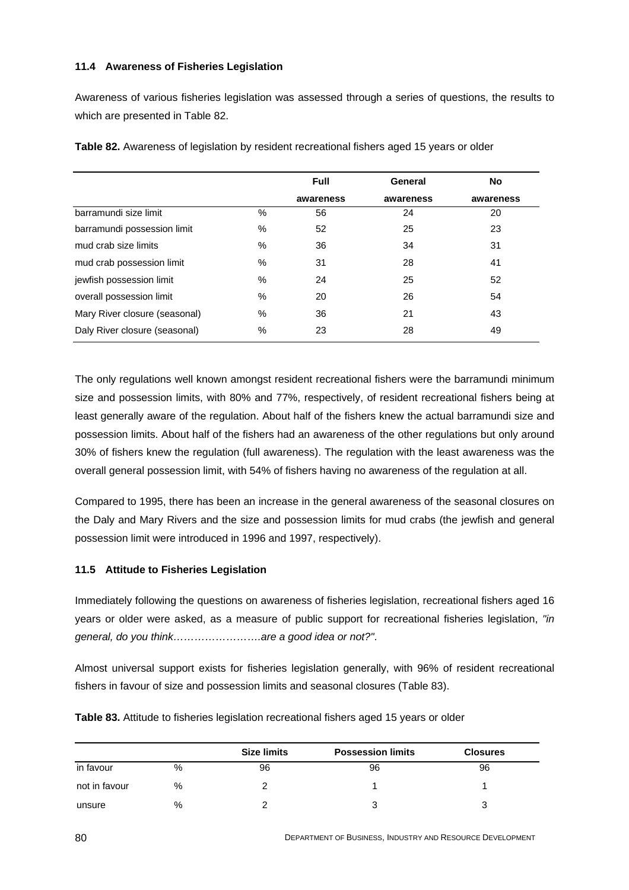#### **11.4 Awareness of Fisheries Legislation**

Awareness of various fisheries legislation was assessed through a series of questions, the results to which are presented in Table 82.

|                               |      | <b>Full</b> | General   | No.       |
|-------------------------------|------|-------------|-----------|-----------|
|                               |      | awareness   | awareness | awareness |
| barramundi size limit         | $\%$ | 56          | 24        | 20        |
| barramundi possession limit   | %    | 52          | 25        | 23        |
| mud crab size limits          | $\%$ | 36          | 34        | 31        |
| mud crab possession limit     | $\%$ | 31          | 28        | 41        |
| jewfish possession limit      | %    | 24          | 25        | 52        |
| overall possession limit      | %    | 20          | 26        | 54        |
| Mary River closure (seasonal) | $\%$ | 36          | 21        | 43        |
| Daly River closure (seasonal) | %    | 23          | 28        | 49        |

**Table 82.** Awareness of legislation by resident recreational fishers aged 15 years or older

The only regulations well known amongst resident recreational fishers were the barramundi minimum size and possession limits, with 80% and 77%, respectively, of resident recreational fishers being at least generally aware of the regulation. About half of the fishers knew the actual barramundi size and possession limits. About half of the fishers had an awareness of the other regulations but only around 30% of fishers knew the regulation (full awareness). The regulation with the least awareness was the overall general possession limit, with 54% of fishers having no awareness of the regulation at all.

Compared to 1995, there has been an increase in the general awareness of the seasonal closures on the Daly and Mary Rivers and the size and possession limits for mud crabs (the jewfish and general possession limit were introduced in 1996 and 1997, respectively).

#### **11.5 Attitude to Fisheries Legislation**

Immediately following the questions on awareness of fisheries legislation, recreational fishers aged 16 years or older were asked, as a measure of public support for recreational fisheries legislation, *"in general, do you think…………………….are a good idea or not?"*.

Almost universal support exists for fisheries legislation generally, with 96% of resident recreational fishers in favour of size and possession limits and seasonal closures (Table 83).

|               |      | <b>Size limits</b> | <b>Possession limits</b> | <b>Closures</b> |
|---------------|------|--------------------|--------------------------|-----------------|
| in favour     | %    | 96                 | 96                       | 96              |
| not in favour | %    |                    |                          |                 |
| unsure        | $\%$ |                    |                          |                 |

**Table 83.** Attitude to fisheries legislation recreational fishers aged 15 years or older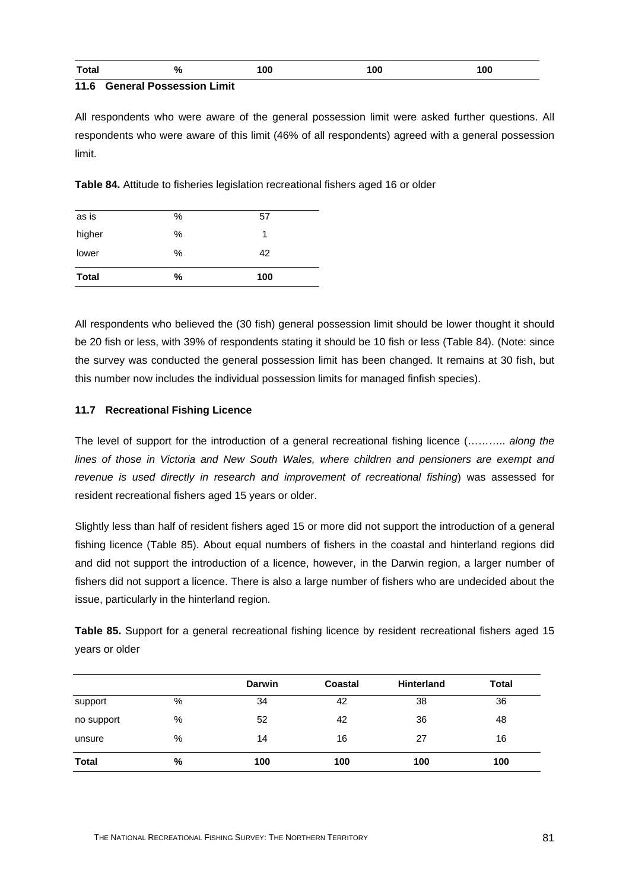| <b>Total</b> | % | 100 | <b>OC</b> | 100 |
|--------------|---|-----|-----------|-----|
| .<br>___     | . |     |           |     |

#### **11.6 General Possession Limit**

All respondents who were aware of the general possession limit were asked further questions. All respondents who were aware of this limit (46% of all respondents) agreed with a general possession limit.

**Table 84.** Attitude to fisheries legislation recreational fishers aged 16 or older

| <b>Total</b> | %    | 100 |  |
|--------------|------|-----|--|
| lower        | $\%$ | 42  |  |
| higher       | $\%$ | 1   |  |
| as is        | $\%$ | 57  |  |

All respondents who believed the (30 fish) general possession limit should be lower thought it should be 20 fish or less, with 39% of respondents stating it should be 10 fish or less (Table 84). (Note: since the survey was conducted the general possession limit has been changed. It remains at 30 fish, but this number now includes the individual possession limits for managed finfish species).

## **11.7 Recreational Fishing Licence**

The level of support for the introduction of a general recreational fishing licence (……….. *along the lines of those in Victoria and New South Wales, where children and pensioners are exempt and revenue is used directly in research and improvement of recreational fishing*) was assessed for resident recreational fishers aged 15 years or older.

Slightly less than half of resident fishers aged 15 or more did not support the introduction of a general fishing licence (Table 85). About equal numbers of fishers in the coastal and hinterland regions did and did not support the introduction of a licence, however, in the Darwin region, a larger number of fishers did not support a licence. There is also a large number of fishers who are undecided about the issue, particularly in the hinterland region.

**Table 85.** Support for a general recreational fishing licence by resident recreational fishers aged 15 years or older

|              |   | <b>Darwin</b> | <b>Coastal</b> | <b>Hinterland</b> | <b>Total</b> |
|--------------|---|---------------|----------------|-------------------|--------------|
| support      | % | 34            | 42             | 38                | 36           |
| no support   | % | 52            | 42             | 36                | 48           |
| unsure       | % | 14            | 16             | 27                | 16           |
| <b>Total</b> | % | 100           | 100            | 100               | 100          |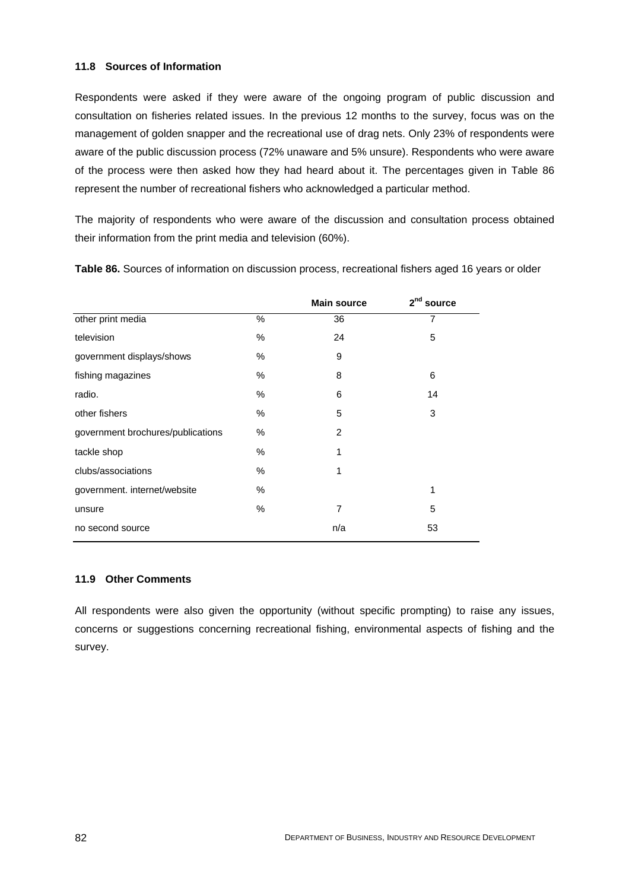#### **11.8 Sources of Information**

Respondents were asked if they were aware of the ongoing program of public discussion and consultation on fisheries related issues. In the previous 12 months to the survey, focus was on the management of golden snapper and the recreational use of drag nets. Only 23% of respondents were aware of the public discussion process (72% unaware and 5% unsure). Respondents who were aware of the process were then asked how they had heard about it. The percentages given in Table 86 represent the number of recreational fishers who acknowledged a particular method.

The majority of respondents who were aware of the discussion and consultation process obtained their information from the print media and television (60%).

|                                   |      | <b>Main source</b> | 2 <sup>nd</sup><br>source |
|-----------------------------------|------|--------------------|---------------------------|
| other print media                 | $\%$ | 36                 | 7                         |
| television                        | $\%$ | 24                 | 5                         |
| government displays/shows         | $\%$ | 9                  |                           |
| fishing magazines                 | %    | 8                  | 6                         |
| radio.                            | $\%$ | 6                  | 14                        |
| other fishers                     | $\%$ | 5                  | 3                         |
| government brochures/publications | %    | 2                  |                           |
| tackle shop                       | $\%$ | 1                  |                           |
| clubs/associations                | $\%$ | 1                  |                           |
| government. internet/website      | $\%$ |                    | 1                         |
| unsure                            | $\%$ | 7                  | 5                         |
| no second source                  |      | n/a                | 53                        |

**Table 86.** Sources of information on discussion process, recreational fishers aged 16 years or older

#### **11.9 Other Comments**

All respondents were also given the opportunity (without specific prompting) to raise any issues, concerns or suggestions concerning recreational fishing, environmental aspects of fishing and the survey.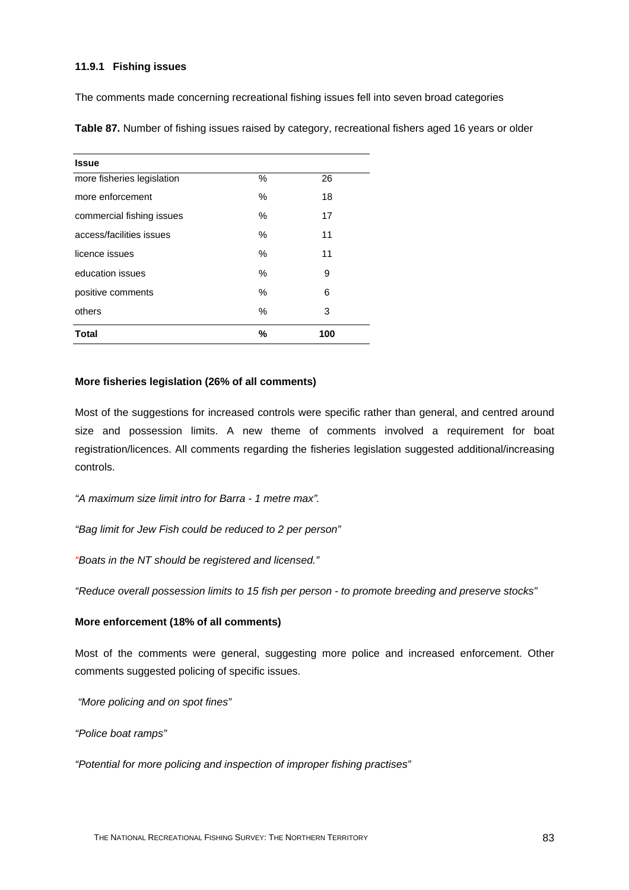#### **11.9.1 Fishing issues**

The comments made concerning recreational fishing issues fell into seven broad categories

| <b>Issue</b>               |      |     |
|----------------------------|------|-----|
| more fisheries legislation | %    | 26  |
| more enforcement           | $\%$ | 18  |
| commercial fishing issues  | $\%$ | 17  |
| access/facilities issues   | $\%$ | 11  |
| licence issues             | $\%$ | 11  |
| education issues           | $\%$ | 9   |
| positive comments          | $\%$ | 6   |
| others                     | $\%$ | 3   |
| <b>Total</b>               | %    | 100 |

**Table 87.** Number of fishing issues raised by category, recreational fishers aged 16 years or older

#### **More fisheries legislation (26% of all comments)**

Most of the suggestions for increased controls were specific rather than general, and centred around size and possession limits. A new theme of comments involved a requirement for boat registration/licences. All comments regarding the fisheries legislation suggested additional/increasing controls.

*"A maximum size limit intro for Barra - 1 metre max".*

*"Bag limit for Jew Fish could be reduced to 2 per person"*

*"Boats in the NT should be registered and licensed."*

*"Reduce overall possession limits to 15 fish per person - to promote breeding and preserve stocks"*

#### **More enforcement (18% of all comments)**

Most of the comments were general, suggesting more police and increased enforcement. Other comments suggested policing of specific issues.

 *"More policing and on spot fines"* 

*"Police boat ramps"* 

*"Potential for more policing and inspection of improper fishing practises"*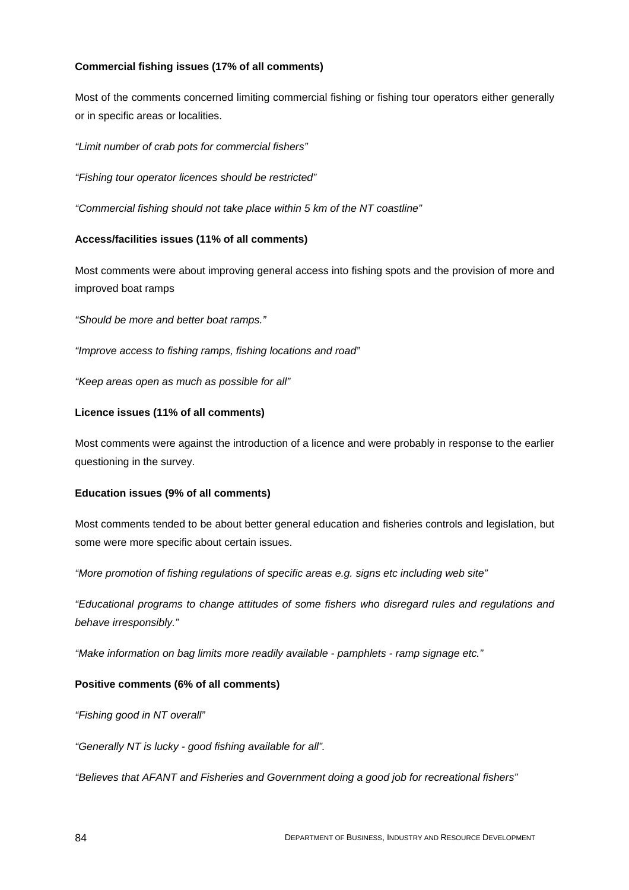#### **Commercial fishing issues (17% of all comments)**

Most of the comments concerned limiting commercial fishing or fishing tour operators either generally or in specific areas or localities.

*"Limit number of crab pots for commercial fishers"*

*"Fishing tour operator licences should be restricted"*

*"Commercial fishing should not take place within 5 km of the NT coastline"*

## **Access/facilities issues (11% of all comments)**

Most comments were about improving general access into fishing spots and the provision of more and improved boat ramps

*"Should be more and better boat ramps."*

*"Improve access to fishing ramps, fishing locations and road"*

*"Keep areas open as much as possible for all"*

## **Licence issues (11% of all comments)**

Most comments were against the introduction of a licence and were probably in response to the earlier questioning in the survey.

#### **Education issues (9% of all comments)**

Most comments tended to be about better general education and fisheries controls and legislation, but some were more specific about certain issues.

*"More promotion of fishing regulations of specific areas e.g. signs etc including web site"* 

*"Educational programs to change attitudes of some fishers who disregard rules and regulations and behave irresponsibly."*

*"Make information on bag limits more readily available - pamphlets - ramp signage etc."*

# **Positive comments (6% of all comments)**

*"Fishing good in NT overall"*

*"Generally NT is lucky - good fishing available for all".*

*"Believes that AFANT and Fisheries and Government doing a good job for recreational fishers"*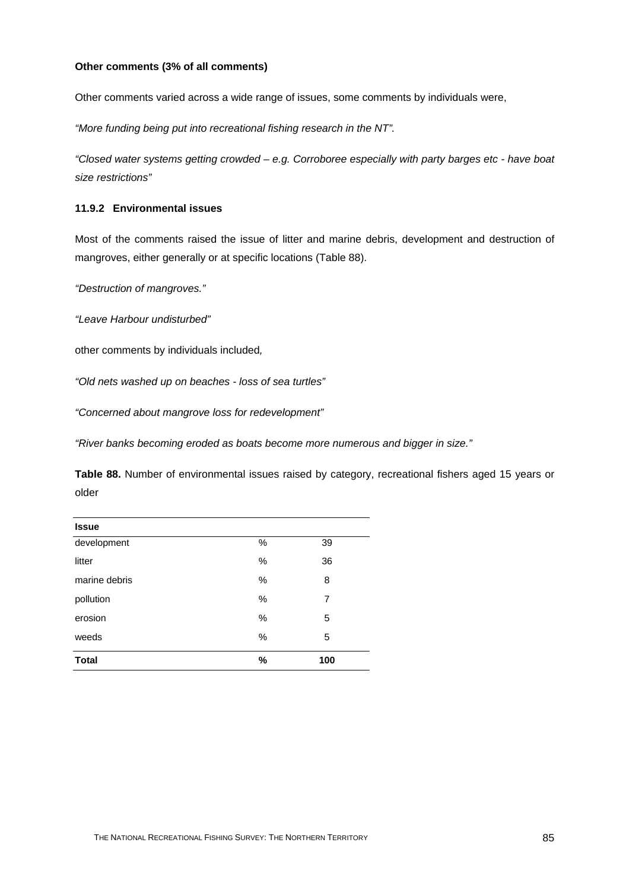#### **Other comments (3% of all comments)**

Other comments varied across a wide range of issues, some comments by individuals were,

*"More funding being put into recreational fishing research in the NT".* 

*"Closed water systems getting crowded – e.g. Corroboree especially with party barges etc - have boat size restrictions"* 

#### **11.9.2 Environmental issues**

Most of the comments raised the issue of litter and marine debris, development and destruction of mangroves, either generally or at specific locations (Table 88).

*"Destruction of mangroves."*

*"Leave Harbour undisturbed"*

other comments by individuals included*,*

*"Old nets washed up on beaches - loss of sea turtles"*

*"Concerned about mangrove loss for redevelopment"*

*"River banks becoming eroded as boats become more numerous and bigger in size."*

**Table 88.** Number of environmental issues raised by category, recreational fishers aged 15 years or older

| <b>Issue</b>  |      |     |
|---------------|------|-----|
| development   | $\%$ | 39  |
| litter        | $\%$ | 36  |
| marine debris | $\%$ | 8   |
| pollution     | $\%$ | 7   |
| erosion       | $\%$ | 5   |
| weeds         | $\%$ | 5   |
| <b>Total</b>  | %    | 100 |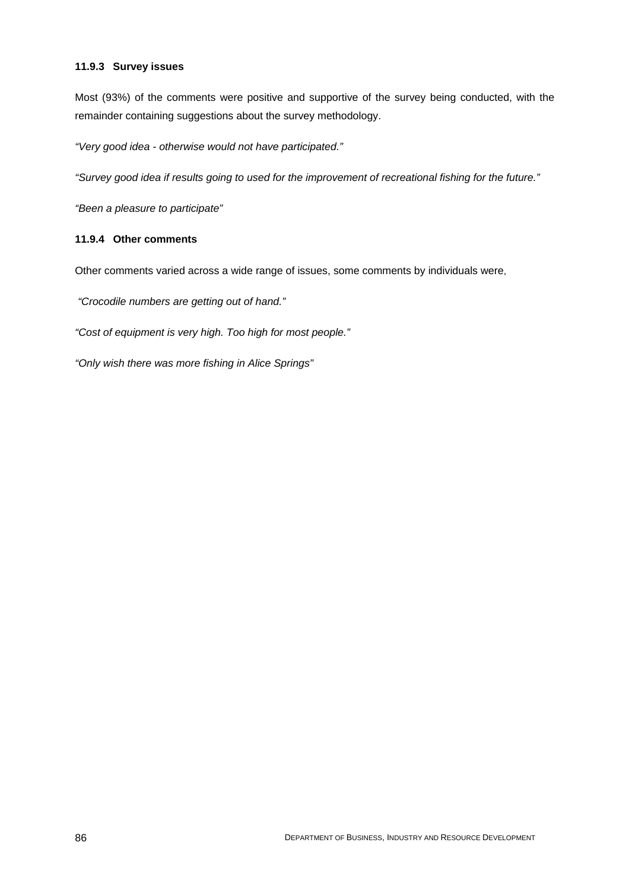#### **11.9.3 Survey issues**

Most (93%) of the comments were positive and supportive of the survey being conducted, with the remainder containing suggestions about the survey methodology.

*"Very good idea - otherwise would not have participated."*

*"Survey good idea if results going to used for the improvement of recreational fishing for the future."*

*"Been a pleasure to participate"*

# **11.9.4 Other comments**

Other comments varied across a wide range of issues, some comments by individuals were,

 *"Crocodile numbers are getting out of hand."* 

*"Cost of equipment is very high. Too high for most people."* 

*"Only wish there was more fishing in Alice Springs"*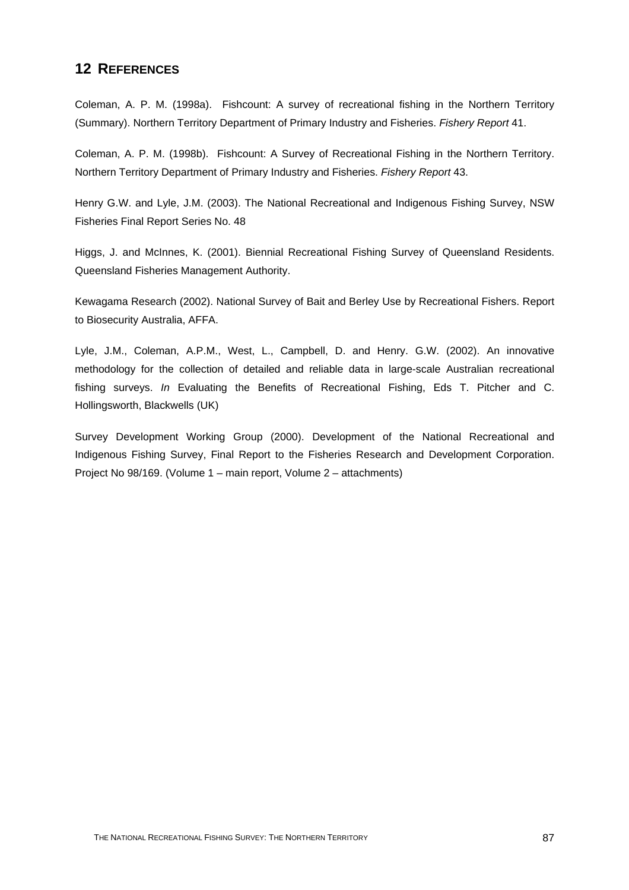# **12 REFERENCES**

Coleman, A. P. M. (1998a). Fishcount: A survey of recreational fishing in the Northern Territory (Summary). Northern Territory Department of Primary Industry and Fisheries. *Fishery Report* 41.

Coleman, A. P. M. (1998b). Fishcount: A Survey of Recreational Fishing in the Northern Territory. Northern Territory Department of Primary Industry and Fisheries. *Fishery Report* 43.

Henry G.W. and Lyle, J.M. (2003). The National Recreational and Indigenous Fishing Survey, NSW Fisheries Final Report Series No. 48

Higgs, J. and McInnes, K. (2001). Biennial Recreational Fishing Survey of Queensland Residents. Queensland Fisheries Management Authority.

Kewagama Research (2002). National Survey of Bait and Berley Use by Recreational Fishers. Report to Biosecurity Australia, AFFA.

Lyle, J.M., Coleman, A.P.M., West, L., Campbell, D. and Henry. G.W. (2002). An innovative methodology for the collection of detailed and reliable data in large-scale Australian recreational fishing surveys. *In* Evaluating the Benefits of Recreational Fishing, Eds T. Pitcher and C. Hollingsworth, Blackwells (UK)

Survey Development Working Group (2000). Development of the National Recreational and Indigenous Fishing Survey, Final Report to the Fisheries Research and Development Corporation. Project No 98/169. (Volume 1 – main report, Volume 2 – attachments)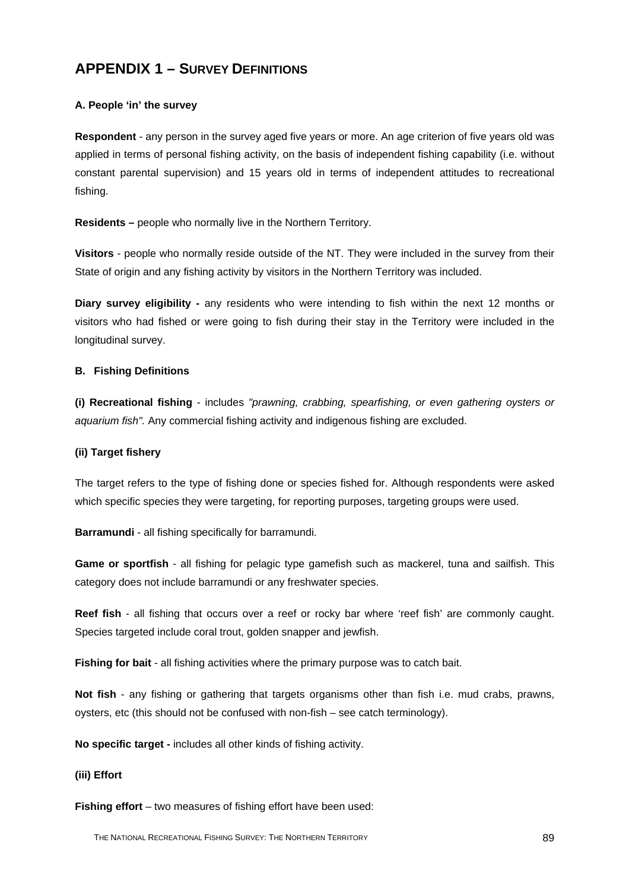# **APPENDIX 1 – SURVEY DEFINITIONS**

## **A. People 'in' the survey**

**Respondent** - any person in the survey aged five years or more. An age criterion of five years old was applied in terms of personal fishing activity, on the basis of independent fishing capability (i.e. without constant parental supervision) and 15 years old in terms of independent attitudes to recreational fishing.

**Residents –** people who normally live in the Northern Territory.

**Visitors** - people who normally reside outside of the NT. They were included in the survey from their State of origin and any fishing activity by visitors in the Northern Territory was included.

**Diary survey eligibility -** any residents who were intending to fish within the next 12 months or visitors who had fished or were going to fish during their stay in the Territory were included in the longitudinal survey.

#### **B. Fishing Definitions**

**(i) Recreational fishing** - includes *"prawning, crabbing, spearfishing, or even gathering oysters or aquarium fish".* Any commercial fishing activity and indigenous fishing are excluded.

#### **(ii) Target fishery**

The target refers to the type of fishing done or species fished for. Although respondents were asked which specific species they were targeting, for reporting purposes, targeting groups were used.

**Barramundi** - all fishing specifically for barramundi.

**Game or sportfish** - all fishing for pelagic type gamefish such as mackerel, tuna and sailfish. This category does not include barramundi or any freshwater species.

**Reef fish** - all fishing that occurs over a reef or rocky bar where 'reef fish' are commonly caught. Species targeted include coral trout, golden snapper and jewfish.

**Fishing for bait** - all fishing activities where the primary purpose was to catch bait.

**Not fish** - any fishing or gathering that targets organisms other than fish i.e. mud crabs, prawns, oysters, etc (this should not be confused with non-fish – see catch terminology).

**No specific target -** includes all other kinds of fishing activity.

#### **(iii) Effort**

**Fishing effort** – two measures of fishing effort have been used: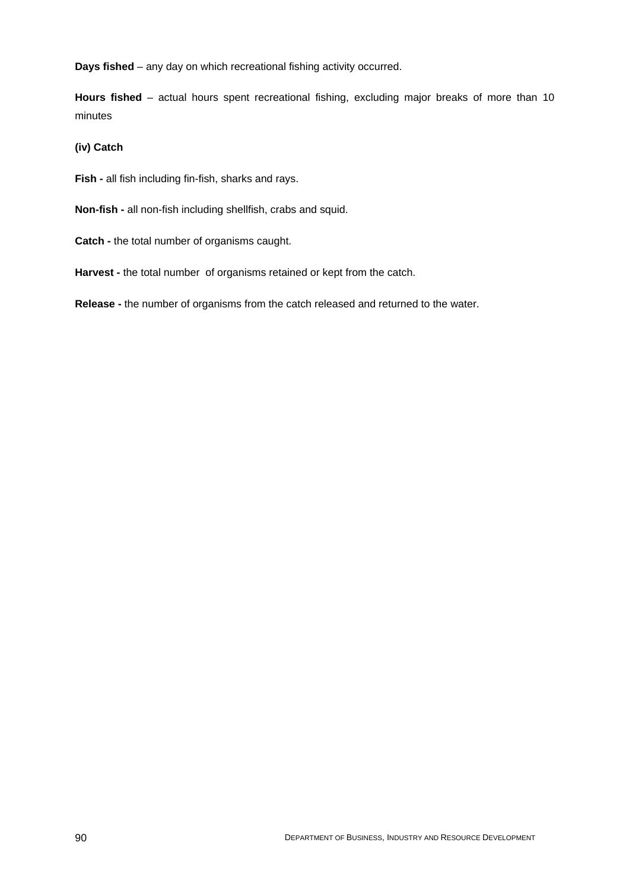**Days fished** – any day on which recreational fishing activity occurred.

**Hours fished** – actual hours spent recreational fishing, excluding major breaks of more than 10 minutes

# **(iv) Catch**

**Fish -** all fish including fin-fish, sharks and rays.

- **Non-fish -** all non-fish including shellfish, crabs and squid.
- **Catch -** the total number of organisms caught.
- **Harvest** the total number of organisms retained or kept from the catch.

**Release -** the number of organisms from the catch released and returned to the water.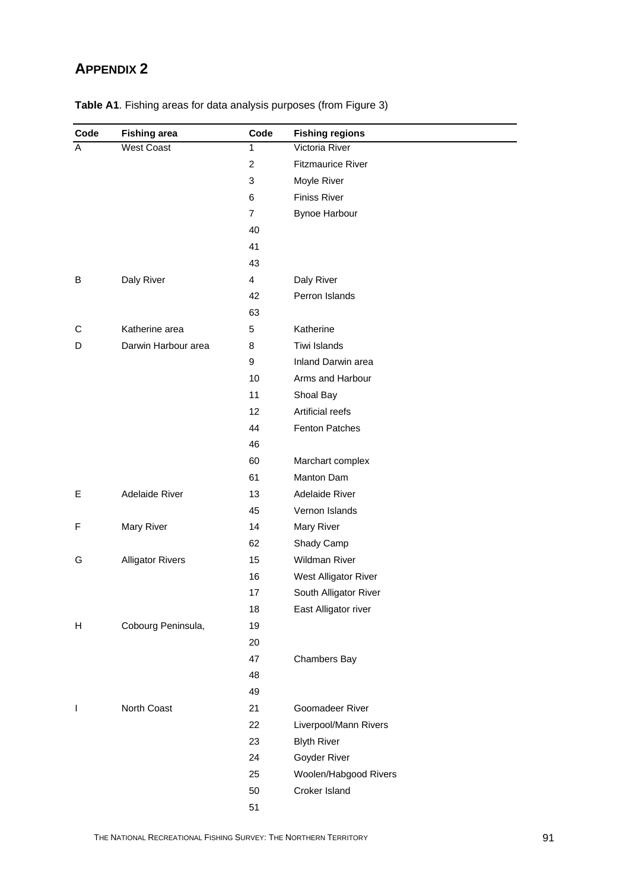# **APPENDIX 2**

| Code           | <b>Fishing area</b>     | Code           | <b>Fishing regions</b>   |
|----------------|-------------------------|----------------|--------------------------|
| $\overline{A}$ | <b>West Coast</b>       | 1              | Victoria River           |
|                |                         | $\overline{2}$ | <b>Fitzmaurice River</b> |
|                |                         | 3              | Moyle River              |
|                |                         | 6              | <b>Finiss River</b>      |
|                |                         | $\overline{7}$ | <b>Bynoe Harbour</b>     |
|                |                         | 40             |                          |
|                |                         | 41             |                          |
|                |                         | 43             |                          |
| В              | Daly River              | 4              | Daly River               |
|                |                         | 42             | Perron Islands           |
|                |                         | 63             |                          |
| С              | Katherine area          | 5              | Katherine                |
| D              | Darwin Harbour area     | 8              | Tiwi Islands             |
|                |                         | 9              | Inland Darwin area       |
|                |                         | 10             | Arms and Harbour         |
|                |                         | 11             | Shoal Bay                |
|                |                         | 12             | Artificial reefs         |
|                |                         | 44             | <b>Fenton Patches</b>    |
|                |                         | 46             |                          |
|                |                         | 60             | Marchart complex         |
|                |                         | 61             | <b>Manton Dam</b>        |
| Е              | Adelaide River          | 13             | Adelaide River           |
|                |                         | 45             | Vernon Islands           |
| F              | Mary River              | 14             | Mary River               |
|                |                         | 62             | Shady Camp               |
| G              | <b>Alligator Rivers</b> | 15             | <b>Wildman River</b>     |
|                |                         | 16             | West Alligator River     |
|                |                         | 17             | South Alligator River    |
|                |                         | 18             | East Alligator river     |
| Н              | Cobourg Peninsula,      | 19             |                          |
|                |                         | 20             |                          |
|                |                         | 47             | Chambers Bay             |
|                |                         | 48             |                          |
|                |                         | 49             |                          |
| J.             | North Coast             | 21             | Goomadeer River          |
|                |                         | 22             | Liverpool/Mann Rivers    |
|                |                         | 23             | <b>Blyth River</b>       |
|                |                         | 24             | Goyder River             |
|                |                         | 25             | Woolen/Habgood Rivers    |
|                |                         | 50             | Croker Island            |
|                |                         | 51             |                          |

**Table A1**. Fishing areas for data analysis purposes (from Figure 3)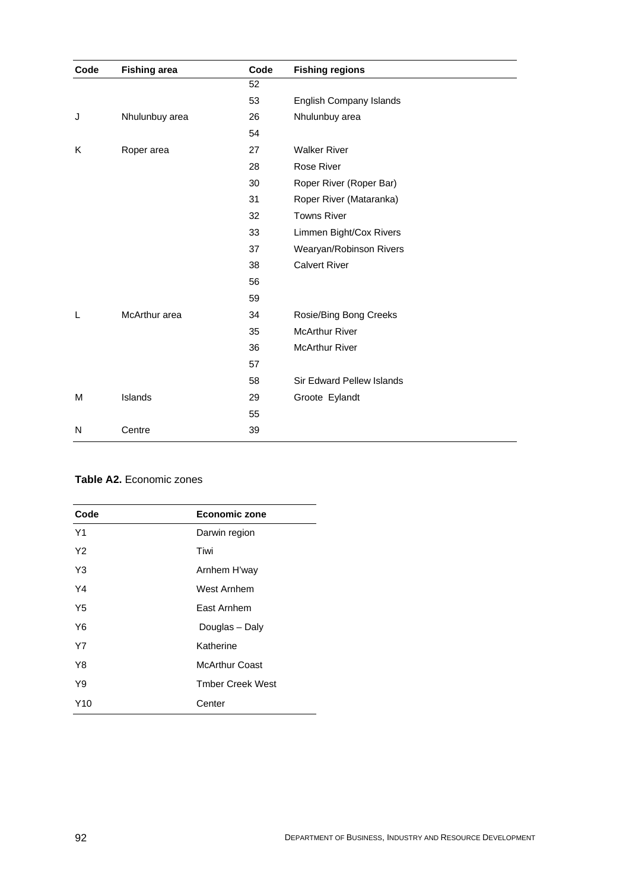| Code | <b>Fishing area</b> | Code | <b>Fishing regions</b>    |
|------|---------------------|------|---------------------------|
|      |                     | 52   |                           |
|      |                     | 53   | English Company Islands   |
| J    | Nhulunbuy area      | 26   | Nhulunbuy area            |
|      |                     | 54   |                           |
| K    | Roper area          | 27   | <b>Walker River</b>       |
|      |                     | 28   | Rose River                |
|      |                     | 30   | Roper River (Roper Bar)   |
|      |                     | 31   | Roper River (Mataranka)   |
|      |                     | 32   | <b>Towns River</b>        |
|      |                     | 33   | Limmen Bight/Cox Rivers   |
|      |                     | 37   | Wearyan/Robinson Rivers   |
|      |                     | 38   | <b>Calvert River</b>      |
|      |                     | 56   |                           |
|      |                     | 59   |                           |
| L    | McArthur area       | 34   | Rosie/Bing Bong Creeks    |
|      |                     | 35   | <b>McArthur River</b>     |
|      |                     | 36   | <b>McArthur River</b>     |
|      |                     | 57   |                           |
|      |                     | 58   | Sir Edward Pellew Islands |
| M    | Islands             | 29   | Groote Eylandt            |
|      |                     | 55   |                           |
| N    | Centre              | 39   |                           |
|      |                     |      |                           |

# **Table A2.** Economic zones

| Code | <b>Economic zone</b>    |
|------|-------------------------|
| Y1   | Darwin region           |
| Y2   | Tiwi                    |
| Y3   | Arnhem H'way            |
| Y4   | West Arnhem             |
| Y5   | East Arnhem             |
| Y6   | Douglas - Daly          |
| Υ7   | Katherine               |
| Y8   | McArthur Coast          |
| Y9   | <b>Tmber Creek West</b> |
| Y10  | Center                  |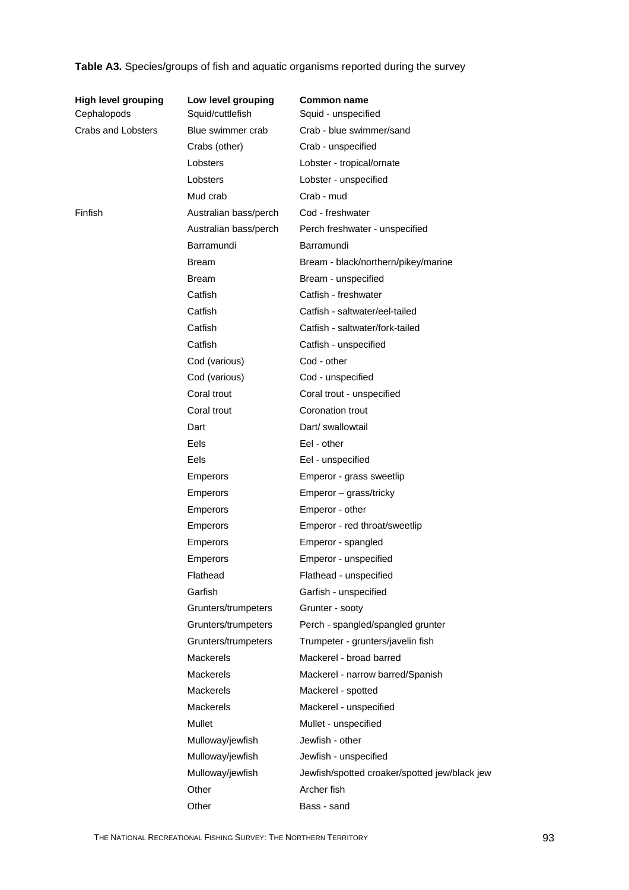| Table A3. Species/groups of fish and aquatic organisms reported during the survey |  |  |
|-----------------------------------------------------------------------------------|--|--|
|                                                                                   |  |  |

| High level grouping<br>Cephalopods | Low level grouping<br>Squid/cuttlefish | <b>Common name</b><br>Squid - unspecified     |
|------------------------------------|----------------------------------------|-----------------------------------------------|
| Crabs and Lobsters                 | Blue swimmer crab                      | Crab - blue swimmer/sand                      |
|                                    | Crabs (other)                          | Crab - unspecified                            |
|                                    | Lobsters                               | Lobster - tropical/ornate                     |
|                                    | Lobsters                               | Lobster - unspecified                         |
|                                    | Mud crab                               | Crab - mud                                    |
| Finfish                            | Australian bass/perch                  | Cod - freshwater                              |
|                                    | Australian bass/perch                  | Perch freshwater - unspecified                |
|                                    | Barramundi                             | Barramundi                                    |
|                                    | <b>Bream</b>                           | Bream - black/northern/pikey/marine           |
|                                    | <b>Bream</b>                           | Bream - unspecified                           |
|                                    | Catfish                                | Catfish - freshwater                          |
|                                    | Catfish                                | Catfish - saltwater/eel-tailed                |
|                                    | Catfish                                | Catfish - saltwater/fork-tailed               |
|                                    | Catfish                                | Catfish - unspecified                         |
|                                    | Cod (various)                          | Cod - other                                   |
|                                    | Cod (various)                          | Cod - unspecified                             |
|                                    | Coral trout                            | Coral trout - unspecified                     |
|                                    | Coral trout                            | Coronation trout                              |
|                                    | Dart                                   | Dart/ swallowtail                             |
|                                    | Eels                                   | Eel - other                                   |
|                                    | Eels                                   | Eel - unspecified                             |
|                                    | <b>Emperors</b>                        | Emperor - grass sweetlip                      |
|                                    | <b>Emperors</b>                        | Emperor - grass/tricky                        |
|                                    | <b>Emperors</b>                        | Emperor - other                               |
|                                    | <b>Emperors</b>                        | Emperor - red throat/sweetlip                 |
|                                    | <b>Emperors</b>                        | Emperor - spangled                            |
|                                    | <b>Emperors</b>                        | Emperor - unspecified                         |
|                                    | Flathead                               | Flathead - unspecified                        |
|                                    | Garfish                                | Garfish - unspecified                         |
|                                    | Grunters/trumpeters                    | Grunter - sooty                               |
|                                    | Grunters/trumpeters                    | Perch - spangled/spangled grunter             |
|                                    | Grunters/trumpeters                    | Trumpeter - grunters/javelin fish             |
|                                    | <b>Mackerels</b>                       | Mackerel - broad barred                       |
|                                    | Mackerels                              | Mackerel - narrow barred/Spanish              |
|                                    | Mackerels                              | Mackerel - spotted                            |
|                                    | <b>Mackerels</b>                       | Mackerel - unspecified                        |
|                                    | Mullet                                 | Mullet - unspecified                          |
|                                    | Mulloway/jewfish                       | Jewfish - other                               |
|                                    | Mulloway/jewfish                       | Jewfish - unspecified                         |
|                                    | Mulloway/jewfish                       | Jewfish/spotted croaker/spotted jew/black jew |
|                                    | Other                                  | Archer fish                                   |
|                                    | Other                                  | Bass - sand                                   |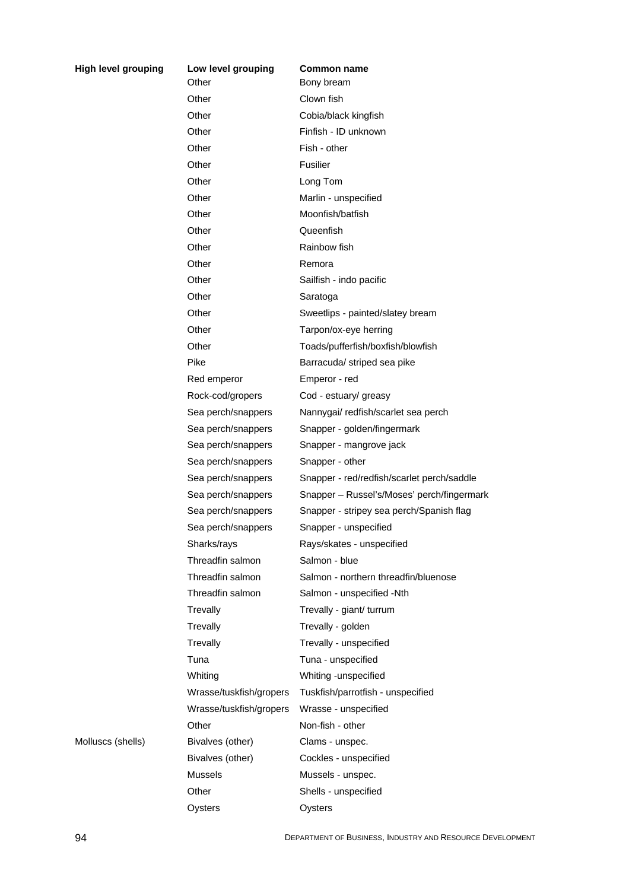| ping | Low level grouping      | Common name                                |
|------|-------------------------|--------------------------------------------|
|      | Other                   | Bony bream                                 |
|      | Other                   | Clown fish                                 |
|      | Other                   | Cobia/black kingfish                       |
|      | Other                   | Finfish - ID unknown                       |
|      | Other                   | Fish - other                               |
|      | Other                   | Fusilier                                   |
|      | Other                   | Long Tom                                   |
|      | Other                   | Marlin - unspecified                       |
|      | Other                   | Moonfish/batfish                           |
|      | Other                   | Queenfish                                  |
|      | Other                   | Rainbow fish                               |
|      | Other                   | Remora                                     |
|      | Other                   | Sailfish - indo pacific                    |
|      | Other                   | Saratoga                                   |
|      | Other                   | Sweetlips - painted/slatey bream           |
|      | Other                   | Tarpon/ox-eye herring                      |
|      | Other                   | Toads/pufferfish/boxfish/blowfish          |
|      | Pike                    | Barracuda/ striped sea pike                |
|      | Red emperor             | Emperor - red                              |
|      | Rock-cod/gropers        | Cod - estuary/ greasy                      |
|      | Sea perch/snappers      | Nannygai/ redfish/scarlet sea perch        |
|      | Sea perch/snappers      | Snapper - golden/fingermark                |
|      | Sea perch/snappers      | Snapper - mangrove jack                    |
|      | Sea perch/snappers      | Snapper - other                            |
|      | Sea perch/snappers      | Snapper - red/redfish/scarlet perch/saddle |
|      | Sea perch/snappers      | Snapper - Russel's/Moses' perch/fingermark |
|      | Sea perch/snappers      | Snapper - stripey sea perch/Spanish flag   |
|      | Sea perch/snappers      | Snapper - unspecified                      |
|      | Sharks/rays             | Rays/skates - unspecified                  |
|      | Threadfin salmon        | Salmon - blue                              |
|      | Threadfin salmon        | Salmon - northern threadfin/bluenose       |
|      | Threadfin salmon        | Salmon - unspecified -Nth                  |
|      | Trevally                | Trevally - giant/ turrum                   |
|      | Trevally                | Trevally - golden                          |
|      | Trevally                | Trevally - unspecified                     |
|      | Tuna                    | Tuna - unspecified                         |
|      | Whiting                 | Whiting -unspecified                       |
|      | Wrasse/tuskfish/gropers | Tuskfish/parrotfish - unspecified          |
|      | Wrasse/tuskfish/gropers | Wrasse - unspecified                       |
|      | Other                   | Non-fish - other                           |
|      | Bivalves (other)        | Clams - unspec.                            |
|      | Bivalves (other)        | Cockles - unspecified                      |
|      | <b>Mussels</b>          | Mussels - unspec.                          |
|      | Other                   | Shells - unspecified                       |
|      | Oysters                 | Oysters                                    |
|      |                         |                                            |

Molluscs (shells)